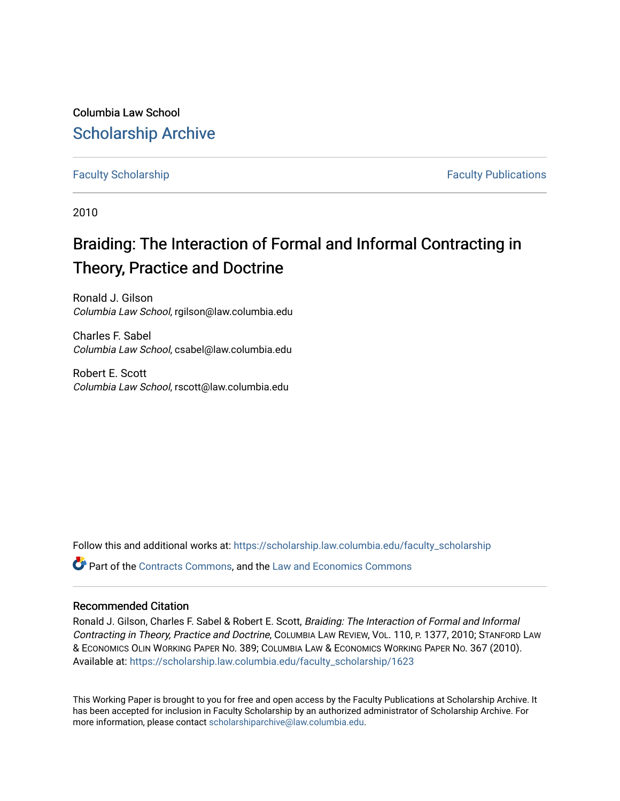Columbia Law School [Scholarship Archive](https://scholarship.law.columbia.edu/) 

### [Faculty Scholarship](https://scholarship.law.columbia.edu/faculty_scholarship) **Faculty Scholarship Faculty Publications**

2010

# Braiding: The Interaction of Formal and Informal Contracting in Theory, Practice and Doctrine

Ronald J. Gilson Columbia Law School, rgilson@law.columbia.edu

Charles F. Sabel Columbia Law School, csabel@law.columbia.edu

Robert E. Scott Columbia Law School, rscott@law.columbia.edu

Follow this and additional works at: [https://scholarship.law.columbia.edu/faculty\\_scholarship](https://scholarship.law.columbia.edu/faculty_scholarship?utm_source=scholarship.law.columbia.edu%2Ffaculty_scholarship%2F1623&utm_medium=PDF&utm_campaign=PDFCoverPages)

Part of the [Contracts Commons](http://network.bepress.com/hgg/discipline/591?utm_source=scholarship.law.columbia.edu%2Ffaculty_scholarship%2F1623&utm_medium=PDF&utm_campaign=PDFCoverPages), and the [Law and Economics Commons](http://network.bepress.com/hgg/discipline/612?utm_source=scholarship.law.columbia.edu%2Ffaculty_scholarship%2F1623&utm_medium=PDF&utm_campaign=PDFCoverPages) 

#### Recommended Citation

Ronald J. Gilson, Charles F. Sabel & Robert E. Scott, Braiding: The Interaction of Formal and Informal Contracting in Theory, Practice and Doctrine, COLUMBIA LAW REVIEW, VOL. 110, P. 1377, 2010; STANFORD LAW & ECONOMICS OLIN WORKING PAPER NO. 389; COLUMBIA LAW & ECONOMICS WORKING PAPER NO. 367 (2010). Available at: [https://scholarship.law.columbia.edu/faculty\\_scholarship/1623](https://scholarship.law.columbia.edu/faculty_scholarship/1623?utm_source=scholarship.law.columbia.edu%2Ffaculty_scholarship%2F1623&utm_medium=PDF&utm_campaign=PDFCoverPages)

This Working Paper is brought to you for free and open access by the Faculty Publications at Scholarship Archive. It has been accepted for inclusion in Faculty Scholarship by an authorized administrator of Scholarship Archive. For more information, please contact [scholarshiparchive@law.columbia.edu.](mailto:scholarshiparchive@law.columbia.edu)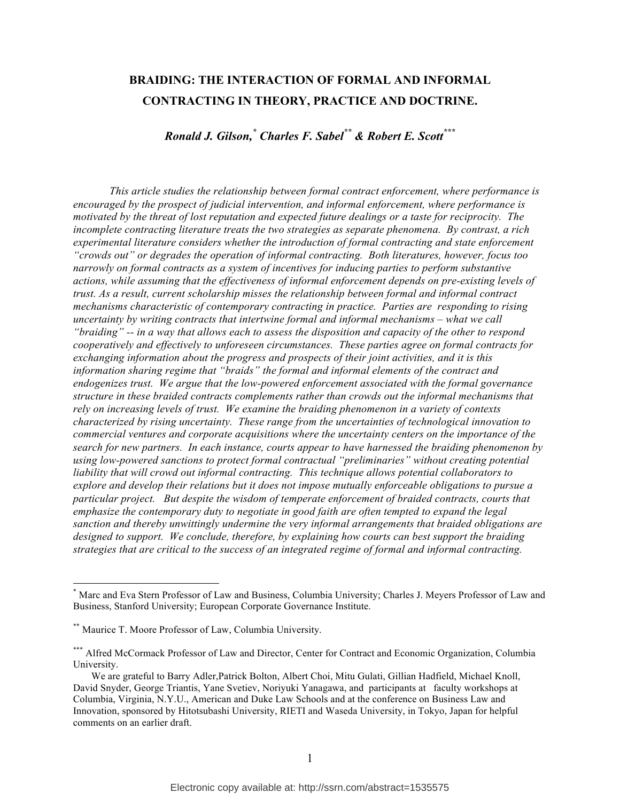# **BRAIDING: THE INTERACTION OF FORMAL AND INFORMAL CONTRACTING IN THEORY, PRACTICE AND DOCTRINE.**

*Ronald J. Gilson, \* Charles F. Sabel\*\* & Robert E. Scott\*\*\**

*This article studies the relationship between formal contract enforcement, where performance is encouraged by the prospect of judicial intervention, and informal enforcement, where performance is motivated by the threat of lost reputation and expected future dealings or a taste for reciprocity. The incomplete contracting literature treats the two strategies as separate phenomena. By contrast, a rich experimental literature considers whether the introduction of formal contracting and state enforcement "crowds out" or degrades the operation of informal contracting. Both literatures, however, focus too narrowly on formal contracts as a system of incentives for inducing parties to perform substantive actions, while assuming that the effectiveness of informal enforcement depends on pre-existing levels of trust. As a result, current scholarship misses the relationship between formal and informal contract mechanisms characteristic of contemporary contracting in practice. Parties are responding to rising uncertainty by writing contracts that intertwine formal and informal mechanisms – what we call "braiding" -- in a way that allows each to assess the disposition and capacity of the other to respond cooperatively and effectively to unforeseen circumstances. These parties agree on formal contracts for exchanging information about the progress and prospects of their joint activities, and it is this information sharing regime that "braids" the formal and informal elements of the contract and endogenizes trust. We argue that the low-powered enforcement associated with the formal governance structure in these braided contracts complements rather than crowds out the informal mechanisms that rely on increasing levels of trust. We examine the braiding phenomenon in a variety of contexts characterized by rising uncertainty. These range from the uncertainties of technological innovation to commercial ventures and corporate acquisitions where the uncertainty centers on the importance of the search for new partners. In each instance, courts appear to have harnessed the braiding phenomenon by using low-powered sanctions to protect formal contractual "preliminaries" without creating potential liability that will crowd out informal contracting. This technique allows potential collaborators to explore and develop their relations but it does not impose mutually enforceable obligations to pursue a particular project. But despite the wisdom of temperate enforcement of braided contracts, courts that emphasize the contemporary duty to negotiate in good faith are often tempted to expand the legal sanction and thereby unwittingly undermine the very informal arrangements that braided obligations are designed to support. We conclude, therefore, by explaining how courts can best support the braiding strategies that are critical to the success of an integrated regime of formal and informal contracting.* 

 <sup>\*</sup> Marc and Eva Stern Professor of Law and Business, Columbia University; Charles J. Meyers Professor of Law and Business, Stanford University; European Corporate Governance Institute.

<sup>\*\*</sup> Maurice T. Moore Professor of Law, Columbia University.

<sup>\*\*\*</sup> Alfred McCormack Professor of Law and Director, Center for Contract and Economic Organization, Columbia University.

We are grateful to Barry Adler,Patrick Bolton, Albert Choi, Mitu Gulati, Gillian Hadfield, Michael Knoll, David Snyder, George Triantis, Yane Svetiev, Noriyuki Yanagawa, and participants at faculty workshops at Columbia, Virginia, N.Y.U., American and Duke Law Schools and at the conference on Business Law and Innovation, sponsored by Hitotsubashi University, RIETI and Waseda University, in Tokyo, Japan for helpful comments on an earlier draft.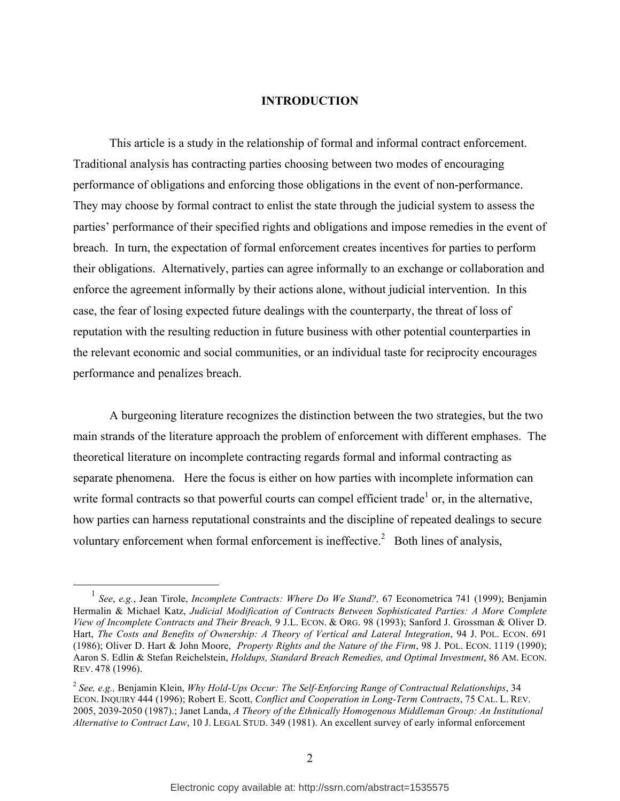#### **INTRODUCTION**

This article is a study in the relationship of formal and informal contract enforcement. Traditional analysis has contracting parties choosing between two modes of encouraging performance of obligations and enforcing those obligations in the event of non-performance. They may choose by formal contract to enlist the state through the judicial system to assess the parties' performance of their specified rights and obligations and impose remedies in the event of breach. In turn, the expectation of formal enforcement creates incentives for parties to perform their obligations. Alternatively, parties can agree informally to an exchange or collaboration and enforce the agreement informally by their actions alone, without judicial intervention. In this case, the fear of losing expected future dealings with the counterparty, the threat of loss of reputation with the resulting reduction in future business with other potential counterparties in the relevant economic and social communities, or an individual taste for reciprocity encourages performance and penalizes breach.

A burgeoning literature recognizes the distinction between the two strategies, but the two main strands of the literature approach the problem of enforcement with different emphases. The theoretical literature on incomplete contracting regards formal and informal contracting as separate phenomena. Here the focus is either on how parties with incomplete information can write formal contracts so that powerful courts can compel efficient trade<sup>1</sup> or, in the alternative, how parties can harness reputational constraints and the discipline of repeated dealings to secure voluntary enforcement when formal enforcement is ineffective.<sup>2</sup> Both lines of analysis,

 <sup>1</sup> *See*, *e.g.*, Jean Tirole, *Incomplete Contracts: Where Do We Stand?,* 67 Econometrica 741 (1999); Benjamin Hermalin & Michael Katz, *Judicial Modification of Contracts Between Sophisticated Parties: A More Complete View of Incomplete Contracts and Their Breach,* 9 J.L. ECON. & ORG. 98 (1993); Sanford J. Grossman & Oliver D. Hart, *The Costs and Benefits of Ownership: A Theory of Vertical and Lateral Integration*, 94 J. POL. ECON. 691 (1986); Oliver D. Hart & John Moore, *Property Rights and the Nature of the Firm*, 98 J. POL. ECON. 1119 (1990); Aaron S. Edlin & Stefan Reichelstein, *Holdups, Standard Breach Remedies, and Optimal Investment*, 86 AM. ECON. REV. 478 (1996).

<sup>2</sup> *See, e.g.,* Benjamin Klein, *Why Hold-Ups Occur: The Self-Enforcing Range of Contractual Relationships*, 34 ECON. INQUIRY 444 (1996); Robert E. Scott, *Conflict and Cooperation in Long-Term Contracts*, 75 CAL. L. REV. 2005, 2039-2050 (1987).; Janet Landa, *A Theory of the Ethnically Homogenous Middleman Group: An Institutional Alternative to Contract Law*, 10 J. LEGAL STUD. 349 (1981). An excellent survey of early informal enforcement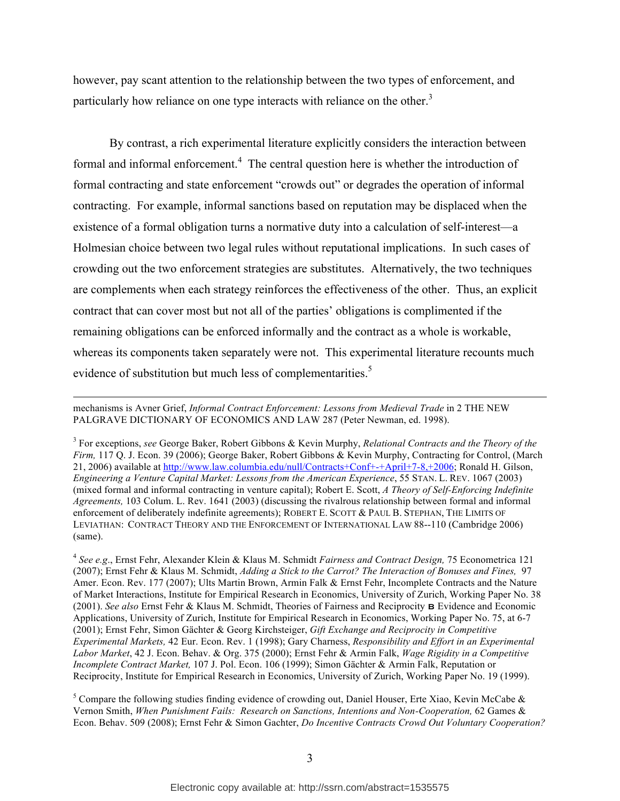however, pay scant attention to the relationship between the two types of enforcement, and particularly how reliance on one type interacts with reliance on the other.<sup>3</sup>

By contrast, a rich experimental literature explicitly considers the interaction between formal and informal enforcement.<sup>4</sup> The central question here is whether the introduction of formal contracting and state enforcement "crowds out" or degrades the operation of informal contracting. For example, informal sanctions based on reputation may be displaced when the existence of a formal obligation turns a normative duty into a calculation of self-interest—a Holmesian choice between two legal rules without reputational implications. In such cases of crowding out the two enforcement strategies are substitutes. Alternatively, the two techniques are complements when each strategy reinforces the effectiveness of the other. Thus, an explicit contract that can cover most but not all of the parties' obligations is complimented if the remaining obligations can be enforced informally and the contract as a whole is workable, whereas its components taken separately were not. This experimental literature recounts much evidence of substitution but much less of complementarities.<sup>5</sup>

 mechanisms is Avner Grief, *Informal Contract Enforcement: Lessons from Medieval Trade* in 2 THE NEW PALGRAVE DICTIONARY OF ECONOMICS AND LAW 287 (Peter Newman, ed. 1998).

3 For exceptions, *see* George Baker, Robert Gibbons & Kevin Murphy, *Relational Contracts and the Theory of the Firm,* 117 Q. J. Econ. 39 (2006); George Baker, Robert Gibbons & Kevin Murphy, Contracting for Control, (March 21, 2006) available at http://www.law.columbia.edu/null/Contracts+Conf+-+April+7-8,+2006; Ronald H. Gilson, *Engineering a Venture Capital Market: Lessons from the American Experience*, 55 STAN. L. REV. 1067 (2003) (mixed formal and informal contracting in venture capital); Robert E. Scott, *A Theory of Self-Enforcing Indefinite Agreements,* 103 Colum. L. Rev. 1641 (2003) (discussing the rivalrous relationship between formal and informal enforcement of deliberately indefinite agreements); ROBERT E. SCOTT & PAUL B. STEPHAN, THE LIMITS OF LEVIATHAN: CONTRACT THEORY AND THE ENFORCEMENT OF INTERNATIONAL LAW 88--110 (Cambridge 2006) (same).

<sup>4</sup> *See e.g*., Ernst Fehr, Alexander Klein & Klaus M. Schmidt *Fairness and Contract Design,* 75 Econometrica 121 (2007); Ernst Fehr & Klaus M. Schmidt, *Adding a Stick to the Carrot? The Interaction of Bonuses and Fines,* 97 Amer. Econ. Rev. 177 (2007); Ults Martin Brown, Armin Falk & Ernst Fehr, Incomplete Contracts and the Nature of Market Interactions, Institute for Empirical Research in Economics, University of Zurich, Working Paper No. 38 (2001). *See also* Ernst Fehr & Klaus M. Schmidt, Theories of Fairness and Reciprocity B Evidence and Economic Applications, University of Zurich, Institute for Empirical Research in Economics, Working Paper No. 75, at 6-7 (2001); Ernst Fehr, Simon Gächter & Georg Kirchsteiger, *Gift Exchange and Reciprocity in Competitive Experimental Markets,* 42 Eur. Econ. Rev. 1 (1998); Gary Charness, *Responsibility and Effort in an Experimental Labor Market*, 42 J. Econ. Behav. & Org. 375 (2000); Ernst Fehr & Armin Falk, *Wage Rigidity in a Competitive Incomplete Contract Market,* 107 J. Pol. Econ. 106 (1999); Simon Gächter & Armin Falk, Reputation or Reciprocity, Institute for Empirical Research in Economics, University of Zurich, Working Paper No. 19 (1999).

<sup>5</sup> Compare the following studies finding evidence of crowding out, Daniel Houser, Erte Xiao, Kevin McCabe  $\&$ Vernon Smith, *When Punishment Fails: Research on Sanctions, Intentions and Non-Cooperation, 62 Games &* Econ. Behav. 509 (2008); Ernst Fehr & Simon Gachter, *Do Incentive Contracts Crowd Out Voluntary Cooperation?*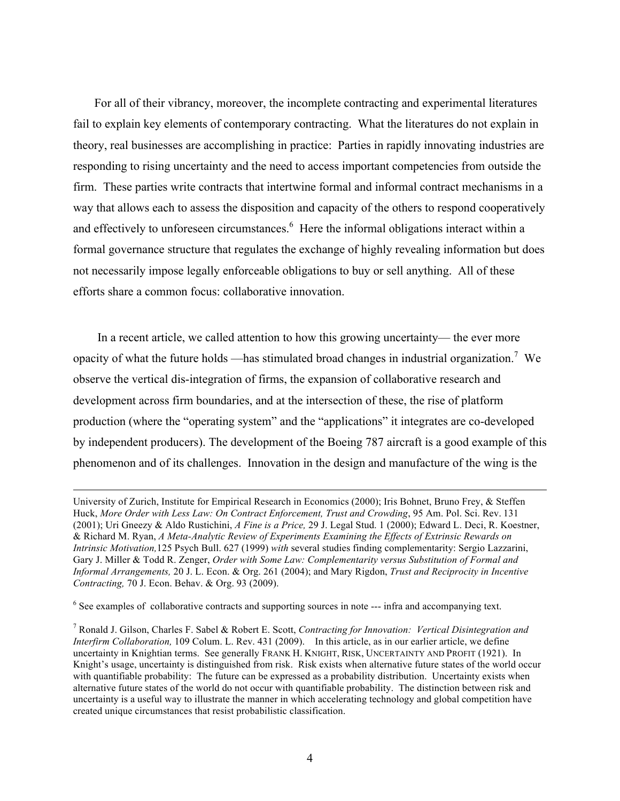For all of their vibrancy, moreover, the incomplete contracting and experimental literatures fail to explain key elements of contemporary contracting. What the literatures do not explain in theory, real businesses are accomplishing in practice: Parties in rapidly innovating industries are responding to rising uncertainty and the need to access important competencies from outside the firm. These parties write contracts that intertwine formal and informal contract mechanisms in a way that allows each to assess the disposition and capacity of the others to respond cooperatively and effectively to unforeseen circumstances.<sup>6</sup> Here the informal obligations interact within a formal governance structure that regulates the exchange of highly revealing information but does not necessarily impose legally enforceable obligations to buy or sell anything. All of these efforts share a common focus: collaborative innovation.

 In a recent article, we called attention to how this growing uncertainty— the ever more opacity of what the future holds —has stimulated broad changes in industrial organization.<sup>7</sup> We observe the vertical dis-integration of firms, the expansion of collaborative research and development across firm boundaries, and at the intersection of these, the rise of platform production (where the "operating system" and the "applications" it integrates are co-developed by independent producers). The development of the Boeing 787 aircraft is a good example of this phenomenon and of its challenges. Innovation in the design and manufacture of the wing is the

 $6$  See examples of collaborative contracts and supporting sources in note --- infra and accompanying text.

University of Zurich, Institute for Empirical Research in Economics (2000); Iris Bohnet, Bruno Frey, & Steffen Huck, *More Order with Less Law: On Contract Enforcement, Trust and Crowding*, 95 Am. Pol. Sci. Rev. 131 (2001); Uri Gneezy & Aldo Rustichini, *A Fine is a Price,* 29 J. Legal Stud. 1 (2000); Edward L. Deci, R. Koestner, & Richard M. Ryan, *A Meta-Analytic Review of Experiments Examining the Effects of Extrinsic Rewards on Intrinsic Motivation,*125 Psych Bull. 627 (1999) *with* several studies finding complementarity: Sergio Lazzarini, Gary J. Miller & Todd R. Zenger, *Order with Some Law: Complementarity versus Substitution of Formal and Informal Arrangements,* 20 J. L. Econ. & Org. 261 (2004); and Mary Rigdon, *Trust and Reciprocity in Incentive Contracting,* 70 J. Econ. Behav. & Org. 93 (2009).

<sup>7</sup> Ronald J. Gilson, Charles F. Sabel & Robert E. Scott, *Contracting for Innovation: Vertical Disintegration and Interfirm Collaboration,* 109 Colum. L. Rev. 431 (2009). In this article, as in our earlier article, we define uncertainty in Knightian terms. See generally FRANK H. KNIGHT, RISK, UNCERTAINTY AND PROFIT (1921). In Knight's usage, uncertainty is distinguished from risk. Risk exists when alternative future states of the world occur with quantifiable probability: The future can be expressed as a probability distribution. Uncertainty exists when alternative future states of the world do not occur with quantifiable probability. The distinction between risk and uncertainty is a useful way to illustrate the manner in which accelerating technology and global competition have created unique circumstances that resist probabilistic classification.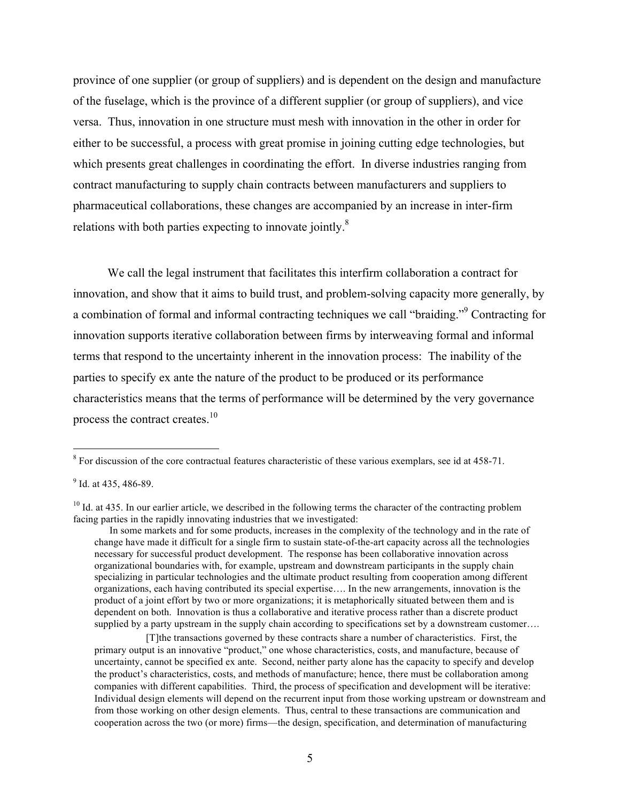province of one supplier (or group of suppliers) and is dependent on the design and manufacture of the fuselage, which is the province of a different supplier (or group of suppliers), and vice versa. Thus, innovation in one structure must mesh with innovation in the other in order for either to be successful, a process with great promise in joining cutting edge technologies, but which presents great challenges in coordinating the effort. In diverse industries ranging from contract manufacturing to supply chain contracts between manufacturers and suppliers to pharmaceutical collaborations, these changes are accompanied by an increase in inter-firm relations with both parties expecting to innovate jointly. $8$ 

 We call the legal instrument that facilitates this interfirm collaboration a contract for innovation, and show that it aims to build trust, and problem-solving capacity more generally, by a combination of formal and informal contracting techniques we call "braiding."<sup>9</sup> Contracting for innovation supports iterative collaboration between firms by interweaving formal and informal terms that respond to the uncertainty inherent in the innovation process: The inability of the parties to specify ex ante the nature of the product to be produced or its performance characteristics means that the terms of performance will be determined by the very governance process the contract creates.<sup>10</sup>

In some markets and for some products, increases in the complexity of the technology and in the rate of change have made it difficult for a single firm to sustain state-of-the-art capacity across all the technologies necessary for successful product development. The response has been collaborative innovation across organizational boundaries with, for example, upstream and downstream participants in the supply chain specializing in particular technologies and the ultimate product resulting from cooperation among different organizations, each having contributed its special expertise…. In the new arrangements, innovation is the product of a joint effort by two or more organizations; it is metaphorically situated between them and is dependent on both. Innovation is thus a collaborative and iterative process rather than a discrete product supplied by a party upstream in the supply chain according to specifications set by a downstream customer....

[T]the transactions governed by these contracts share a number of characteristics. First, the primary output is an innovative "product," one whose characteristics, costs, and manufacture, because of uncertainty, cannot be specified ex ante. Second, neither party alone has the capacity to specify and develop the product's characteristics, costs, and methods of manufacture; hence, there must be collaboration among companies with different capabilities. Third, the process of specification and development will be iterative: Individual design elements will depend on the recurrent input from those working upstream or downstream and from those working on other design elements. Thus, central to these transactions are communication and cooperation across the two (or more) firms—the design, specification, and determination of manufacturing

 $\frac{1}{8}$ <sup>8</sup> For discussion of the core contractual features characteristic of these various exemplars, see id at 458-71.

<sup>&</sup>lt;sup>9</sup> Id. at 435, 486-89.

 $10$  Id. at 435. In our earlier article, we described in the following terms the character of the contracting problem facing parties in the rapidly innovating industries that we investigated: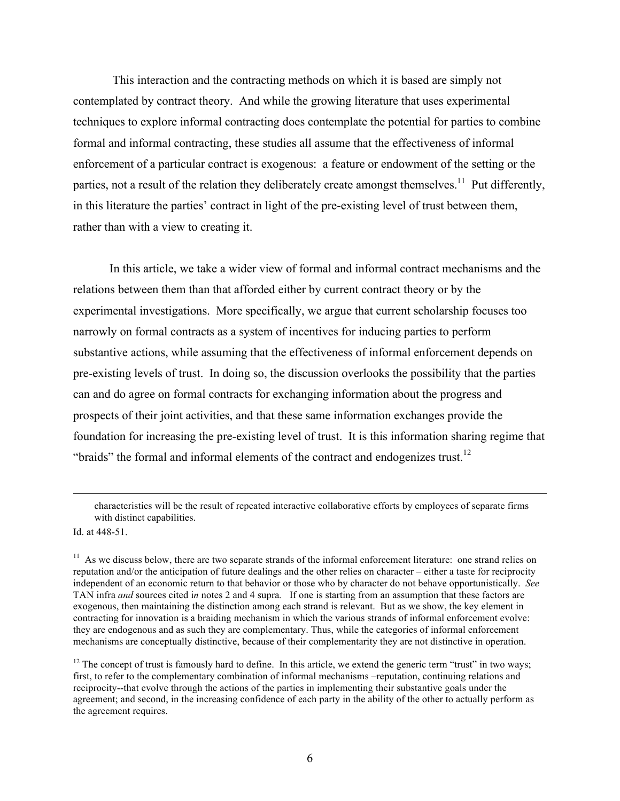This interaction and the contracting methods on which it is based are simply not contemplated by contract theory. And while the growing literature that uses experimental techniques to explore informal contracting does contemplate the potential for parties to combine formal and informal contracting, these studies all assume that the effectiveness of informal enforcement of a particular contract is exogenous: a feature or endowment of the setting or the parties, not a result of the relation they deliberately create amongst themselves.<sup>11</sup> Put differently, in this literature the parties' contract in light of the pre-existing level of trust between them, rather than with a view to creating it.

In this article, we take a wider view of formal and informal contract mechanisms and the relations between them than that afforded either by current contract theory or by the experimental investigations. More specifically, we argue that current scholarship focuses too narrowly on formal contracts as a system of incentives for inducing parties to perform substantive actions, while assuming that the effectiveness of informal enforcement depends on pre-existing levels of trust. In doing so, the discussion overlooks the possibility that the parties can and do agree on formal contracts for exchanging information about the progress and prospects of their joint activities, and that these same information exchanges provide the foundation for increasing the pre-existing level of trust. It is this information sharing regime that "braids" the formal and informal elements of the contract and endogenizes trust.<sup>12</sup>

Id. at 448-51.

1

characteristics will be the result of repeated interactive collaborative efforts by employees of separate firms with distinct capabilities.

 $11$  As we discuss below, there are two separate strands of the informal enforcement literature: one strand relies on reputation and/or the anticipation of future dealings and the other relies on character – either a taste for reciprocity independent of an economic return to that behavior or those who by character do not behave opportunistically. *See*  TAN infra *and* sources cited i*n* notes 2 and 4 supra*.* If one is starting from an assumption that these factors are exogenous, then maintaining the distinction among each strand is relevant. But as we show, the key element in contracting for innovation is a braiding mechanism in which the various strands of informal enforcement evolve: they are endogenous and as such they are complementary. Thus, while the categories of informal enforcement mechanisms are conceptually distinctive, because of their complementarity they are not distinctive in operation.

 $12$  The concept of trust is famously hard to define. In this article, we extend the generic term "trust" in two ways; first, to refer to the complementary combination of informal mechanisms –reputation, continuing relations and reciprocity--that evolve through the actions of the parties in implementing their substantive goals under the agreement; and second, in the increasing confidence of each party in the ability of the other to actually perform as the agreement requires.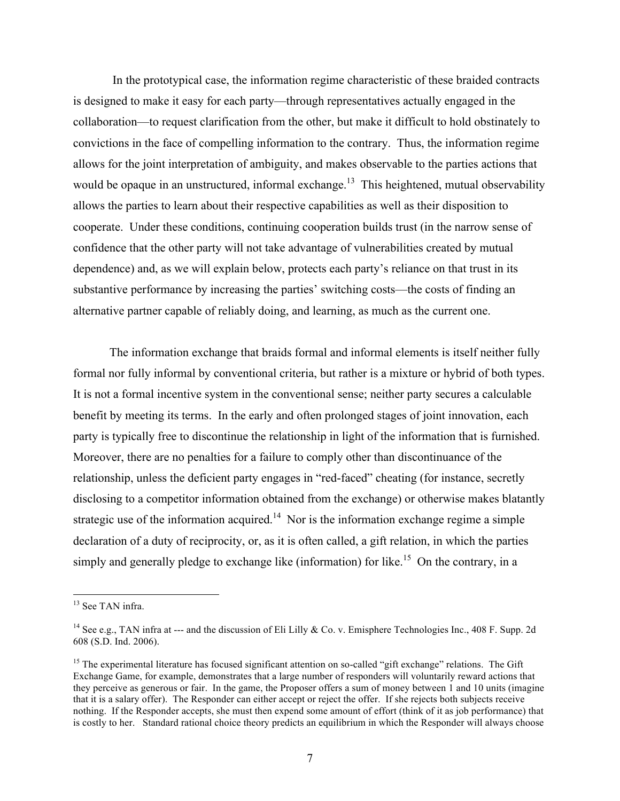In the prototypical case, the information regime characteristic of these braided contracts is designed to make it easy for each party—through representatives actually engaged in the collaboration—to request clarification from the other, but make it difficult to hold obstinately to convictions in the face of compelling information to the contrary. Thus, the information regime allows for the joint interpretation of ambiguity, and makes observable to the parties actions that would be opaque in an unstructured, informal exchange.<sup>13</sup> This heightened, mutual observability allows the parties to learn about their respective capabilities as well as their disposition to cooperate. Under these conditions, continuing cooperation builds trust (in the narrow sense of confidence that the other party will not take advantage of vulnerabilities created by mutual dependence) and, as we will explain below, protects each party's reliance on that trust in its substantive performance by increasing the parties' switching costs—the costs of finding an alternative partner capable of reliably doing, and learning, as much as the current one.

The information exchange that braids formal and informal elements is itself neither fully formal nor fully informal by conventional criteria, but rather is a mixture or hybrid of both types. It is not a formal incentive system in the conventional sense; neither party secures a calculable benefit by meeting its terms. In the early and often prolonged stages of joint innovation, each party is typically free to discontinue the relationship in light of the information that is furnished. Moreover, there are no penalties for a failure to comply other than discontinuance of the relationship, unless the deficient party engages in "red-faced" cheating (for instance, secretly disclosing to a competitor information obtained from the exchange) or otherwise makes blatantly strategic use of the information acquired.<sup>14</sup> Nor is the information exchange regime a simple declaration of a duty of reciprocity, or, as it is often called, a gift relation, in which the parties simply and generally pledge to exchange like (information) for like.<sup>15</sup> On the contrary, in a

<sup>&</sup>lt;sup>13</sup> See TAN infra.

<sup>&</sup>lt;sup>14</sup> See e.g., TAN infra at --- and the discussion of Eli Lilly & Co. v. Emisphere Technologies Inc., 408 F. Supp. 2d 608 (S.D. Ind. 2006).

<sup>&</sup>lt;sup>15</sup> The experimental literature has focused significant attention on so-called "gift exchange" relations. The Gift Exchange Game, for example, demonstrates that a large number of responders will voluntarily reward actions that they perceive as generous or fair. In the game, the Proposer offers a sum of money between 1 and 10 units (imagine that it is a salary offer). The Responder can either accept or reject the offer. If she rejects both subjects receive nothing. If the Responder accepts, she must then expend some amount of effort (think of it as job performance) that is costly to her. Standard rational choice theory predicts an equilibrium in which the Responder will always choose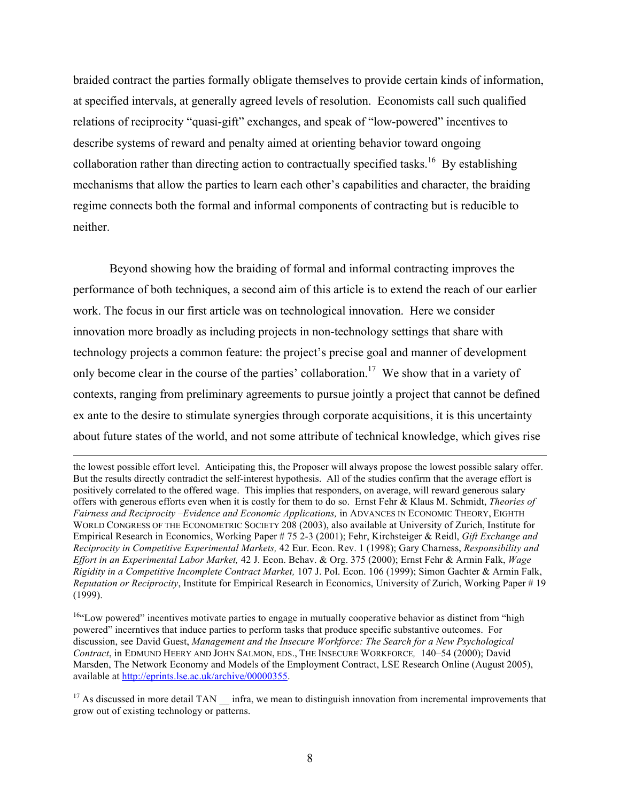braided contract the parties formally obligate themselves to provide certain kinds of information, at specified intervals, at generally agreed levels of resolution. Economists call such qualified relations of reciprocity "quasi-gift" exchanges, and speak of "low-powered" incentives to describe systems of reward and penalty aimed at orienting behavior toward ongoing collaboration rather than directing action to contractually specified tasks.<sup>16</sup> By establishing mechanisms that allow the parties to learn each other's capabilities and character, the braiding regime connects both the formal and informal components of contracting but is reducible to neither.

Beyond showing how the braiding of formal and informal contracting improves the performance of both techniques, a second aim of this article is to extend the reach of our earlier work. The focus in our first article was on technological innovation. Here we consider innovation more broadly as including projects in non-technology settings that share with technology projects a common feature: the project's precise goal and manner of development only become clear in the course of the parties' collaboration.<sup>17</sup> We show that in a variety of contexts, ranging from preliminary agreements to pursue jointly a project that cannot be defined ex ante to the desire to stimulate synergies through corporate acquisitions, it is this uncertainty about future states of the world, and not some attribute of technical knowledge, which gives rise

 the lowest possible effort level. Anticipating this, the Proposer will always propose the lowest possible salary offer. But the results directly contradict the self-interest hypothesis. All of the studies confirm that the average effort is positively correlated to the offered wage. This implies that responders, on average, will reward generous salary offers with generous efforts even when it is costly for them to do so. Ernst Fehr & Klaus M. Schmidt, *Theories of Fairness and Reciprocity –Evidence and Economic Applications,* in ADVANCES IN ECONOMIC THEORY, EIGHTH WORLD CONGRESS OF THE ECONOMETRIC SOCIETY 208 (2003), also available at University of Zurich, Institute for Empirical Research in Economics, Working Paper # 75 2-3 (2001); Fehr, Kirchsteiger & Reidl, *Gift Exchange and Reciprocity in Competitive Experimental Markets,* 42 Eur. Econ. Rev. 1 (1998); Gary Charness, *Responsibility and Effort in an Experimental Labor Market,* 42 J. Econ. Behav. & Org. 375 (2000); Ernst Fehr & Armin Falk, *Wage Rigidity in a Competitive Incomplete Contract Market,* 107 J. Pol. Econ. 106 (1999); Simon Gachter & Armin Falk, *Reputation or Reciprocity*, Institute for Empirical Research in Economics, University of Zurich, Working Paper # 19 (1999).

<sup>16"</sup>Low powered" incentives motivate parties to engage in mutually cooperative behavior as distinct from "high powered" incerntives that induce parties to perform tasks that produce specific substantive outcomes. For discussion, see David Guest, *Management and the Insecure Workforce: The Search for a New Psychological Contract*, in EDMUND HEERY AND JOHN SALMON, EDS., THE INSECURE WORKFORCE*,* 140–54 (2000); David Marsden, The Network Economy and Models of the Employment Contract, LSE Research Online (August 2005), available at http://eprints.lse.ac.uk/archive/00000355.

<sup>17</sup> As discussed in more detail TAN  $\frac{1}{2}$  infra, we mean to distinguish innovation from incremental improvements that grow out of existing technology or patterns.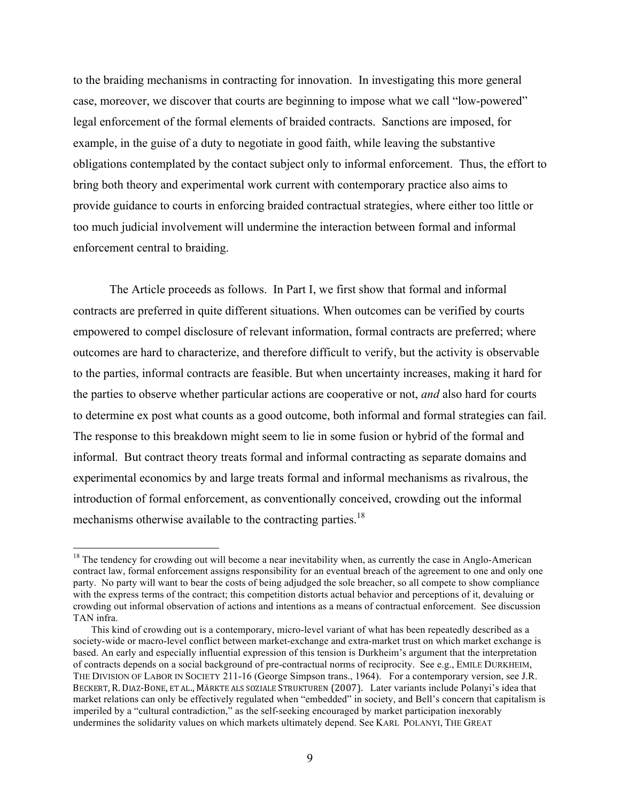to the braiding mechanisms in contracting for innovation. In investigating this more general case, moreover, we discover that courts are beginning to impose what we call "low-powered" legal enforcement of the formal elements of braided contracts. Sanctions are imposed, for example, in the guise of a duty to negotiate in good faith, while leaving the substantive obligations contemplated by the contact subject only to informal enforcement. Thus, the effort to bring both theory and experimental work current with contemporary practice also aims to provide guidance to courts in enforcing braided contractual strategies, where either too little or too much judicial involvement will undermine the interaction between formal and informal enforcement central to braiding.

The Article proceeds as follows. In Part I, we first show that formal and informal contracts are preferred in quite different situations. When outcomes can be verified by courts empowered to compel disclosure of relevant information, formal contracts are preferred; where outcomes are hard to characterize, and therefore difficult to verify, but the activity is observable to the parties, informal contracts are feasible. But when uncertainty increases, making it hard for the parties to observe whether particular actions are cooperative or not, *and* also hard for courts to determine ex post what counts as a good outcome, both informal and formal strategies can fail. The response to this breakdown might seem to lie in some fusion or hybrid of the formal and informal. But contract theory treats formal and informal contracting as separate domains and experimental economics by and large treats formal and informal mechanisms as rivalrous, the introduction of formal enforcement, as conventionally conceived, crowding out the informal mechanisms otherwise available to the contracting parties.<sup>18</sup>

<sup>&</sup>lt;sup>18</sup> The tendency for crowding out will become a near inevitability when, as currently the case in Anglo-American contract law, formal enforcement assigns responsibility for an eventual breach of the agreement to one and only one party. No party will want to bear the costs of being adjudged the sole breacher, so all compete to show compliance with the express terms of the contract; this competition distorts actual behavior and perceptions of it, devaluing or crowding out informal observation of actions and intentions as a means of contractual enforcement. See discussion TAN infra.

This kind of crowding out is a contemporary, micro-level variant of what has been repeatedly described as a society-wide or macro-level conflict between market-exchange and extra-market trust on which market exchange is based. An early and especially influential expression of this tension is Durkheim's argument that the interpretation of contracts depends on a social background of pre-contractual norms of reciprocity. See e.g., EMILE DURKHEIM, THE DIVISION OF LABOR IN SOCIETY 211-16 (George Simpson trans., 1964).For a contemporary version, see J.R. BECKERT, R. DIAZ-BONE, ET AL., MÄRKTE ALS SOZIALE STRUKTUREN (2007). Later variants include Polanyi's idea that market relations can only be effectively regulated when "embedded" in society, and Bell's concern that capitalism is imperiled by a "cultural contradiction," as the self-seeking encouraged by market participation inexorably undermines the solidarity values on which markets ultimately depend. See KARL POLANYI, THE GREAT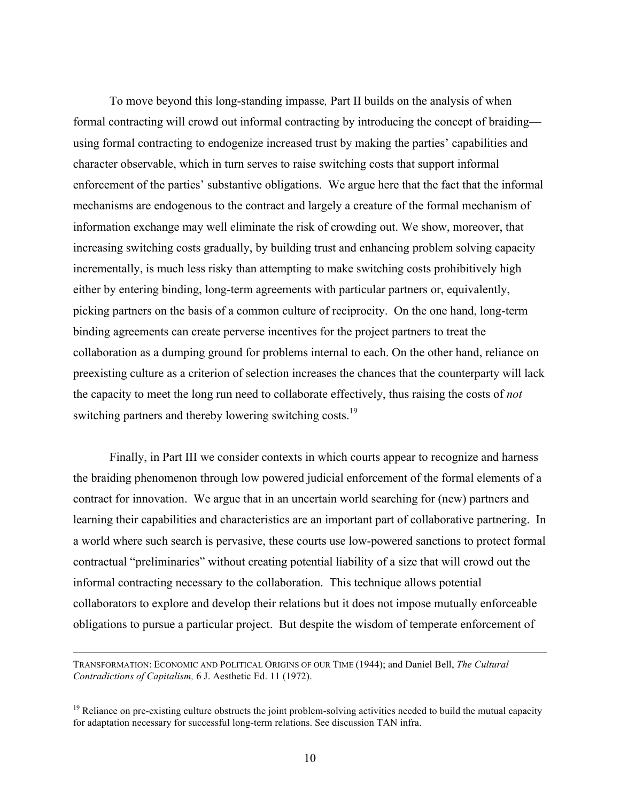To move beyond this long-standing impasse*,* Part II builds on the analysis of when formal contracting will crowd out informal contracting by introducing the concept of braiding using formal contracting to endogenize increased trust by making the parties' capabilities and character observable, which in turn serves to raise switching costs that support informal enforcement of the parties' substantive obligations. We argue here that the fact that the informal mechanisms are endogenous to the contract and largely a creature of the formal mechanism of information exchange may well eliminate the risk of crowding out. We show, moreover, that increasing switching costs gradually, by building trust and enhancing problem solving capacity incrementally, is much less risky than attempting to make switching costs prohibitively high either by entering binding, long-term agreements with particular partners or, equivalently, picking partners on the basis of a common culture of reciprocity. On the one hand, long-term binding agreements can create perverse incentives for the project partners to treat the collaboration as a dumping ground for problems internal to each. On the other hand, reliance on preexisting culture as a criterion of selection increases the chances that the counterparty will lack the capacity to meet the long run need to collaborate effectively, thus raising the costs of *not* switching partners and thereby lowering switching costs.<sup>19</sup>

Finally, in Part III we consider contexts in which courts appear to recognize and harness the braiding phenomenon through low powered judicial enforcement of the formal elements of a contract for innovation. We argue that in an uncertain world searching for (new) partners and learning their capabilities and characteristics are an important part of collaborative partnering. In a world where such search is pervasive, these courts use low-powered sanctions to protect formal contractual "preliminaries" without creating potential liability of a size that will crowd out the informal contracting necessary to the collaboration. This technique allows potential collaborators to explore and develop their relations but it does not impose mutually enforceable obligations to pursue a particular project. But despite the wisdom of temperate enforcement of

TRANSFORMATION: ECONOMIC AND POLITICAL ORIGINS OF OUR TIME (1944); and Daniel Bell, *The Cultural Contradictions of Capitalism,* 6 J. Aesthetic Ed. 11 (1972).

 $19$  Reliance on pre-existing culture obstructs the joint problem-solving activities needed to build the mutual capacity for adaptation necessary for successful long-term relations. See discussion TAN infra.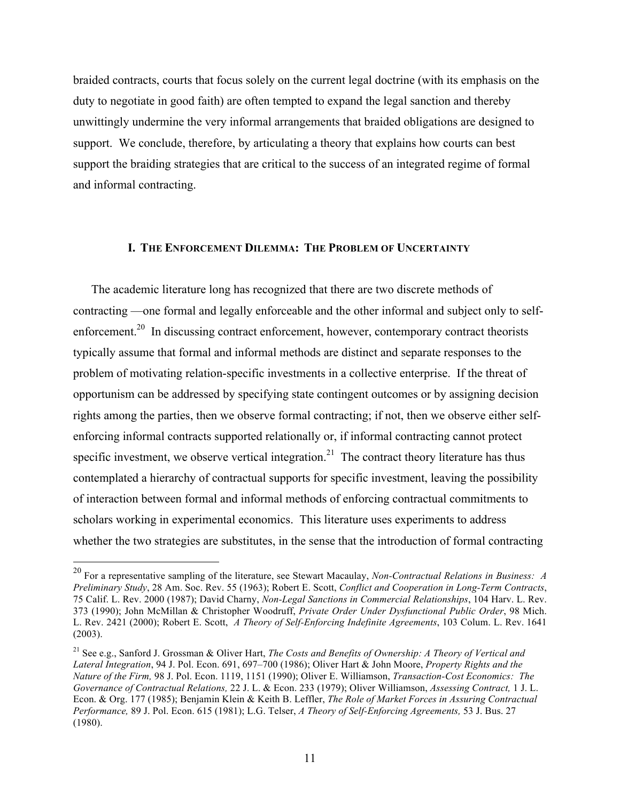braided contracts, courts that focus solely on the current legal doctrine (with its emphasis on the duty to negotiate in good faith) are often tempted to expand the legal sanction and thereby unwittingly undermine the very informal arrangements that braided obligations are designed to support. We conclude, therefore, by articulating a theory that explains how courts can best support the braiding strategies that are critical to the success of an integrated regime of formal and informal contracting.

### **I. THE ENFORCEMENT DILEMMA: THE PROBLEM OF UNCERTAINTY**

The academic literature long has recognized that there are two discrete methods of contracting —one formal and legally enforceable and the other informal and subject only to selfenforcement.<sup>20</sup> In discussing contract enforcement, however, contemporary contract theorists typically assume that formal and informal methods are distinct and separate responses to the problem of motivating relation-specific investments in a collective enterprise. If the threat of opportunism can be addressed by specifying state contingent outcomes or by assigning decision rights among the parties, then we observe formal contracting; if not, then we observe either selfenforcing informal contracts supported relationally or, if informal contracting cannot protect specific investment, we observe vertical integration.<sup>21</sup> The contract theory literature has thus contemplated a hierarchy of contractual supports for specific investment, leaving the possibility of interaction between formal and informal methods of enforcing contractual commitments to scholars working in experimental economics. This literature uses experiments to address whether the two strategies are substitutes, in the sense that the introduction of formal contracting

 <sup>20</sup> For a representative sampling of the literature, see Stewart Macaulay, *Non-Contractual Relations in Business: A Preliminary Study*, 28 Am. Soc. Rev. 55 (1963); Robert E. Scott, *Conflict and Cooperation in Long-Term Contracts*, 75 Calif. L. Rev. 2000 (1987); David Charny, *Non-Legal Sanctions in Commercial Relationships*, 104 Harv. L. Rev. 373 (1990); John McMillan & Christopher Woodruff, *Private Order Under Dysfunctional Public Order*, 98 Mich. L. Rev. 2421 (2000); Robert E. Scott, *A Theory of Self-Enforcing Indefinite Agreements*, 103 Colum. L. Rev. 1641 (2003).

<sup>21</sup> See e.g., Sanford J. Grossman & Oliver Hart, *The Costs and Benefits of Ownership: A Theory of Vertical and Lateral Integration*, 94 J. Pol. Econ. 691, 697–700 (1986); Oliver Hart & John Moore, *Property Rights and the Nature of the Firm,* 98 J. Pol. Econ. 1119, 1151 (1990); Oliver E. Williamson, *Transaction-Cost Economics: The Governance of Contractual Relations,* 22 J. L. & Econ. 233 (1979); Oliver Williamson, *Assessing Contract,* 1 J. L. Econ. & Org. 177 (1985); Benjamin Klein & Keith B. Leffler, *The Role of Market Forces in Assuring Contractual Performance,* 89 J. Pol. Econ. 615 (1981); L.G. Telser, *A Theory of Self-Enforcing Agreements,* 53 J. Bus. 27 (1980).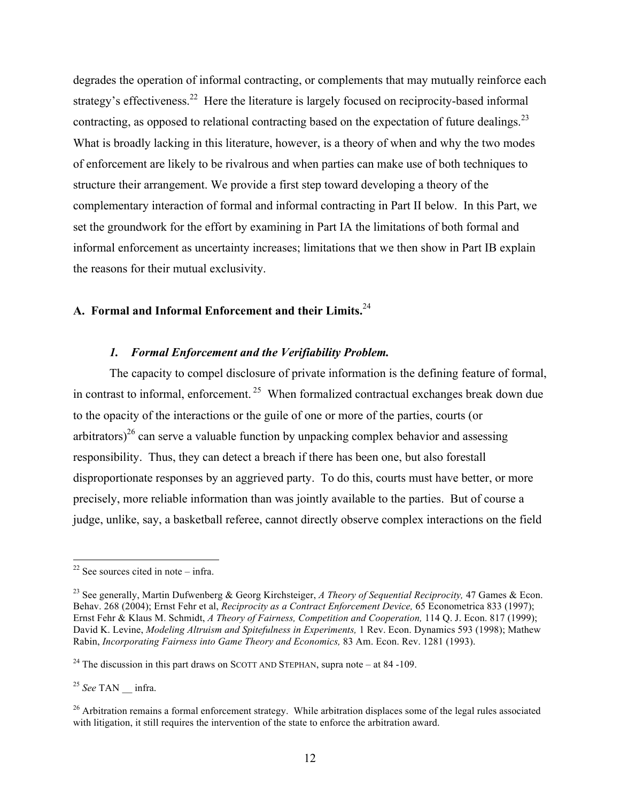degrades the operation of informal contracting, or complements that may mutually reinforce each strategy's effectiveness.<sup>22</sup> Here the literature is largely focused on reciprocity-based informal contracting, as opposed to relational contracting based on the expectation of future dealings.<sup>23</sup> What is broadly lacking in this literature, however, is a theory of when and why the two modes of enforcement are likely to be rivalrous and when parties can make use of both techniques to structure their arrangement. We provide a first step toward developing a theory of the complementary interaction of formal and informal contracting in Part II below. In this Part, we set the groundwork for the effort by examining in Part IA the limitations of both formal and informal enforcement as uncertainty increases; limitations that we then show in Part IB explain the reasons for their mutual exclusivity.

## **A. Formal and Informal Enforcement and their Limits.** 24

#### *1. Formal Enforcement and the Verifiability Problem.*

The capacity to compel disclosure of private information is the defining feature of formal, in contrast to informal, enforcement.<sup>25</sup> When formalized contractual exchanges break down due to the opacity of the interactions or the guile of one or more of the parties, courts (or arbitrators)<sup>26</sup> can serve a valuable function by unpacking complex behavior and assessing responsibility. Thus, they can detect a breach if there has been one, but also forestall disproportionate responses by an aggrieved party. To do this, courts must have better, or more precisely, more reliable information than was jointly available to the parties. But of course a judge, unlike, say, a basketball referee, cannot directly observe complex interactions on the field

<sup>25</sup> See TAN infra.

 $22$  See sources cited in note – infra.

<sup>23</sup> See generally, Martin Dufwenberg & Georg Kirchsteiger, *A Theory of Sequential Reciprocity,* 47 Games & Econ. Behav. 268 (2004); Ernst Fehr et al, *Reciprocity as a Contract Enforcement Device,* 65 Econometrica 833 (1997); Ernst Fehr & Klaus M. Schmidt, *A Theory of Fairness, Competition and Cooperation,* 114 Q. J. Econ. 817 (1999); David K. Levine, *Modeling Altruism and Spitefulness in Experiments,* 1 Rev. Econ. Dynamics 593 (1998); Mathew Rabin, *Incorporating Fairness into Game Theory and Economics,* 83 Am. Econ. Rev. 1281 (1993).

<sup>&</sup>lt;sup>24</sup> The discussion in this part draws on SCOTT AND STEPHAN, supra note – at 84 -109.

<sup>&</sup>lt;sup>26</sup> Arbitration remains a formal enforcement strategy. While arbitration displaces some of the legal rules associated with litigation, it still requires the intervention of the state to enforce the arbitration award.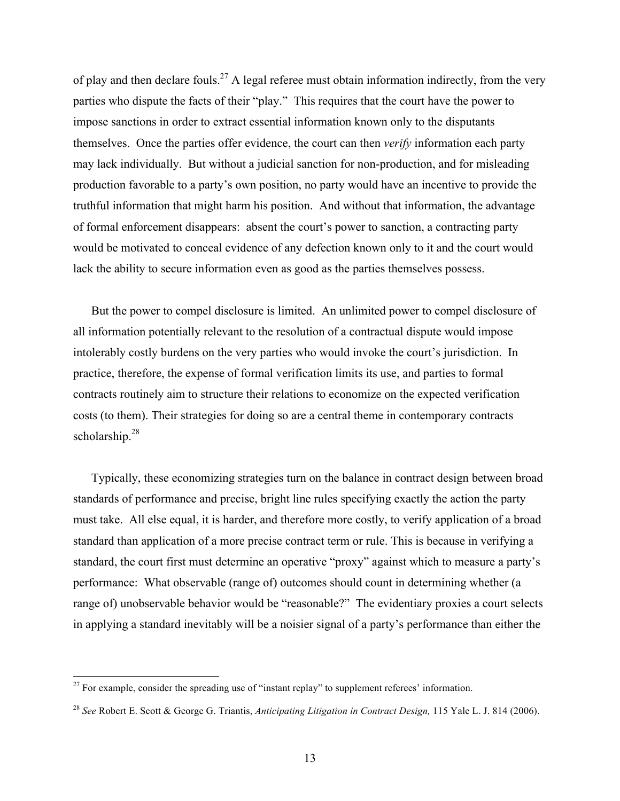of play and then declare fouls.<sup>27</sup> A legal referee must obtain information indirectly, from the very parties who dispute the facts of their "play." This requires that the court have the power to impose sanctions in order to extract essential information known only to the disputants themselves. Once the parties offer evidence, the court can then *verify* information each party may lack individually. But without a judicial sanction for non-production, and for misleading production favorable to a party's own position, no party would have an incentive to provide the truthful information that might harm his position. And without that information, the advantage of formal enforcement disappears: absent the court's power to sanction, a contracting party would be motivated to conceal evidence of any defection known only to it and the court would lack the ability to secure information even as good as the parties themselves possess.

But the power to compel disclosure is limited. An unlimited power to compel disclosure of all information potentially relevant to the resolution of a contractual dispute would impose intolerably costly burdens on the very parties who would invoke the court's jurisdiction. In practice, therefore, the expense of formal verification limits its use, and parties to formal contracts routinely aim to structure their relations to economize on the expected verification costs (to them). Their strategies for doing so are a central theme in contemporary contracts scholarship.<sup>28</sup>

Typically, these economizing strategies turn on the balance in contract design between broad standards of performance and precise, bright line rules specifying exactly the action the party must take. All else equal, it is harder, and therefore more costly, to verify application of a broad standard than application of a more precise contract term or rule. This is because in verifying a standard, the court first must determine an operative "proxy" against which to measure a party's performance: What observable (range of) outcomes should count in determining whether (a range of) unobservable behavior would be "reasonable?" The evidentiary proxies a court selects in applying a standard inevitably will be a noisier signal of a party's performance than either the

 $27$  For example, consider the spreading use of "instant replay" to supplement referees' information.

<sup>28</sup> *See* Robert E. Scott & George G. Triantis, *Anticipating Litigation in Contract Design,* 115 Yale L. J. 814 (2006).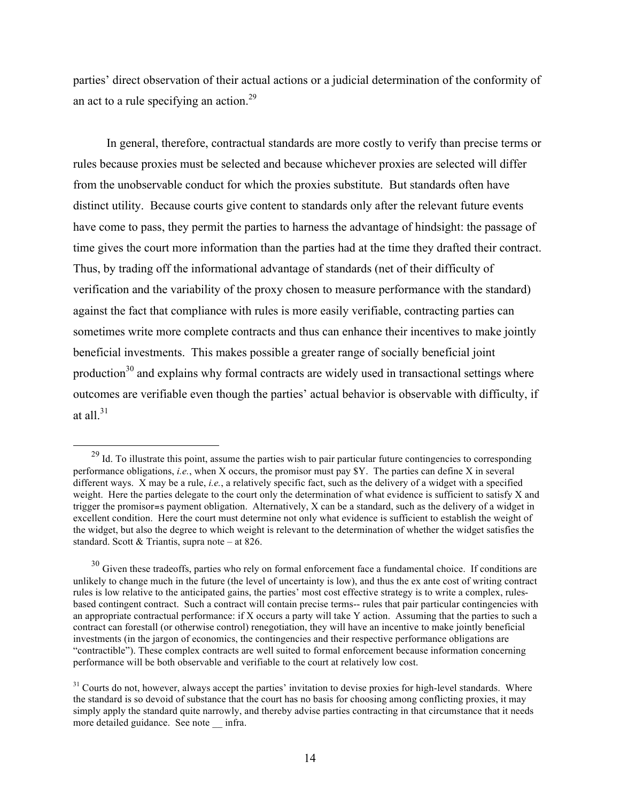parties' direct observation of their actual actions or a judicial determination of the conformity of an act to a rule specifying an action.<sup>29</sup>

 In general, therefore, contractual standards are more costly to verify than precise terms or rules because proxies must be selected and because whichever proxies are selected will differ from the unobservable conduct for which the proxies substitute. But standards often have distinct utility. Because courts give content to standards only after the relevant future events have come to pass, they permit the parties to harness the advantage of hindsight: the passage of time gives the court more information than the parties had at the time they drafted their contract. Thus, by trading off the informational advantage of standards (net of their difficulty of verification and the variability of the proxy chosen to measure performance with the standard) against the fact that compliance with rules is more easily verifiable, contracting parties can sometimes write more complete contracts and thus can enhance their incentives to make jointly beneficial investments. This makes possible a greater range of socially beneficial joint production $30$  and explains why formal contracts are widely used in transactional settings where outcomes are verifiable even though the parties' actual behavior is observable with difficulty, if at all. $31$ 

 $29$  Id. To illustrate this point, assume the parties wish to pair particular future contingencies to corresponding performance obligations, *i.e.*, when X occurs, the promisor must pay \$Y. The parties can define X in several different ways. X may be a rule, *i.e.*, a relatively specific fact, such as the delivery of a widget with a specified weight. Here the parties delegate to the court only the determination of what evidence is sufficient to satisfy X and trigger the promisor=s payment obligation. Alternatively, X can be a standard, such as the delivery of a widget in excellent condition. Here the court must determine not only what evidence is sufficient to establish the weight of the widget, but also the degree to which weight is relevant to the determination of whether the widget satisfies the standard. Scott & Triantis, supra note – at 826.

<sup>&</sup>lt;sup>30</sup> Given these tradeoffs, parties who rely on formal enforcement face a fundamental choice. If conditions are unlikely to change much in the future (the level of uncertainty is low), and thus the ex ante cost of writing contract rules is low relative to the anticipated gains, the parties' most cost effective strategy is to write a complex, rulesbased contingent contract. Such a contract will contain precise terms-- rules that pair particular contingencies with an appropriate contractual performance: if X occurs a party will take Y action. Assuming that the parties to such a contract can forestall (or otherwise control) renegotiation, they will have an incentive to make jointly beneficial investments (in the jargon of economics, the contingencies and their respective performance obligations are "contractible"). These complex contracts are well suited to formal enforcement because information concerning performance will be both observable and verifiable to the court at relatively low cost.

 $31$  Courts do not, however, always accept the parties' invitation to devise proxies for high-level standards. Where the standard is so devoid of substance that the court has no basis for choosing among conflicting proxies, it may simply apply the standard quite narrowly, and thereby advise parties contracting in that circumstance that it needs more detailed guidance. See note \_\_ infra.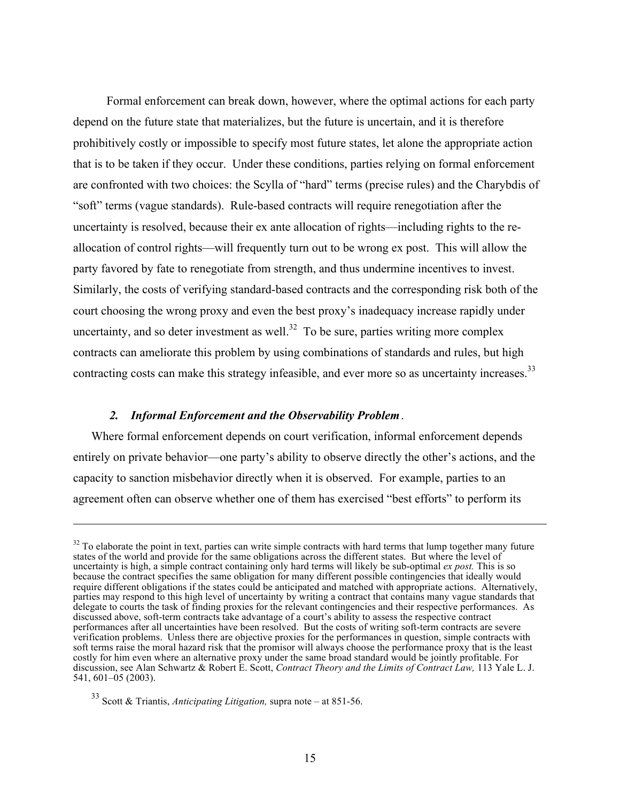Formal enforcement can break down, however, where the optimal actions for each party depend on the future state that materializes, but the future is uncertain, and it is therefore prohibitively costly or impossible to specify most future states, let alone the appropriate action that is to be taken if they occur. Under these conditions, parties relying on formal enforcement are confronted with two choices: the Scylla of "hard" terms (precise rules) and the Charybdis of "soft" terms (vague standards). Rule-based contracts will require renegotiation after the uncertainty is resolved, because their ex ante allocation of rights—including rights to the reallocation of control rights—will frequently turn out to be wrong ex post. This will allow the party favored by fate to renegotiate from strength, and thus undermine incentives to invest. Similarly, the costs of verifying standard-based contracts and the corresponding risk both of the court choosing the wrong proxy and even the best proxy's inadequacy increase rapidly under uncertainty, and so deter investment as well.<sup>32</sup> To be sure, parties writing more complex contracts can ameliorate this problem by using combinations of standards and rules, but high contracting costs can make this strategy infeasible, and ever more so as uncertainty increases.<sup>33</sup>

#### *2. Informal Enforcement and the Observability Problem*.

Where formal enforcement depends on court verification, informal enforcement depends entirely on private behavior—one party's ability to observe directly the other's actions, and the capacity to sanction misbehavior directly when it is observed. For example, parties to an agreement often can observe whether one of them has exercised "best efforts" to perform its

<u>.</u>

 $32$  To elaborate the point in text, parties can write simple contracts with hard terms that lump together many future states of the world and provide for the same obligations across the different states. But where the level of uncertainty is high, a simple contract containing only hard terms will likely be sub-optimal *ex post.* This is so because the contract specifies the same obligation for many different possible contingencies that ideally would require different obligations if the states could be anticipated and matched with appropriate actions. Alternatively, parties may respond to this high level of uncertainty by writing a contract that contains many vague standards that delegate to courts the task of finding proxies for the relevant contingencies and their respective performances. As discussed above, soft-term contracts take advantage of a court's ability to assess the respective contract performances after all uncertainties have been resolved. But the costs of writing soft-term contracts are severe verification problems. Unless there are objective proxies for the performances in question, simple contracts with soft terms raise the moral hazard risk that the promisor will always choose the performance proxy that is the least costly for him even where an alternative proxy under the same broad standard would be jointly profitable. For discussion, see Alan Schwartz & Robert E. Scott, *Contract Theory and the Limits of Contract Law,* 113 Yale L. J. 541, 601–05 (2003).

<sup>33</sup> Scott & Triantis, *Anticipating Litigation,* supra note – at 851-56.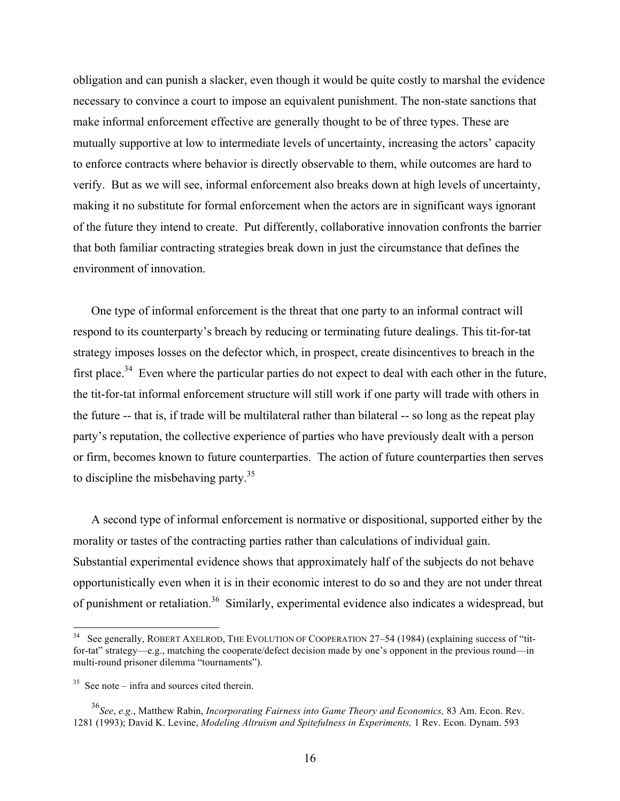obligation and can punish a slacker, even though it would be quite costly to marshal the evidence necessary to convince a court to impose an equivalent punishment. The non-state sanctions that make informal enforcement effective are generally thought to be of three types. These are mutually supportive at low to intermediate levels of uncertainty, increasing the actors' capacity to enforce contracts where behavior is directly observable to them, while outcomes are hard to verify. But as we will see, informal enforcement also breaks down at high levels of uncertainty, making it no substitute for formal enforcement when the actors are in significant ways ignorant of the future they intend to create. Put differently, collaborative innovation confronts the barrier that both familiar contracting strategies break down in just the circumstance that defines the environment of innovation.

One type of informal enforcement is the threat that one party to an informal contract will respond to its counterparty's breach by reducing or terminating future dealings. This tit-for-tat strategy imposes losses on the defector which, in prospect, create disincentives to breach in the first place.<sup>34</sup> Even where the particular parties do not expect to deal with each other in the future, the tit-for-tat informal enforcement structure will still work if one party will trade with others in the future -- that is, if trade will be multilateral rather than bilateral -- so long as the repeat play party's reputation, the collective experience of parties who have previously dealt with a person or firm, becomes known to future counterparties. The action of future counterparties then serves to discipline the misbehaving party.<sup>35</sup>

A second type of informal enforcement is normative or dispositional, supported either by the morality or tastes of the contracting parties rather than calculations of individual gain. Substantial experimental evidence shows that approximately half of the subjects do not behave opportunistically even when it is in their economic interest to do so and they are not under threat of punishment or retaliation.<sup>36</sup> Similarly, experimental evidence also indicates a widespread, but

 <sup>34</sup> See generally, ROBERT AXELROD, THE EVOLUTION OF COOPERATION 27–54 (1984) (explaining success of "titfor-tat" strategy—e.g., matching the cooperate/defect decision made by one's opponent in the previous round—in multi-round prisoner dilemma "tournaments").

 $35$  See note – infra and sources cited therein.

<sup>36</sup>*See*, *e.g*., Matthew Rabin, *Incorporating Fairness into Game Theory and Economics,* 83 Am. Econ. Rev. 1281 (1993); David K. Levine, *Modeling Altruism and Spitefulness in Experiments,* 1 Rev. Econ. Dynam. 593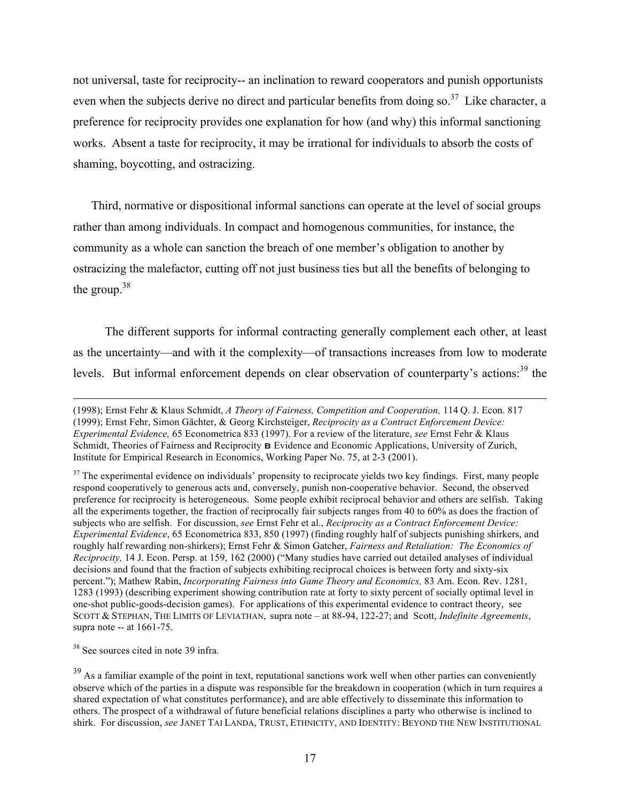not universal, taste for reciprocity-- an inclination to reward cooperators and punish opportunists even when the subjects derive no direct and particular benefits from doing so.<sup>37</sup> Like character, a preference for reciprocity provides one explanation for how (and why) this informal sanctioning works. Absent a taste for reciprocity, it may be irrational for individuals to absorb the costs of shaming, boycotting, and ostracizing.

Third, normative or dispositional informal sanctions can operate at the level of social groups rather than among individuals. In compact and homogenous communities, for instance, the community as a whole can sanction the breach of one member's obligation to another by ostracizing the malefactor, cutting off not just business ties but all the benefits of belonging to the group.<sup>38</sup>

The different supports for informal contracting generally complement each other, at least as the uncertainty—and with it the complexity—of transactions increases from low to moderate levels. But informal enforcement depends on clear observation of counterparty's actions:<sup>39</sup> the

38 See sources cited in note 39 infra.

 <sup>(1998);</sup> Ernst Fehr & Klaus Schmidt, *A Theory of Fairness, Competition and Cooperation,* <sup>114</sup> Q. J. Econ. 817 (1999); Ernst Fehr, Simon Gächter, & Georg Kirchsteiger, *Reciprocity as a Contract Enforcement Device: Experimental Evidence,* 65 Econometrica 833 (1997). For a review of the literature, *see* Ernst Fehr & Klaus Schmidt, Theories of Fairness and Reciprocity **B** Evidence and Economic Applications, University of Zurich, Institute for Empirical Research in Economics, Working Paper No. 75, at 2-3 (2001).

<sup>&</sup>lt;sup>37</sup> The experimental evidence on individuals' propensity to reciprocate yields two key findings. First, many people respond cooperatively to generous acts and, conversely, punish non-cooperative behavior. Second, the observed preference for reciprocity is heterogeneous. Some people exhibit reciprocal behavior and others are selfish. Taking all the experiments together, the fraction of reciprocally fair subjects ranges from 40 to 60% as does the fraction of subjects who are selfish. For discussion, *see* Ernst Fehr et al., *Reciprocity as a Contract Enforcement Device: Experimental Evidence*, 65 Econometrica 833, 850 (1997) (finding roughly half of subjects punishing shirkers, and roughly half rewarding non-shirkers); Ernst Fehr & Simon Gatcher, *Fairness and Retaliation: The Economics of Reciprocity,* 14 J. Econ. Persp. at 159, 162 (2000) ("Many studies have carried out detailed analyses of individual decisions and found that the fraction of subjects exhibiting reciprocal choices is between forty and sixty-six percent."); Mathew Rabin, *Incorporating Fairness into Game Theory and Economics,* 83 Am. Econ. Rev. 1281, 1283 (1993) (describing experiment showing contribution rate at forty to sixty percent of socially optimal level in one-shot public-goods-decision games). For applications of this experimental evidence to contract theory, see SCOTT & STEPHAN, THE LIMITS OF LEVIATHAN, supra note – at 88-94, 122-27; and Scott, *Indefinite Agreements*, supra note -- at 1661-75.

<sup>&</sup>lt;sup>39</sup> As a familiar example of the point in text, reputational sanctions work well when other parties can conveniently observe which of the parties in a dispute was responsible for the breakdown in cooperation (which in turn requires a shared expectation of what constitutes performance), and are able effectively to disseminate this information to others. The prospect of a withdrawal of future beneficial relations disciplines a party who otherwise is inclined to shirk. For discussion, *see* JANET TAI LANDA, TRUST, ETHNICITY, AND IDENTITY: BEYOND THE NEW INSTITUTIONAL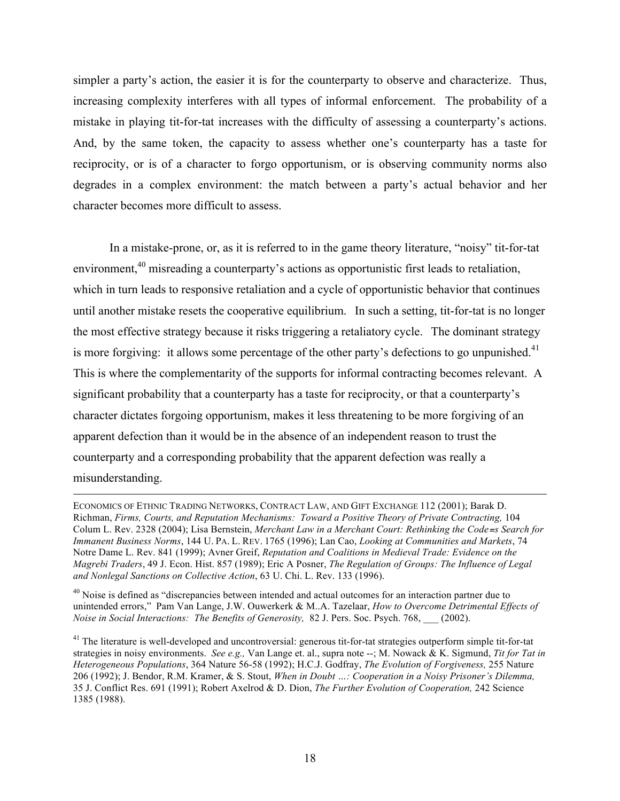simpler a party's action, the easier it is for the counterparty to observe and characterize. Thus, increasing complexity interferes with all types of informal enforcement. The probability of a mistake in playing tit-for-tat increases with the difficulty of assessing a counterparty's actions. And, by the same token, the capacity to assess whether one's counterparty has a taste for reciprocity, or is of a character to forgo opportunism, or is observing community norms also degrades in a complex environment: the match between a party's actual behavior and her character becomes more difficult to assess.

In a mistake-prone, or, as it is referred to in the game theory literature, "noisy" tit-for-tat environment,<sup>40</sup> misreading a counterparty's actions as opportunistic first leads to retaliation, which in turn leads to responsive retaliation and a cycle of opportunistic behavior that continues until another mistake resets the cooperative equilibrium. In such a setting, tit-for-tat is no longer the most effective strategy because it risks triggering a retaliatory cycle. The dominant strategy is more forgiving: it allows some percentage of the other party's defections to go unpunished.<sup>41</sup> This is where the complementarity of the supports for informal contracting becomes relevant. A significant probability that a counterparty has a taste for reciprocity, or that a counterparty's character dictates forgoing opportunism, makes it less threatening to be more forgiving of an apparent defection than it would be in the absence of an independent reason to trust the counterparty and a corresponding probability that the apparent defection was really a misunderstanding.

<sup>40</sup> Noise is defined as "discrepancies between intended and actual outcomes for an interaction partner due to unintended errors," Pam Van Lange, J.W. Ouwerkerk & M..A. Tazelaar, *How to Overcome Detrimental Effects of Noise in Social Interactions: The Benefits of Generosity,* 82 J. Pers. Soc. Psych. 768, \_\_\_ (2002).

ECONOMICS OF ETHNIC TRADING NETWORKS, CONTRACT LAW, AND GIFT EXCHANGE 112 (2001); Barak D. Richman, *Firms, Courts, and Reputation Mechanisms: Toward a Positive Theory of Private Contracting, 104* Colum L. Rev. 2328 (2004); Lisa Bernstein, *Merchant Law in a Merchant Court: Rethinking the Code=s Search for Immanent Business Norms*, 144 U. PA. L. REV. 1765 (1996); Lan Cao, *Looking at Communities and Markets*, 74 Notre Dame L. Rev. 841 (1999); Avner Greif, *Reputation and Coalitions in Medieval Trade: Evidence on the Magrebi Traders*, 49 J. Econ. Hist. 857 (1989); Eric A Posner, *The Regulation of Groups: The Influence of Legal and Nonlegal Sanctions on Collective Action*, 63 U. Chi. L. Rev. 133 (1996).

<sup>&</sup>lt;sup>41</sup> The literature is well-developed and uncontroversial: generous tit-for-tat strategies outperform simple tit-for-tat strategies in noisy environments. *See e.g.,* Van Lange et. al., supra note --; M. Nowack & K. Sigmund, *Tit for Tat in Heterogeneous Populations*, 364 Nature 56-58 (1992); H.C.J. Godfray, *The Evolution of Forgiveness,* 255 Nature 206 (1992); J. Bendor, R.M. Kramer, & S. Stout, *When in Doubt …: Cooperation in a Noisy Prisoner's Dilemma,* 35 J. Conflict Res. 691 (1991); Robert Axelrod & D. Dion, *The Further Evolution of Cooperation,* 242 Science 1385 (1988).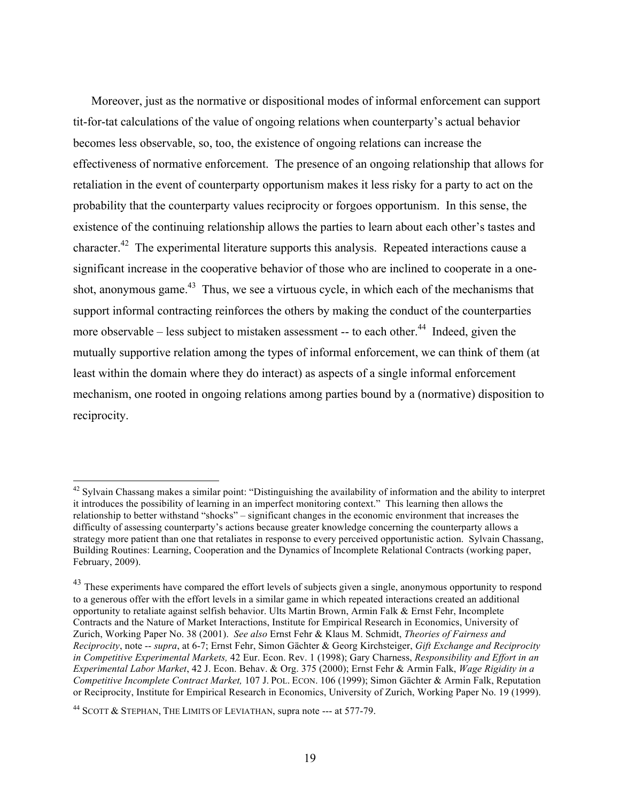Moreover, just as the normative or dispositional modes of informal enforcement can support tit-for-tat calculations of the value of ongoing relations when counterparty's actual behavior becomes less observable, so, too, the existence of ongoing relations can increase the effectiveness of normative enforcement. The presence of an ongoing relationship that allows for retaliation in the event of counterparty opportunism makes it less risky for a party to act on the probability that the counterparty values reciprocity or forgoes opportunism. In this sense, the existence of the continuing relationship allows the parties to learn about each other's tastes and character.42 The experimental literature supports this analysis. Repeated interactions cause a significant increase in the cooperative behavior of those who are inclined to cooperate in a oneshot, anonymous game.<sup>43</sup> Thus, we see a virtuous cycle, in which each of the mechanisms that support informal contracting reinforces the others by making the conduct of the counterparties more observable – less subject to mistaken assessment -- to each other.<sup>44</sup> Indeed, given the mutually supportive relation among the types of informal enforcement, we can think of them (at least within the domain where they do interact) as aspects of a single informal enforcement mechanism, one rooted in ongoing relations among parties bound by a (normative) disposition to reciprocity.

 $42$  Sylvain Chassang makes a similar point: "Distinguishing the availability of information and the ability to interpret it introduces the possibility of learning in an imperfect monitoring context." This learning then allows the relationship to better withstand "shocks" – significant changes in the economic environment that increases the difficulty of assessing counterparty's actions because greater knowledge concerning the counterparty allows a strategy more patient than one that retaliates in response to every perceived opportunistic action. Sylvain Chassang, Building Routines: Learning, Cooperation and the Dynamics of Incomplete Relational Contracts (working paper, February, 2009).

<sup>&</sup>lt;sup>43</sup> These experiments have compared the effort levels of subjects given a single, anonymous opportunity to respond to a generous offer with the effort levels in a similar game in which repeated interactions created an additional opportunity to retaliate against selfish behavior. Ults Martin Brown, Armin Falk & Ernst Fehr, Incomplete Contracts and the Nature of Market Interactions, Institute for Empirical Research in Economics, University of Zurich, Working Paper No. 38 (2001). *See also* Ernst Fehr & Klaus M. Schmidt, *Theories of Fairness and Reciprocity*, note -- *supra*, at 6-7; Ernst Fehr, Simon Gächter & Georg Kirchsteiger, *Gift Exchange and Reciprocity in Competitive Experimental Markets,* 42 Eur. Econ. Rev. 1 (1998); Gary Charness, *Responsibility and Effort in an Experimental Labor Market*, 42 J. Econ. Behav. & Org. 375 (2000); Ernst Fehr & Armin Falk, *Wage Rigidity in a Competitive Incomplete Contract Market,* 107 J. POL. ECON. 106 (1999); Simon Gächter & Armin Falk, Reputation or Reciprocity, Institute for Empirical Research in Economics, University of Zurich, Working Paper No. 19 (1999).

<sup>44</sup> SCOTT & STEPHAN, THE LIMITS OF LEVIATHAN, supra note --- at 577-79.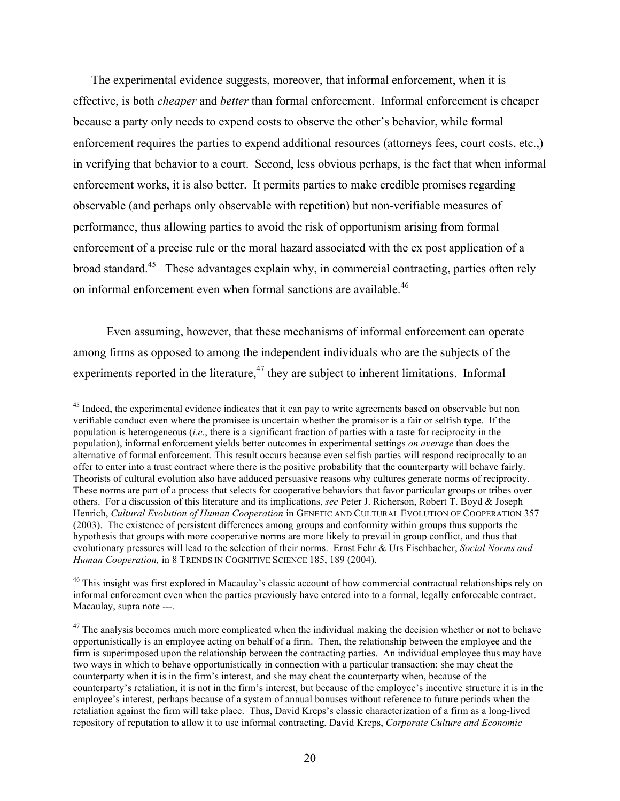The experimental evidence suggests, moreover, that informal enforcement, when it is effective, is both *cheaper* and *better* than formal enforcement. Informal enforcement is cheaper because a party only needs to expend costs to observe the other's behavior, while formal enforcement requires the parties to expend additional resources (attorneys fees, court costs, etc.,) in verifying that behavior to a court. Second, less obvious perhaps, is the fact that when informal enforcement works, it is also better. It permits parties to make credible promises regarding observable (and perhaps only observable with repetition) but non-verifiable measures of performance, thus allowing parties to avoid the risk of opportunism arising from formal enforcement of a precise rule or the moral hazard associated with the ex post application of a broad standard.<sup>45</sup> These advantages explain why, in commercial contracting, parties often rely on informal enforcement even when formal sanctions are available.<sup>46</sup>

 Even assuming, however, that these mechanisms of informal enforcement can operate among firms as opposed to among the independent individuals who are the subjects of the experiments reported in the literature,  $47$  they are subject to inherent limitations. Informal

<sup>&</sup>lt;sup>45</sup> Indeed, the experimental evidence indicates that it can pay to write agreements based on observable but non verifiable conduct even where the promisee is uncertain whether the promisor is a fair or selfish type. If the population is heterogeneous (*i.e.*, there is a significant fraction of parties with a taste for reciprocity in the population), informal enforcement yields better outcomes in experimental settings *on average* than does the alternative of formal enforcement. This result occurs because even selfish parties will respond reciprocally to an offer to enter into a trust contract where there is the positive probability that the counterparty will behave fairly. Theorists of cultural evolution also have adduced persuasive reasons why cultures generate norms of reciprocity. These norms are part of a process that selects for cooperative behaviors that favor particular groups or tribes over others. For a discussion of this literature and its implications, *see* Peter J. Richerson, Robert T. Boyd & Joseph Henrich, *Cultural Evolution of Human Cooperation* in GENETIC AND CULTURAL EVOLUTION OF COOPERATION 357 (2003). The existence of persistent differences among groups and conformity within groups thus supports the hypothesis that groups with more cooperative norms are more likely to prevail in group conflict, and thus that evolutionary pressures will lead to the selection of their norms. Ernst Fehr & Urs Fischbacher, *Social Norms and Human Cooperation,* in 8 TRENDS IN COGNITIVE SCIENCE 185, 189 (2004).

<sup>&</sup>lt;sup>46</sup> This insight was first explored in Macaulay's classic account of how commercial contractual relationships rely on informal enforcement even when the parties previously have entered into to a formal, legally enforceable contract. Macaulay, supra note ---.

<sup>&</sup>lt;sup>47</sup> The analysis becomes much more complicated when the individual making the decision whether or not to behave opportunistically is an employee acting on behalf of a firm. Then, the relationship between the employee and the firm is superimposed upon the relationship between the contracting parties. An individual employee thus may have two ways in which to behave opportunistically in connection with a particular transaction: she may cheat the counterparty when it is in the firm's interest, and she may cheat the counterparty when, because of the counterparty's retaliation, it is not in the firm's interest, but because of the employee's incentive structure it is in the employee's interest, perhaps because of a system of annual bonuses without reference to future periods when the retaliation against the firm will take place. Thus, David Kreps's classic characterization of a firm as a long-lived repository of reputation to allow it to use informal contracting, David Kreps, *Corporate Culture and Economic*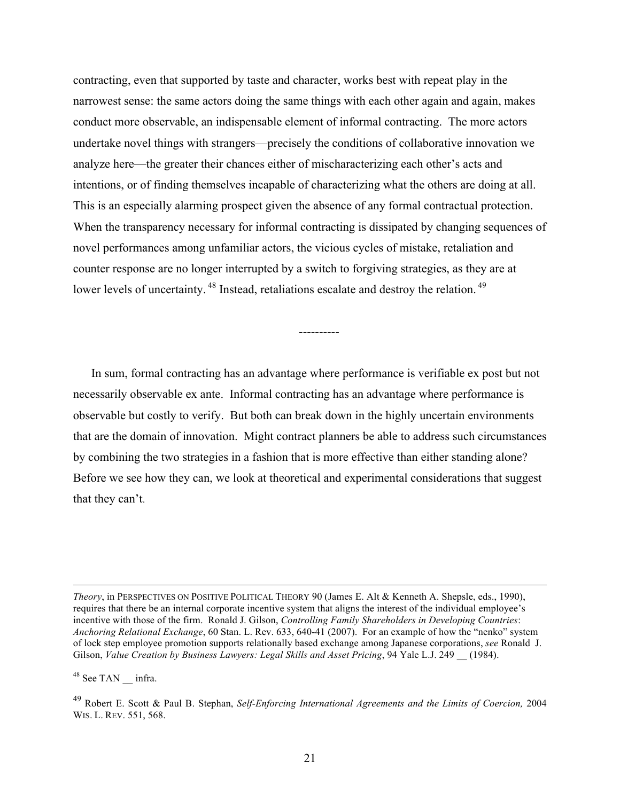contracting, even that supported by taste and character, works best with repeat play in the narrowest sense: the same actors doing the same things with each other again and again, makes conduct more observable, an indispensable element of informal contracting. The more actors undertake novel things with strangers—precisely the conditions of collaborative innovation we analyze here—the greater their chances either of mischaracterizing each other's acts and intentions, or of finding themselves incapable of characterizing what the others are doing at all. This is an especially alarming prospect given the absence of any formal contractual protection. When the transparency necessary for informal contracting is dissipated by changing sequences of novel performances among unfamiliar actors, the vicious cycles of mistake, retaliation and counter response are no longer interrupted by a switch to forgiving strategies, as they are at lower levels of uncertainty.<sup>48</sup> Instead, retaliations escalate and destroy the relation.<sup>49</sup>

In sum, formal contracting has an advantage where performance is verifiable ex post but not necessarily observable ex ante. Informal contracting has an advantage where performance is observable but costly to verify. But both can break down in the highly uncertain environments that are the domain of innovation. Might contract planners be able to address such circumstances by combining the two strategies in a fashion that is more effective than either standing alone? Before we see how they can, we look at theoretical and experimental considerations that suggest that they can't.

----------

1

*Theory*, in PERSPECTIVES ON POSITIVE POLITICAL THEORY 90 (James E. Alt & Kenneth A. Shepsle, eds., 1990), requires that there be an internal corporate incentive system that aligns the interest of the individual employee's incentive with those of the firm. Ronald J. Gilson, *Controlling Family Shareholders in Developing Countries*: *Anchoring Relational Exchange*, 60 Stan. L. Rev. 633, 640-41 (2007). For an example of how the "nenko" system of lock step employee promotion supports relationally based exchange among Japanese corporations, *see* Ronald J. Gilson, *Value Creation by Business Lawyers: Legal Skills and Asset Pricing*, 94 Yale L.J. 249 (1984).

 $48$  See TAN infra.

<sup>49</sup> Robert E. Scott & Paul B. Stephan, *Self-Enforcing International Agreements and the Limits of Coercion,* 2004 WIS. L. REV. 551, 568.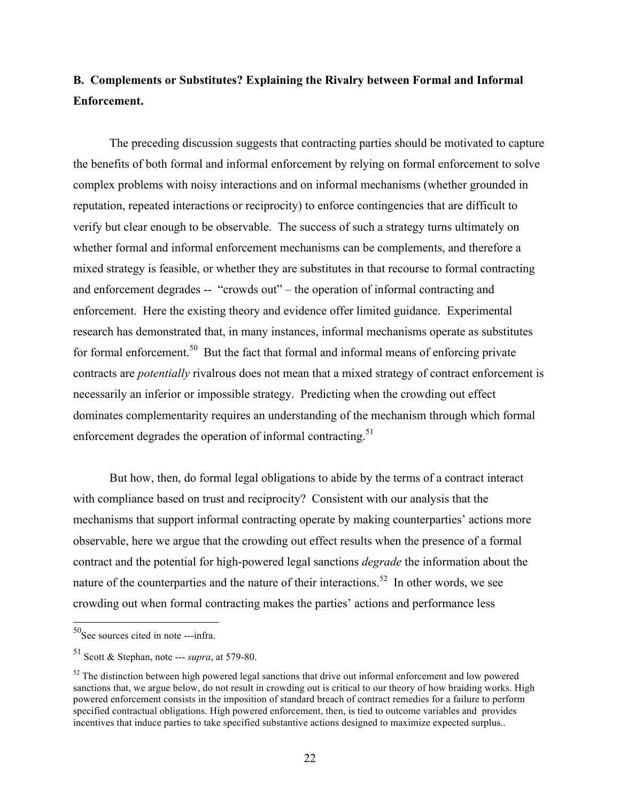# **B. Complements or Substitutes? Explaining the Rivalry between Formal and Informal Enforcement.**

The preceding discussion suggests that contracting parties should be motivated to capture the benefits of both formal and informal enforcement by relying on formal enforcement to solve complex problems with noisy interactions and on informal mechanisms (whether grounded in reputation, repeated interactions or reciprocity) to enforce contingencies that are difficult to verify but clear enough to be observable. The success of such a strategy turns ultimately on whether formal and informal enforcement mechanisms can be complements, and therefore a mixed strategy is feasible, or whether they are substitutes in that recourse to formal contracting and enforcement degrades -- "crowds out" – the operation of informal contracting and enforcement. Here the existing theory and evidence offer limited guidance. Experimental research has demonstrated that, in many instances, informal mechanisms operate as substitutes for formal enforcement.<sup>50</sup> But the fact that formal and informal means of enforcing private contracts are *potentially* rivalrous does not mean that a mixed strategy of contract enforcement is necessarily an inferior or impossible strategy. Predicting when the crowding out effect dominates complementarity requires an understanding of the mechanism through which formal enforcement degrades the operation of informal contracting.<sup>51</sup>

But how, then, do formal legal obligations to abide by the terms of a contract interact with compliance based on trust and reciprocity? Consistent with our analysis that the mechanisms that support informal contracting operate by making counterparties' actions more observable, here we argue that the crowding out effect results when the presence of a formal contract and the potential for high-powered legal sanctions *degrade* the information about the nature of the counterparties and the nature of their interactions.<sup>52</sup> In other words, we see crowding out when formal contracting makes the parties' actions and performance less

 $50$ See sources cited in note ---infra.

<sup>51</sup> Scott & Stephan, note --- *supra*, at 579-80.

 $52$  The distinction between high powered legal sanctions that drive out informal enforcement and low powered sanctions that, we argue below, do not result in crowding out is critical to our theory of how braiding works. High powered enforcement consists in the imposition of standard breach of contract remedies for a failure to perform specified contractual obligations. High powered enforcement, then, is tied to outcome variables and provides incentives that induce parties to take specified substantive actions designed to maximize expected surplus..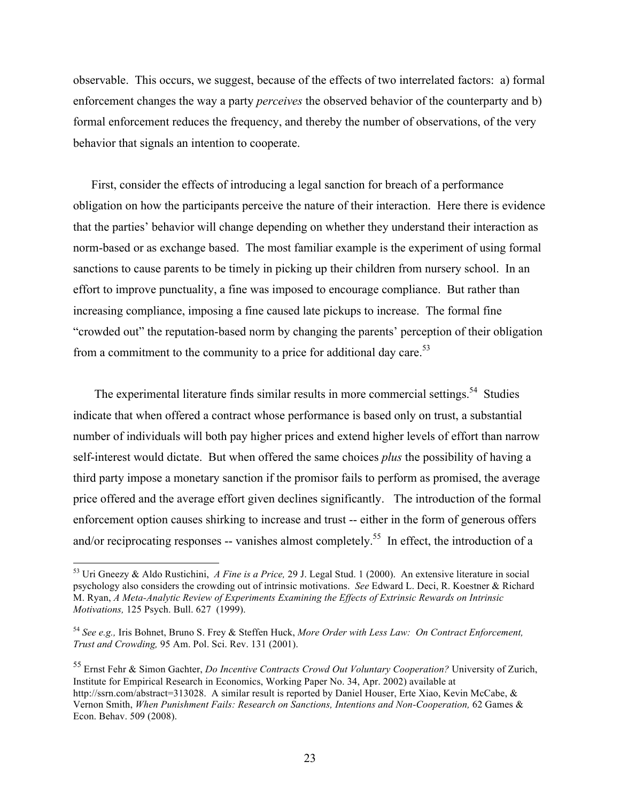observable. This occurs, we suggest, because of the effects of two interrelated factors: a) formal enforcement changes the way a party *perceives* the observed behavior of the counterparty and b) formal enforcement reduces the frequency, and thereby the number of observations, of the very behavior that signals an intention to cooperate.

First, consider the effects of introducing a legal sanction for breach of a performance obligation on how the participants perceive the nature of their interaction. Here there is evidence that the parties' behavior will change depending on whether they understand their interaction as norm-based or as exchange based. The most familiar example is the experiment of using formal sanctions to cause parents to be timely in picking up their children from nursery school. In an effort to improve punctuality, a fine was imposed to encourage compliance. But rather than increasing compliance, imposing a fine caused late pickups to increase. The formal fine "crowded out" the reputation-based norm by changing the parents' perception of their obligation from a commitment to the community to a price for additional day care.<sup>53</sup>

The experimental literature finds similar results in more commercial settings.<sup>54</sup> Studies indicate that when offered a contract whose performance is based only on trust, a substantial number of individuals will both pay higher prices and extend higher levels of effort than narrow self-interest would dictate. But when offered the same choices *plus* the possibility of having a third party impose a monetary sanction if the promisor fails to perform as promised, the average price offered and the average effort given declines significantly. The introduction of the formal enforcement option causes shirking to increase and trust -- either in the form of generous offers and/or reciprocating responses -- vanishes almost completely.<sup>55</sup> In effect, the introduction of a

 <sup>53</sup> Uri Gneezy & Aldo Rustichini, *A Fine is a Price,* 29 J. Legal Stud. 1 (2000). An extensive literature in social psychology also considers the crowding out of intrinsic motivations. *See* Edward L. Deci, R. Koestner & Richard M. Ryan, *A Meta-Analytic Review of Experiments Examining the Effects of Extrinsic Rewards on Intrinsic Motivations,* 125 Psych. Bull. 627 (1999).

<sup>54</sup> *See e.g.,* Iris Bohnet, Bruno S. Frey & Steffen Huck, *More Order with Less Law: On Contract Enforcement, Trust and Crowding,* 95 Am. Pol. Sci. Rev. 131 (2001).

<sup>55</sup> Ernst Fehr & Simon Gachter, *Do Incentive Contracts Crowd Out Voluntary Cooperation?* University of Zurich, Institute for Empirical Research in Economics, Working Paper No. 34, Apr. 2002) available at http://ssrn.com/abstract=313028. A similar result is reported by Daniel Houser, Erte Xiao, Kevin McCabe, & Vernon Smith, *When Punishment Fails: Research on Sanctions, Intentions and Non-Cooperation,* 62 Games & Econ. Behav. 509 (2008).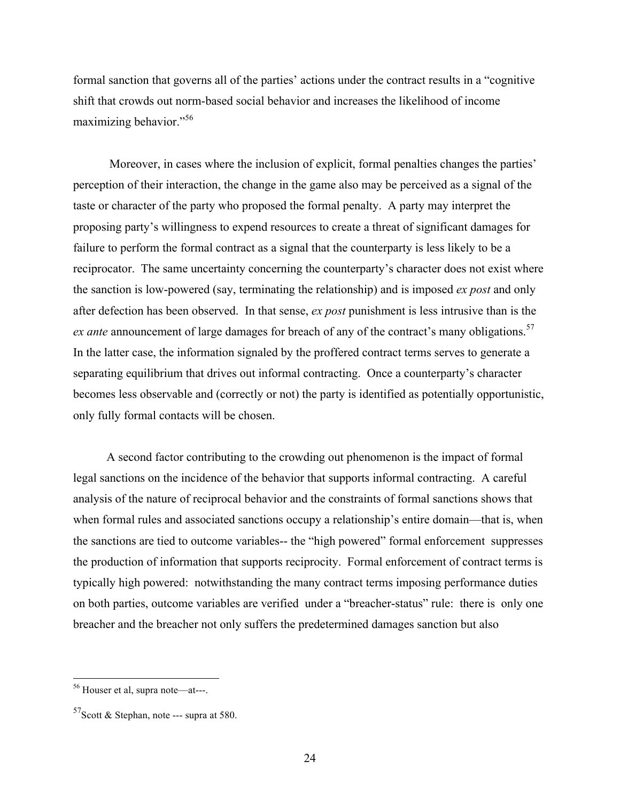formal sanction that governs all of the parties' actions under the contract results in a "cognitive shift that crowds out norm-based social behavior and increases the likelihood of income maximizing behavior."<sup>56</sup>

Moreover, in cases where the inclusion of explicit, formal penalties changes the parties' perception of their interaction, the change in the game also may be perceived as a signal of the taste or character of the party who proposed the formal penalty. A party may interpret the proposing party's willingness to expend resources to create a threat of significant damages for failure to perform the formal contract as a signal that the counterparty is less likely to be a reciprocator. The same uncertainty concerning the counterparty's character does not exist where the sanction is low-powered (say, terminating the relationship) and is imposed *ex post* and only after defection has been observed. In that sense, *ex post* punishment is less intrusive than is the *ex ante* announcement of large damages for breach of any of the contract's many obligations.<sup>57</sup> In the latter case, the information signaled by the proffered contract terms serves to generate a separating equilibrium that drives out informal contracting. Once a counterparty's character becomes less observable and (correctly or not) the party is identified as potentially opportunistic, only fully formal contacts will be chosen.

 A second factor contributing to the crowding out phenomenon is the impact of formal legal sanctions on the incidence of the behavior that supports informal contracting. A careful analysis of the nature of reciprocal behavior and the constraints of formal sanctions shows that when formal rules and associated sanctions occupy a relationship's entire domain—that is, when the sanctions are tied to outcome variables-- the "high powered" formal enforcement suppresses the production of information that supports reciprocity. Formal enforcement of contract terms is typically high powered: notwithstanding the many contract terms imposing performance duties on both parties, outcome variables are verified under a "breacher-status" rule: there is only one breacher and the breacher not only suffers the predetermined damages sanction but also

 <sup>56</sup> Houser et al, supra note—at---.

 $57$ Scott & Stephan, note --- supra at 580.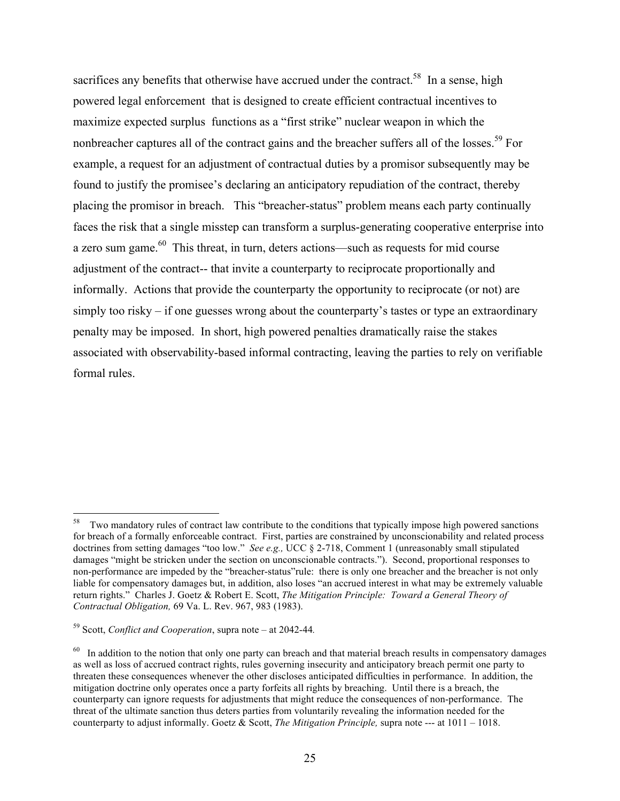sacrifices any benefits that otherwise have accrued under the contract.<sup>58</sup> In a sense, high powered legal enforcement that is designed to create efficient contractual incentives to maximize expected surplus functions as a "first strike" nuclear weapon in which the nonbreacher captures all of the contract gains and the breacher suffers all of the losses.<sup>59</sup> For example, a request for an adjustment of contractual duties by a promisor subsequently may be found to justify the promisee's declaring an anticipatory repudiation of the contract, thereby placing the promisor in breach. This "breacher-status" problem means each party continually faces the risk that a single misstep can transform a surplus-generating cooperative enterprise into a zero sum game.<sup>60</sup> This threat, in turn, deters actions—such as requests for mid course adjustment of the contract-- that invite a counterparty to reciprocate proportionally and informally. Actions that provide the counterparty the opportunity to reciprocate (or not) are simply too risky – if one guesses wrong about the counterparty's tastes or type an extraordinary penalty may be imposed. In short, high powered penalties dramatically raise the stakes associated with observability-based informal contracting, leaving the parties to rely on verifiable formal rules.

<sup>&</sup>lt;sup>58</sup> Two mandatory rules of contract law contribute to the conditions that typically impose high powered sanctions for breach of a formally enforceable contract. First, parties are constrained by unconscionability and related process doctrines from setting damages "too low." *See e.g.,* UCC § 2-718, Comment 1 (unreasonably small stipulated damages "might be stricken under the section on unconscionable contracts."). Second, proportional responses to non-performance are impeded by the "breacher-status"rule: there is only one breacher and the breacher is not only liable for compensatory damages but, in addition, also loses "an accrued interest in what may be extremely valuable return rights." Charles J. Goetz & Robert E. Scott, *The Mitigation Principle: Toward a General Theory of Contractual Obligation,* 69 Va. L. Rev. 967, 983 (1983).

<sup>59</sup> Scott, *Conflict and Cooperation*, supra note – at 2042-44*.*

 $60$  In addition to the notion that only one party can breach and that material breach results in compensatory damages as well as loss of accrued contract rights, rules governing insecurity and anticipatory breach permit one party to threaten these consequences whenever the other discloses anticipated difficulties in performance. In addition, the mitigation doctrine only operates once a party forfeits all rights by breaching. Until there is a breach, the counterparty can ignore requests for adjustments that might reduce the consequences of non-performance. The threat of the ultimate sanction thus deters parties from voluntarily revealing the information needed for the counterparty to adjust informally. Goetz & Scott, *The Mitigation Principle,* supra note --- at 1011 – 1018.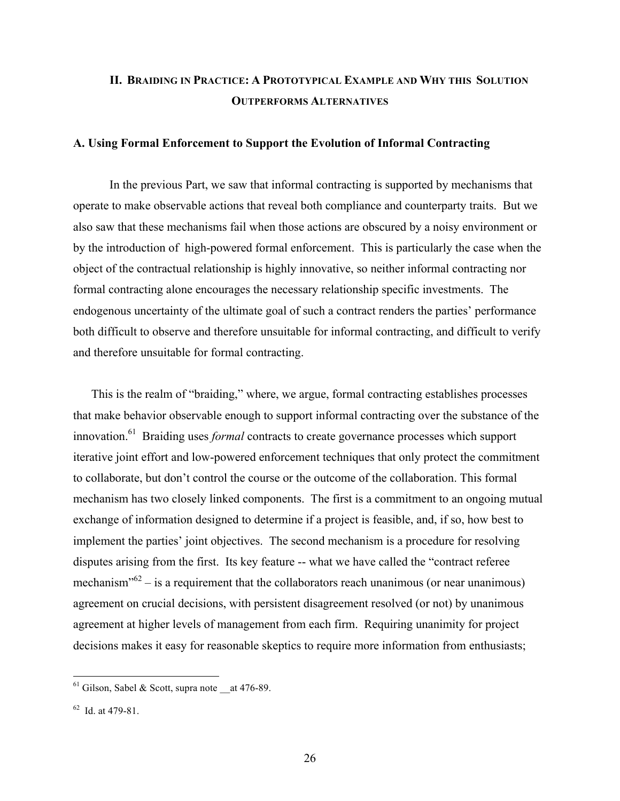# **II. BRAIDING IN PRACTICE: A PROTOTYPICAL EXAMPLE AND WHY THIS SOLUTION OUTPERFORMS ALTERNATIVES**

#### **A. Using Formal Enforcement to Support the Evolution of Informal Contracting**

In the previous Part, we saw that informal contracting is supported by mechanisms that operate to make observable actions that reveal both compliance and counterparty traits. But we also saw that these mechanisms fail when those actions are obscured by a noisy environment or by the introduction of high-powered formal enforcement. This is particularly the case when the object of the contractual relationship is highly innovative, so neither informal contracting nor formal contracting alone encourages the necessary relationship specific investments. The endogenous uncertainty of the ultimate goal of such a contract renders the parties' performance both difficult to observe and therefore unsuitable for informal contracting, and difficult to verify and therefore unsuitable for formal contracting.

This is the realm of "braiding," where, we argue, formal contracting establishes processes that make behavior observable enough to support informal contracting over the substance of the innovation.61 Braiding uses *formal* contracts to create governance processes which support iterative joint effort and low-powered enforcement techniques that only protect the commitment to collaborate, but don't control the course or the outcome of the collaboration. This formal mechanism has two closely linked components. The first is a commitment to an ongoing mutual exchange of information designed to determine if a project is feasible, and, if so, how best to implement the parties' joint objectives. The second mechanism is a procedure for resolving disputes arising from the first. Its key feature -- what we have called the "contract referee mechanism $16^{62}$  – is a requirement that the collaborators reach unanimous (or near unanimous) agreement on crucial decisions, with persistent disagreement resolved (or not) by unanimous agreement at higher levels of management from each firm. Requiring unanimity for project decisions makes it easy for reasonable skeptics to require more information from enthusiasts;

 $<sup>61</sup>$  Gilson, Sabel & Scott, supra note at 476-89.</sup>

 $62$  Id. at 479-81.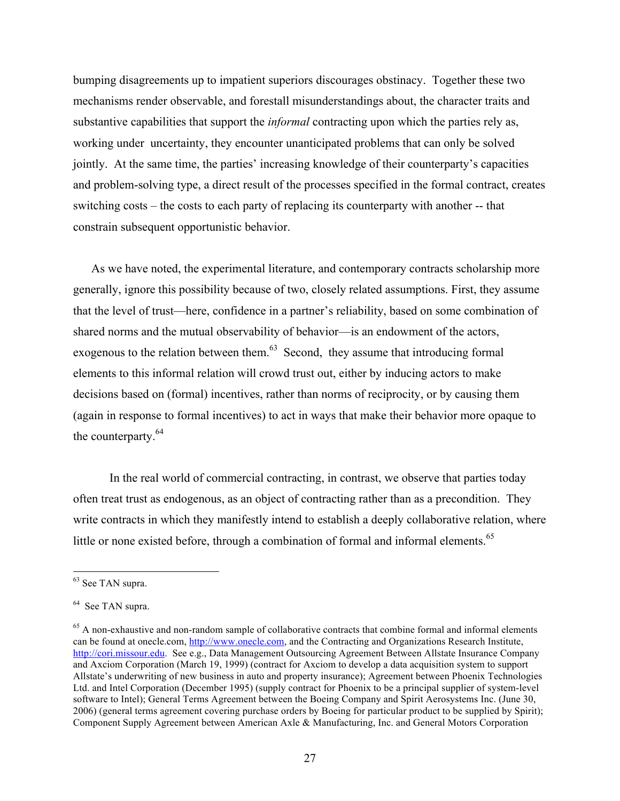bumping disagreements up to impatient superiors discourages obstinacy. Together these two mechanisms render observable, and forestall misunderstandings about, the character traits and substantive capabilities that support the *informal* contracting upon which the parties rely as, working under uncertainty, they encounter unanticipated problems that can only be solved jointly. At the same time, the parties' increasing knowledge of their counterparty's capacities and problem-solving type, a direct result of the processes specified in the formal contract, creates switching costs – the costs to each party of replacing its counterparty with another -- that constrain subsequent opportunistic behavior.

As we have noted, the experimental literature, and contemporary contracts scholarship more generally, ignore this possibility because of two, closely related assumptions. First, they assume that the level of trust—here, confidence in a partner's reliability, based on some combination of shared norms and the mutual observability of behavior—is an endowment of the actors, exogenous to the relation between them. $63$  Second, they assume that introducing formal elements to this informal relation will crowd trust out, either by inducing actors to make decisions based on (formal) incentives, rather than norms of reciprocity, or by causing them (again in response to formal incentives) to act in ways that make their behavior more opaque to the counterparty.<sup>64</sup>

In the real world of commercial contracting, in contrast, we observe that parties today often treat trust as endogenous, as an object of contracting rather than as a precondition. They write contracts in which they manifestly intend to establish a deeply collaborative relation, where little or none existed before, through a combination of formal and informal elements.<sup>65</sup>

 <sup>63</sup> See TAN supra.

<sup>&</sup>lt;sup>64</sup> See TAN supra.

<sup>&</sup>lt;sup>65</sup> A non-exhaustive and non-random sample of collaborative contracts that combine formal and informal elements can be found at onecle.com, http://www.onecle.com, and the Contracting and Organizations Research Institute, http://cori.missour.edu. See e.g., Data Management Outsourcing Agreement Between Allstate Insurance Company and Axciom Corporation (March 19, 1999) (contract for Axciom to develop a data acquisition system to support Allstate's underwriting of new business in auto and property insurance); Agreement between Phoenix Technologies Ltd. and Intel Corporation (December 1995) (supply contract for Phoenix to be a principal supplier of system-level software to Intel); General Terms Agreement between the Boeing Company and Spirit Aerosystems Inc. (June 30, 2006) (general terms agreement covering purchase orders by Boeing for particular product to be supplied by Spirit); Component Supply Agreement between American Axle & Manufacturing, Inc. and General Motors Corporation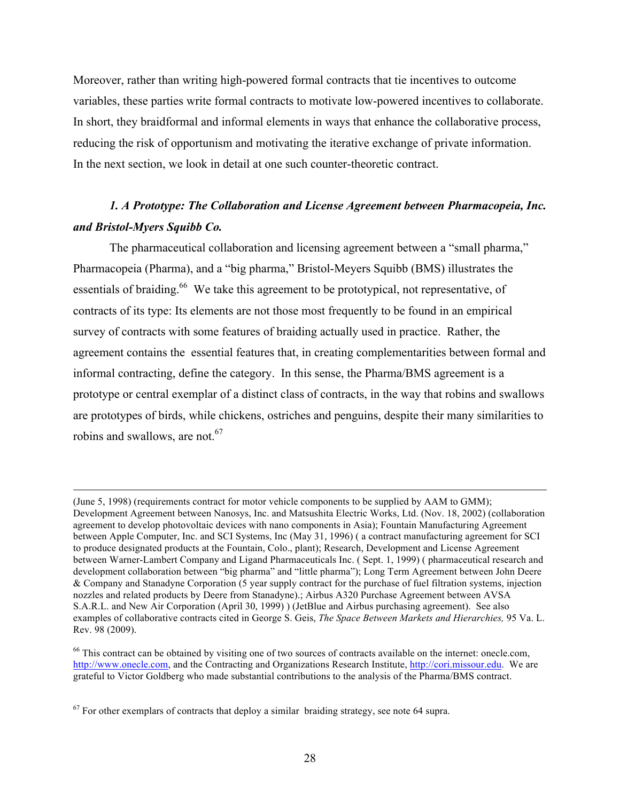Moreover, rather than writing high-powered formal contracts that tie incentives to outcome variables, these parties write formal contracts to motivate low-powered incentives to collaborate. In short, they braidformal and informal elements in ways that enhance the collaborative process, reducing the risk of opportunism and motivating the iterative exchange of private information. In the next section, we look in detail at one such counter-theoretic contract.

# *1. A Prototype: The Collaboration and License Agreement between Pharmacopeia, Inc. and Bristol-Myers Squibb Co.*

The pharmaceutical collaboration and licensing agreement between a "small pharma," Pharmacopeia (Pharma), and a "big pharma," Bristol-Meyers Squibb (BMS) illustrates the essentials of braiding.<sup>66</sup> We take this agreement to be prototypical, not representative, of contracts of its type: Its elements are not those most frequently to be found in an empirical survey of contracts with some features of braiding actually used in practice. Rather, the agreement contains the essential features that, in creating complementarities between formal and informal contracting, define the category. In this sense, the Pharma/BMS agreement is a prototype or central exemplar of a distinct class of contracts, in the way that robins and swallows are prototypes of birds, while chickens, ostriches and penguins, despite their many similarities to robins and swallows, are not.<sup>67</sup>

 <sup>(</sup>June 5, 1998) (requirements contract for motor vehicle components to be supplied by AAM to GMM); Development Agreement between Nanosys, Inc. and Matsushita Electric Works, Ltd. (Nov. 18, 2002) (collaboration agreement to develop photovoltaic devices with nano components in Asia); Fountain Manufacturing Agreement between Apple Computer, Inc. and SCI Systems, Inc (May 31, 1996) ( a contract manufacturing agreement for SCI to produce designated products at the Fountain, Colo., plant); Research, Development and License Agreement between Warner-Lambert Company and Ligand Pharmaceuticals Inc. ( Sept. 1, 1999) ( pharmaceutical research and development collaboration between "big pharma" and "little pharma"); Long Term Agreement between John Deere & Company and Stanadyne Corporation (5 year supply contract for the purchase of fuel filtration systems, injection nozzles and related products by Deere from Stanadyne).; Airbus A320 Purchase Agreement between AVSA S.A.R.L. and New Air Corporation (April 30, 1999) ) (JetBlue and Airbus purchasing agreement). See also examples of collaborative contracts cited in George S. Geis, *The Space Between Markets and Hierarchies,* 95 Va. L. Rev. 98 (2009).

<sup>&</sup>lt;sup>66</sup> This contract can be obtained by visiting one of two sources of contracts available on the internet: onecle.com, http://www.onecle.com, and the Contracting and Organizations Research Institute, http://cori.missour.edu. We are grateful to Victor Goldberg who made substantial contributions to the analysis of the Pharma/BMS contract.

 $67$  For other exemplars of contracts that deploy a similar braiding strategy, see note 64 supra.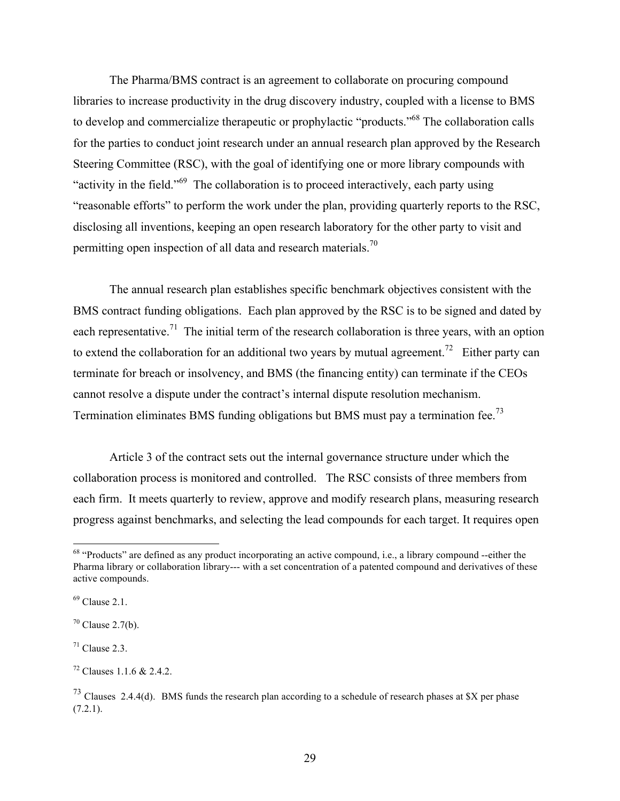The Pharma/BMS contract is an agreement to collaborate on procuring compound libraries to increase productivity in the drug discovery industry, coupled with a license to BMS to develop and commercialize therapeutic or prophylactic "products."68 The collaboration calls for the parties to conduct joint research under an annual research plan approved by the Research Steering Committee (RSC), with the goal of identifying one or more library compounds with "activity in the field."69 The collaboration is to proceed interactively, each party using "reasonable efforts" to perform the work under the plan, providing quarterly reports to the RSC, disclosing all inventions, keeping an open research laboratory for the other party to visit and permitting open inspection of all data and research materials.<sup>70</sup>

The annual research plan establishes specific benchmark objectives consistent with the BMS contract funding obligations. Each plan approved by the RSC is to be signed and dated by each representative.<sup>71</sup> The initial term of the research collaboration is three years, with an option to extend the collaboration for an additional two years by mutual agreement.<sup>72</sup> Either party can terminate for breach or insolvency, and BMS (the financing entity) can terminate if the CEOs cannot resolve a dispute under the contract's internal dispute resolution mechanism. Termination eliminates BMS funding obligations but BMS must pay a termination fee.<sup>73</sup>

Article 3 of the contract sets out the internal governance structure under which the collaboration process is monitored and controlled. The RSC consists of three members from each firm. It meets quarterly to review, approve and modify research plans, measuring research progress against benchmarks, and selecting the lead compounds for each target. It requires open

<sup>&</sup>lt;sup>68</sup> "Products" are defined as any product incorporating an active compound, i.e., a library compound --either the Pharma library or collaboration library--- with a set concentration of a patented compound and derivatives of these active compounds.

 $69$  Clause 2.1.

 $70$  Clause 2.7(b).

 $71$  Clause 2.3.

<sup>72</sup> Clauses 1.1.6 & 2.4.2.

 $^{73}$  Clauses 2.4.4(d). BMS funds the research plan according to a schedule of research phases at \$X per phase  $(7.2.1)$ .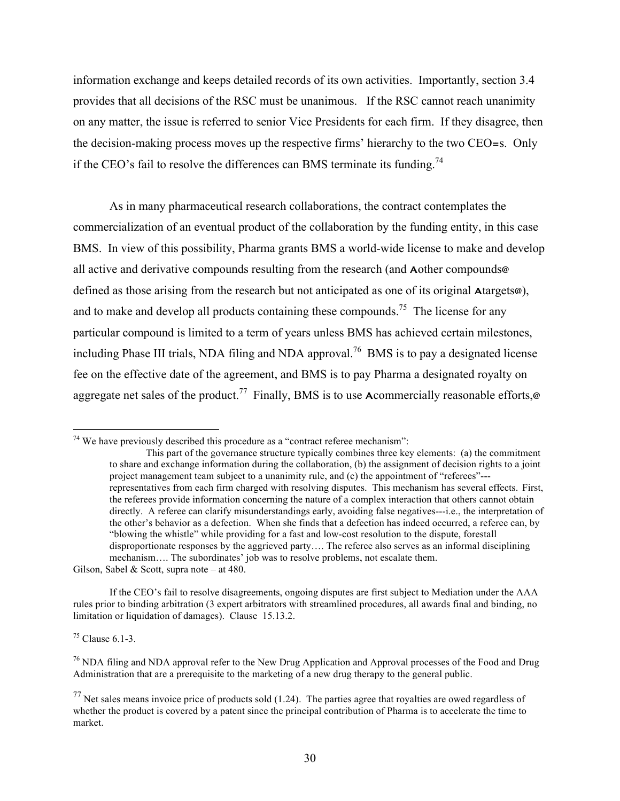information exchange and keeps detailed records of its own activities. Importantly, section 3.4 provides that all decisions of the RSC must be unanimous. If the RSC cannot reach unanimity on any matter, the issue is referred to senior Vice Presidents for each firm. If they disagree, then the decision-making process moves up the respective firms' hierarchy to the two CEO=s. Only if the CEO's fail to resolve the differences can BMS terminate its funding.<sup>74</sup>

As in many pharmaceutical research collaborations, the contract contemplates the commercialization of an eventual product of the collaboration by the funding entity, in this case BMS. In view of this possibility, Pharma grants BMS a world-wide license to make and develop all active and derivative compounds resulting from the research (and Aother compounds@ defined as those arising from the research but not anticipated as one of its original Atargets@), and to make and develop all products containing these compounds.<sup>75</sup> The license for any particular compound is limited to a term of years unless BMS has achieved certain milestones, including Phase III trials, NDA filing and NDA approval.<sup>76</sup> BMS is to pay a designated license fee on the effective date of the agreement, and BMS is to pay Pharma a designated royalty on aggregate net sales of the product.<sup>77</sup> Finally, BMS is to use **A**commercially reasonable efforts, $\omega$ 

 $^{75}$  Clause 6.1-3.

 $74$  We have previously described this procedure as a "contract referee mechanism":

This part of the governance structure typically combines three key elements: (a) the commitment to share and exchange information during the collaboration, (b) the assignment of decision rights to a joint project management team subject to a unanimity rule, and (c) the appointment of "referees"-- representatives from each firm charged with resolving disputes. This mechanism has several effects. First, the referees provide information concerning the nature of a complex interaction that others cannot obtain directly. A referee can clarify misunderstandings early, avoiding false negatives---i.e., the interpretation of the other's behavior as a defection. When she finds that a defection has indeed occurred, a referee can, by "blowing the whistle" while providing for a fast and low-cost resolution to the dispute, forestall disproportionate responses by the aggrieved party…. The referee also serves as an informal disciplining mechanism…. The subordinates' job was to resolve problems, not escalate them.

Gilson, Sabel & Scott, supra note – at 480.

If the CEO's fail to resolve disagreements, ongoing disputes are first subject to Mediation under the AAA rules prior to binding arbitration (3 expert arbitrators with streamlined procedures, all awards final and binding, no limitation or liquidation of damages). Clause 15.13.2.

<sup>&</sup>lt;sup>76</sup> NDA filing and NDA approval refer to the New Drug Application and Approval processes of the Food and Drug Administration that are a prerequisite to the marketing of a new drug therapy to the general public.

 $^{77}$  Net sales means invoice price of products sold (1.24). The parties agree that royalties are owed regardless of whether the product is covered by a patent since the principal contribution of Pharma is to accelerate the time to market.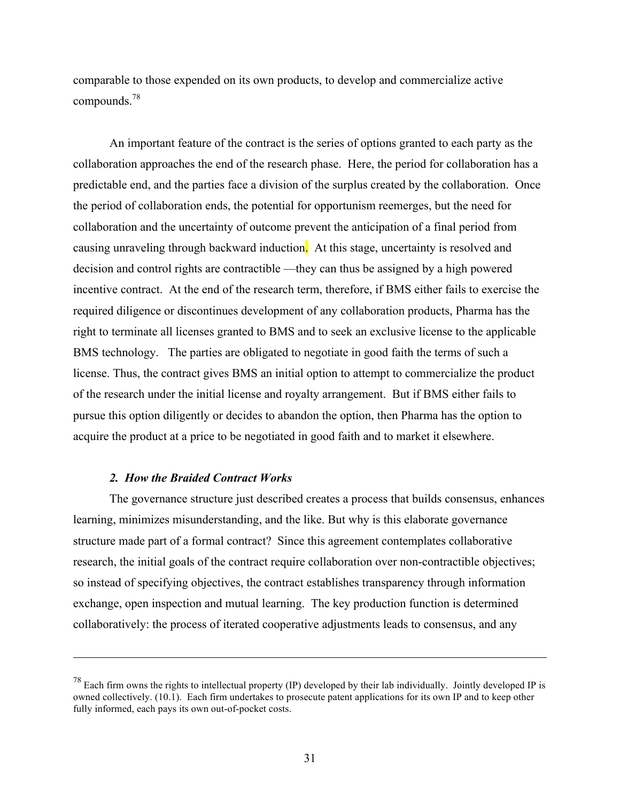comparable to those expended on its own products, to develop and commercialize active compounds.78

An important feature of the contract is the series of options granted to each party as the collaboration approaches the end of the research phase. Here, the period for collaboration has a predictable end, and the parties face a division of the surplus created by the collaboration. Once the period of collaboration ends, the potential for opportunism reemerges, but the need for collaboration and the uncertainty of outcome prevent the anticipation of a final period from causing unraveling through backward induction. At this stage, uncertainty is resolved and decision and control rights are contractible —they can thus be assigned by a high powered incentive contract. At the end of the research term, therefore, if BMS either fails to exercise the required diligence or discontinues development of any collaboration products, Pharma has the right to terminate all licenses granted to BMS and to seek an exclusive license to the applicable BMS technology. The parties are obligated to negotiate in good faith the terms of such a license. Thus, the contract gives BMS an initial option to attempt to commercialize the product of the research under the initial license and royalty arrangement. But if BMS either fails to pursue this option diligently or decides to abandon the option, then Pharma has the option to acquire the product at a price to be negotiated in good faith and to market it elsewhere.

### *2. How the Braided Contract Works*

1

The governance structure just described creates a process that builds consensus, enhances learning, minimizes misunderstanding, and the like. But why is this elaborate governance structure made part of a formal contract? Since this agreement contemplates collaborative research, the initial goals of the contract require collaboration over non-contractible objectives; so instead of specifying objectives, the contract establishes transparency through information exchange, open inspection and mutual learning. The key production function is determined collaboratively: the process of iterated cooperative adjustments leads to consensus, and any

 $^{78}$  Each firm owns the rights to intellectual property (IP) developed by their lab individually. Jointly developed IP is owned collectively. (10.1). Each firm undertakes to prosecute patent applications for its own IP and to keep other fully informed, each pays its own out-of-pocket costs.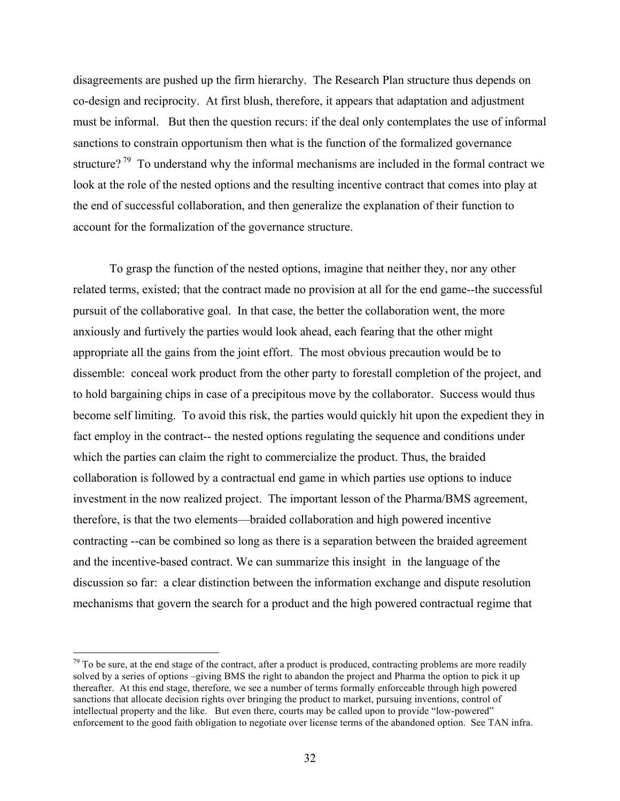disagreements are pushed up the firm hierarchy. The Research Plan structure thus depends on co-design and reciprocity. At first blush, therefore, it appears that adaptation and adjustment must be informal. But then the question recurs: if the deal only contemplates the use of informal sanctions to constrain opportunism then what is the function of the formalized governance structure?<sup>79</sup> To understand why the informal mechanisms are included in the formal contract we look at the role of the nested options and the resulting incentive contract that comes into play at the end of successful collaboration, and then generalize the explanation of their function to account for the formalization of the governance structure.

To grasp the function of the nested options, imagine that neither they, nor any other related terms, existed; that the contract made no provision at all for the end game--the successful pursuit of the collaborative goal. In that case, the better the collaboration went, the more anxiously and furtively the parties would look ahead, each fearing that the other might appropriate all the gains from the joint effort. The most obvious precaution would be to dissemble: conceal work product from the other party to forestall completion of the project, and to hold bargaining chips in case of a precipitous move by the collaborator. Success would thus become self limiting. To avoid this risk, the parties would quickly hit upon the expedient they in fact employ in the contract-- the nested options regulating the sequence and conditions under which the parties can claim the right to commercialize the product. Thus, the braided collaboration is followed by a contractual end game in which parties use options to induce investment in the now realized project. The important lesson of the Pharma/BMS agreement, therefore, is that the two elements—braided collaboration and high powered incentive contracting --can be combined so long as there is a separation between the braided agreement and the incentive-based contract. We can summarize this insight in the language of the discussion so far: a clear distinction between the information exchange and dispute resolution mechanisms that govern the search for a product and the high powered contractual regime that

 $<sup>79</sup>$  To be sure, at the end stage of the contract, after a product is produced, contracting problems are more readily</sup> solved by a series of options –giving BMS the right to abandon the project and Pharma the option to pick it up thereafter. At this end stage, therefore, we see a number of terms formally enforceable through high powered sanctions that allocate decision rights over bringing the product to market, pursuing inventions, control of intellectual property and the like. But even there, courts may be called upon to provide "low-powered" enforcement to the good faith obligation to negotiate over license terms of the abandoned option. See TAN infra.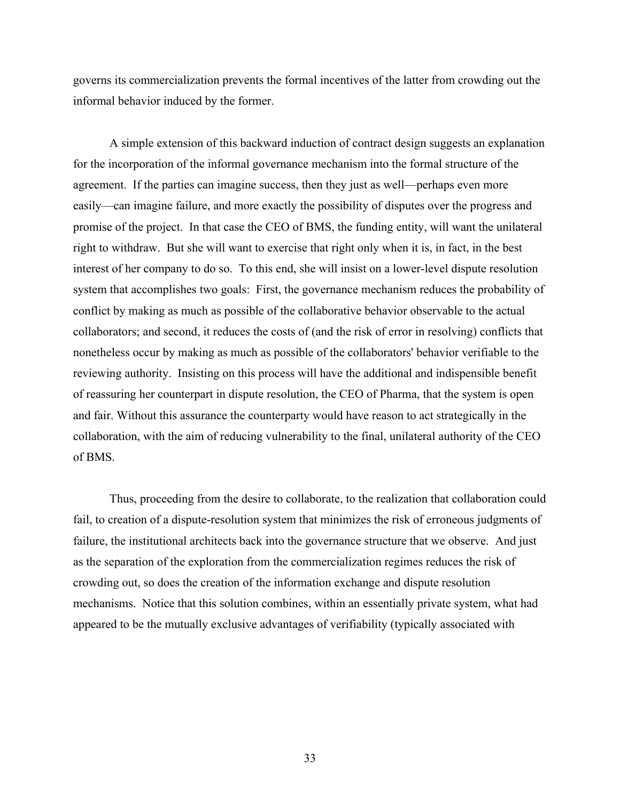governs its commercialization prevents the formal incentives of the latter from crowding out the informal behavior induced by the former.

A simple extension of this backward induction of contract design suggests an explanation for the incorporation of the informal governance mechanism into the formal structure of the agreement. If the parties can imagine success, then they just as well—perhaps even more easily—can imagine failure, and more exactly the possibility of disputes over the progress and promise of the project. In that case the CEO of BMS, the funding entity, will want the unilateral right to withdraw. But she will want to exercise that right only when it is, in fact, in the best interest of her company to do so. To this end, she will insist on a lower-level dispute resolution system that accomplishes two goals: First, the governance mechanism reduces the probability of conflict by making as much as possible of the collaborative behavior observable to the actual collaborators; and second, it reduces the costs of (and the risk of error in resolving) conflicts that nonetheless occur by making as much as possible of the collaborators' behavior verifiable to the reviewing authority. Insisting on this process will have the additional and indispensible benefit of reassuring her counterpart in dispute resolution, the CEO of Pharma, that the system is open and fair. Without this assurance the counterparty would have reason to act strategically in the collaboration, with the aim of reducing vulnerability to the final, unilateral authority of the CEO of BMS.

Thus, proceeding from the desire to collaborate, to the realization that collaboration could fail, to creation of a dispute-resolution system that minimizes the risk of erroneous judgments of failure, the institutional architects back into the governance structure that we observe. And just as the separation of the exploration from the commercialization regimes reduces the risk of crowding out, so does the creation of the information exchange and dispute resolution mechanisms. Notice that this solution combines, within an essentially private system, what had appeared to be the mutually exclusive advantages of verifiability (typically associated with

33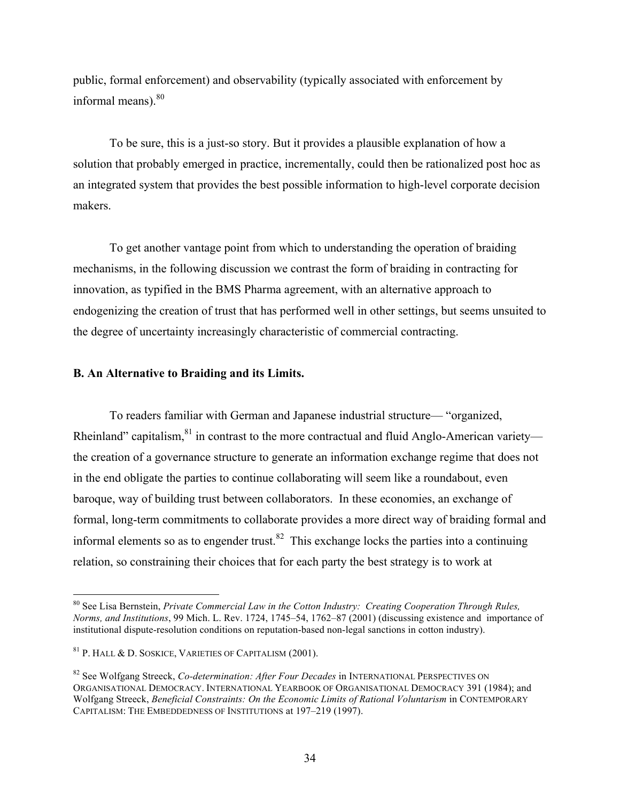public, formal enforcement) and observability (typically associated with enforcement by informal means). 80

To be sure, this is a just-so story. But it provides a plausible explanation of how a solution that probably emerged in practice, incrementally, could then be rationalized post hoc as an integrated system that provides the best possible information to high-level corporate decision makers.

To get another vantage point from which to understanding the operation of braiding mechanisms, in the following discussion we contrast the form of braiding in contracting for innovation, as typified in the BMS Pharma agreement, with an alternative approach to endogenizing the creation of trust that has performed well in other settings, but seems unsuited to the degree of uncertainty increasingly characteristic of commercial contracting.

### **B. An Alternative to Braiding and its Limits.**

To readers familiar with German and Japanese industrial structure— "organized, Rheinland" capitalism, <sup>81</sup> in contrast to the more contractual and fluid Anglo-American variety the creation of a governance structure to generate an information exchange regime that does not in the end obligate the parties to continue collaborating will seem like a roundabout, even baroque, way of building trust between collaborators. In these economies, an exchange of formal, long-term commitments to collaborate provides a more direct way of braiding formal and informal elements so as to engender trust.<sup>82</sup> This exchange locks the parties into a continuing relation, so constraining their choices that for each party the best strategy is to work at

 <sup>80</sup> See Lisa Bernstein, *Private Commercial Law in the Cotton Industry: Creating Cooperation Through Rules, Norms, and Institutions*, 99 Mich. L. Rev. 1724, 1745–54, 1762–87 (2001) (discussing existence and importance of institutional dispute-resolution conditions on reputation-based non-legal sanctions in cotton industry).

<sup>81</sup> P. HALL & D. SOSKICE, VARIETIES OF CAPITALISM (2001).

<sup>82</sup> See Wolfgang Streeck, *Co-determination: After Four Decades* in INTERNATIONAL PERSPECTIVES ON ORGANISATIONAL DEMOCRACY. INTERNATIONAL YEARBOOK OF ORGANISATIONAL DEMOCRACY 391 (1984); and Wolfgang Streeck, *Beneficial Constraints: On the Economic Limits of Rational Voluntarism* in CONTEMPORARY CAPITALISM: THE EMBEDDEDNESS OF INSTITUTIONS at 197–219 (1997).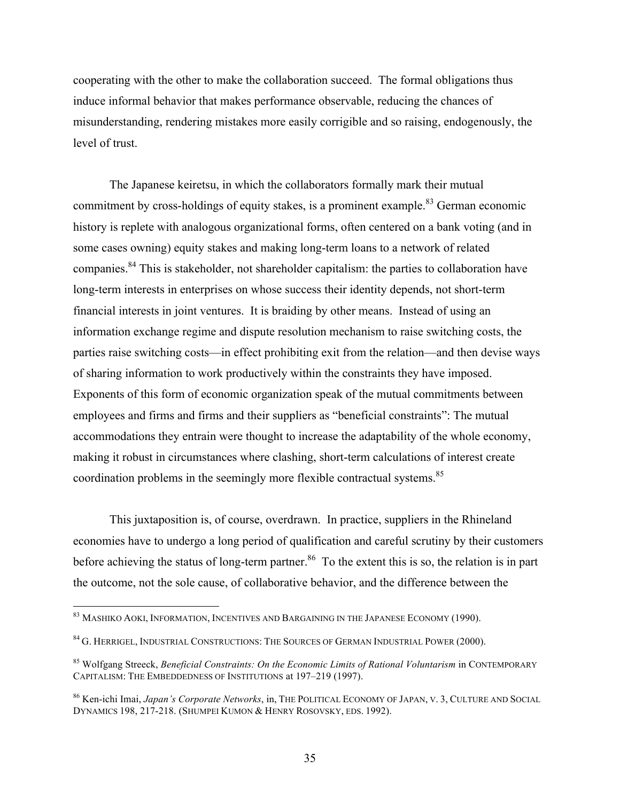cooperating with the other to make the collaboration succeed. The formal obligations thus induce informal behavior that makes performance observable, reducing the chances of misunderstanding, rendering mistakes more easily corrigible and so raising, endogenously, the level of trust.

The Japanese keiretsu, in which the collaborators formally mark their mutual commitment by cross-holdings of equity stakes, is a prominent example.<sup>83</sup> German economic history is replete with analogous organizational forms, often centered on a bank voting (and in some cases owning) equity stakes and making long-term loans to a network of related companies.<sup>84</sup> This is stakeholder, not shareholder capitalism: the parties to collaboration have long-term interests in enterprises on whose success their identity depends, not short-term financial interests in joint ventures. It is braiding by other means. Instead of using an information exchange regime and dispute resolution mechanism to raise switching costs, the parties raise switching costs—in effect prohibiting exit from the relation—and then devise ways of sharing information to work productively within the constraints they have imposed. Exponents of this form of economic organization speak of the mutual commitments between employees and firms and firms and their suppliers as "beneficial constraints": The mutual accommodations they entrain were thought to increase the adaptability of the whole economy, making it robust in circumstances where clashing, short-term calculations of interest create coordination problems in the seemingly more flexible contractual systems.<sup>85</sup>

This juxtaposition is, of course, overdrawn. In practice, suppliers in the Rhineland economies have to undergo a long period of qualification and careful scrutiny by their customers before achieving the status of long-term partner.<sup>86</sup> To the extent this is so, the relation is in part the outcome, not the sole cause, of collaborative behavior, and the difference between the

<sup>83</sup> MASHIKO AOKI, INFORMATION, INCENTIVES AND BARGAINING IN THE JAPANESE ECONOMY (1990).

<sup>&</sup>lt;sup>84</sup> G. HERRIGEL, INDUSTRIAL CONSTRUCTIONS: THE SOURCES OF GERMAN INDUSTRIAL POWER (2000).

<sup>85</sup> Wolfgang Streeck, *Beneficial Constraints: On the Economic Limits of Rational Voluntarism* in CONTEMPORARY CAPITALISM: THE EMBEDDEDNESS OF INSTITUTIONS at 197–219 (1997).

<sup>86</sup> Ken-ichi Imai, *Japan's Corporate Networks*, in, THE POLITICAL ECONOMY OF JAPAN, V. 3, CULTURE AND SOCIAL DYNAMICS 198, 217-218. (SHUMPEI KUMON & HENRY ROSOVSKY, EDS. 1992).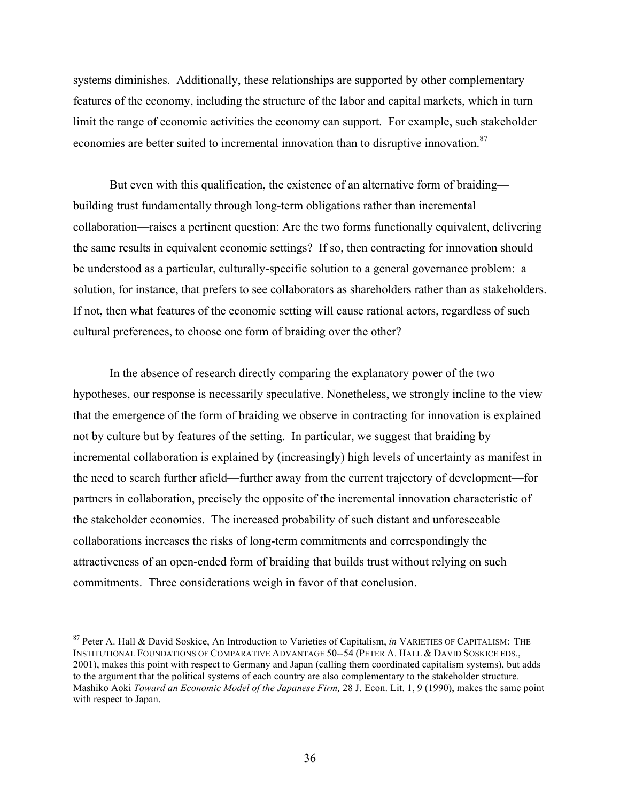systems diminishes. Additionally, these relationships are supported by other complementary features of the economy, including the structure of the labor and capital markets, which in turn limit the range of economic activities the economy can support. For example, such stakeholder economies are better suited to incremental innovation than to disruptive innovation.<sup>87</sup>

But even with this qualification, the existence of an alternative form of braiding building trust fundamentally through long-term obligations rather than incremental collaboration—raises a pertinent question: Are the two forms functionally equivalent, delivering the same results in equivalent economic settings? If so, then contracting for innovation should be understood as a particular, culturally-specific solution to a general governance problem: a solution, for instance, that prefers to see collaborators as shareholders rather than as stakeholders. If not, then what features of the economic setting will cause rational actors, regardless of such cultural preferences, to choose one form of braiding over the other?

In the absence of research directly comparing the explanatory power of the two hypotheses, our response is necessarily speculative. Nonetheless, we strongly incline to the view that the emergence of the form of braiding we observe in contracting for innovation is explained not by culture but by features of the setting. In particular, we suggest that braiding by incremental collaboration is explained by (increasingly) high levels of uncertainty as manifest in the need to search further afield—further away from the current trajectory of development—for partners in collaboration, precisely the opposite of the incremental innovation characteristic of the stakeholder economies. The increased probability of such distant and unforeseeable collaborations increases the risks of long-term commitments and correspondingly the attractiveness of an open-ended form of braiding that builds trust without relying on such commitments. Three considerations weigh in favor of that conclusion.

 <sup>87</sup> Peter A. Hall & David Soskice, An Introduction to Varieties of Capitalism, *in* VARIETIES OF CAPITALISM: THE INSTITUTIONAL FOUNDATIONS OF COMPARATIVE ADVANTAGE 50--54 (PETER A. HALL & DAVID SOSKICE EDS., 2001), makes this point with respect to Germany and Japan (calling them coordinated capitalism systems), but adds to the argument that the political systems of each country are also complementary to the stakeholder structure. Mashiko Aoki *Toward an Economic Model of the Japanese Firm,* 28 J. Econ. Lit. 1, 9 (1990), makes the same point with respect to Japan.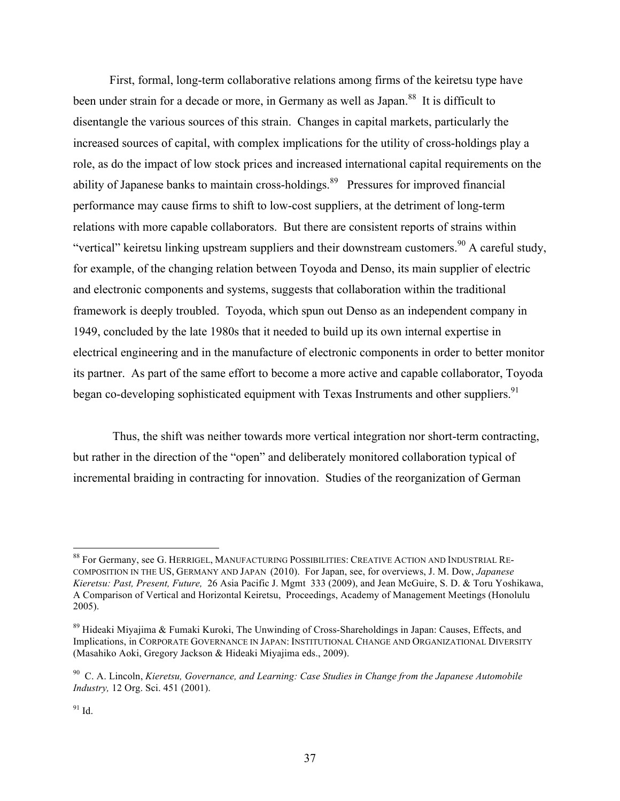First, formal, long-term collaborative relations among firms of the keiretsu type have been under strain for a decade or more, in Germany as well as Japan.<sup>88</sup> It is difficult to disentangle the various sources of this strain. Changes in capital markets, particularly the increased sources of capital, with complex implications for the utility of cross-holdings play a role, as do the impact of low stock prices and increased international capital requirements on the ability of Japanese banks to maintain cross-holdings.<sup>89</sup> Pressures for improved financial performance may cause firms to shift to low-cost suppliers, at the detriment of long-term relations with more capable collaborators. But there are consistent reports of strains within "vertical" keiretsu linking upstream suppliers and their downstream customers.<sup>90</sup> A careful study, for example, of the changing relation between Toyoda and Denso, its main supplier of electric and electronic components and systems, suggests that collaboration within the traditional framework is deeply troubled. Toyoda, which spun out Denso as an independent company in 1949, concluded by the late 1980s that it needed to build up its own internal expertise in electrical engineering and in the manufacture of electronic components in order to better monitor its partner. As part of the same effort to become a more active and capable collaborator, Toyoda began co-developing sophisticated equipment with Texas Instruments and other suppliers.<sup>91</sup>

Thus, the shift was neither towards more vertical integration nor short-term contracting, but rather in the direction of the "open" and deliberately monitored collaboration typical of incremental braiding in contracting for innovation. Studies of the reorganization of German

<sup>88</sup> For Germany, see G. HERRIGEL, MANUFACTURING POSSIBILITIES: CREATIVE ACTION AND INDUSTRIAL RE-COMPOSITION IN THE US, GERMANY AND JAPAN (2010). For Japan, see, for overviews, J. M. Dow, *Japanese Kieretsu: Past, Present, Future,* 26 Asia Pacific J. Mgmt 333 (2009), and Jean McGuire, S. D. & Toru Yoshikawa, A Comparison of Vertical and Horizontal Keiretsu, Proceedings, Academy of Management Meetings (Honolulu 2005).

<sup>89</sup> Hideaki Miyajima & Fumaki Kuroki, The Unwinding of Cross-Shareholdings in Japan: Causes, Effects, and Implications, in CORPORATE GOVERNANCE IN JAPAN: INSTITUTIONAL CHANGE AND ORGANIZATIONAL DIVERSITY (Masahiko Aoki, Gregory Jackson & Hideaki Miyajima eds., 2009).

<sup>90</sup> C. A. Lincoln, *Kieretsu, Governance, and Learning: Case Studies in Change from the Japanese Automobile Industry,* 12 Org. Sci. 451 (2001).

 $91$  Id.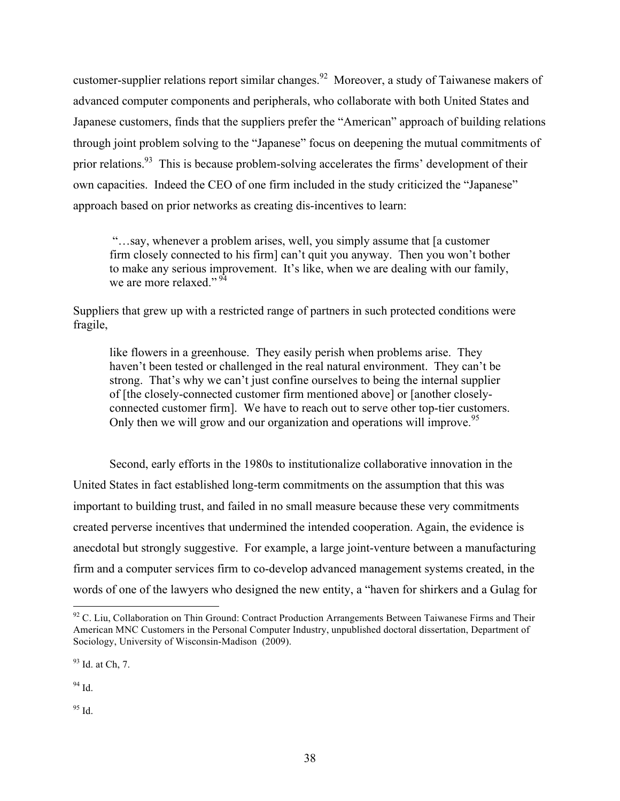customer-supplier relations report similar changes.<sup>92</sup> Moreover, a study of Taiwanese makers of advanced computer components and peripherals, who collaborate with both United States and Japanese customers, finds that the suppliers prefer the "American" approach of building relations through joint problem solving to the "Japanese" focus on deepening the mutual commitments of prior relations.<sup>93</sup> This is because problem-solving accelerates the firms' development of their own capacities. Indeed the CEO of one firm included in the study criticized the "Japanese" approach based on prior networks as creating dis-incentives to learn:

 "…say, whenever a problem arises, well, you simply assume that [a customer firm closely connected to his firm] can't quit you anyway. Then you won't bother to make any serious improvement. It's like, when we are dealing with our family, we are more relaxed."<sup>94</sup>

Suppliers that grew up with a restricted range of partners in such protected conditions were fragile,

like flowers in a greenhouse. They easily perish when problems arise. They haven't been tested or challenged in the real natural environment. They can't be strong. That's why we can't just confine ourselves to being the internal supplier of [the closely-connected customer firm mentioned above] or [another closelyconnected customer firm]. We have to reach out to serve other top-tier customers. Only then we will grow and our organization and operations will improve.<sup>95</sup>

Second, early efforts in the 1980s to institutionalize collaborative innovation in the United States in fact established long-term commitments on the assumption that this was important to building trust, and failed in no small measure because these very commitments created perverse incentives that undermined the intended cooperation. Again, the evidence is anecdotal but strongly suggestive. For example, a large joint-venture between a manufacturing firm and a computer services firm to co-develop advanced management systems created, in the words of one of the lawyers who designed the new entity, a "haven for shirkers and a Gulag for

 $94$  Id.

 $95$  Id.

 $92$  C. Liu, Collaboration on Thin Ground: Contract Production Arrangements Between Taiwanese Firms and Their American MNC Customers in the Personal Computer Industry, unpublished doctoral dissertation, Department of Sociology, University of Wisconsin-Madison (2009).

<sup>93</sup> Id. at Ch, 7.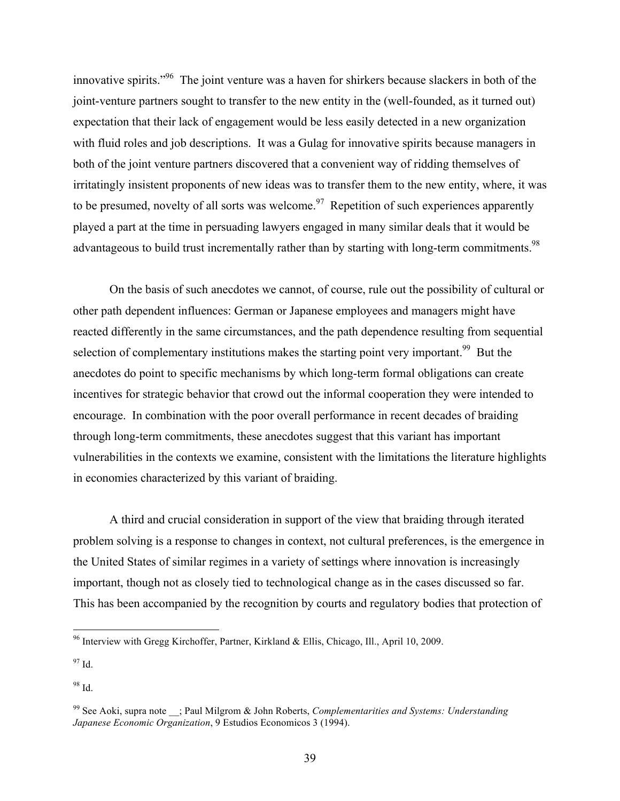innovative spirits."<sup>96</sup> The joint venture was a haven for shirkers because slackers in both of the joint-venture partners sought to transfer to the new entity in the (well-founded, as it turned out) expectation that their lack of engagement would be less easily detected in a new organization with fluid roles and job descriptions. It was a Gulag for innovative spirits because managers in both of the joint venture partners discovered that a convenient way of ridding themselves of irritatingly insistent proponents of new ideas was to transfer them to the new entity, where, it was to be presumed, novelty of all sorts was welcome.<sup>97</sup> Repetition of such experiences apparently played a part at the time in persuading lawyers engaged in many similar deals that it would be advantageous to build trust incrementally rather than by starting with long-term commitments.<sup>98</sup>

On the basis of such anecdotes we cannot, of course, rule out the possibility of cultural or other path dependent influences: German or Japanese employees and managers might have reacted differently in the same circumstances, and the path dependence resulting from sequential selection of complementary institutions makes the starting point very important.<sup>99</sup> But the anecdotes do point to specific mechanisms by which long-term formal obligations can create incentives for strategic behavior that crowd out the informal cooperation they were intended to encourage. In combination with the poor overall performance in recent decades of braiding through long-term commitments, these anecdotes suggest that this variant has important vulnerabilities in the contexts we examine, consistent with the limitations the literature highlights in economies characterized by this variant of braiding.

A third and crucial consideration in support of the view that braiding through iterated problem solving is a response to changes in context, not cultural preferences, is the emergence in the United States of similar regimes in a variety of settings where innovation is increasingly important, though not as closely tied to technological change as in the cases discussed so far. This has been accompanied by the recognition by courts and regulatory bodies that protection of

 $97$  Id.

 <sup>96</sup> Interview with Gregg Kirchoffer, Partner, Kirkland & Ellis, Chicago, Ill., April 10, 2009.

<sup>98</sup> Id.

<sup>99</sup> See Aoki, supra note \_\_; Paul Milgrom & John Roberts, *Complementarities and Systems: Understanding Japanese Economic Organization*, 9 Estudios Economicos 3 (1994).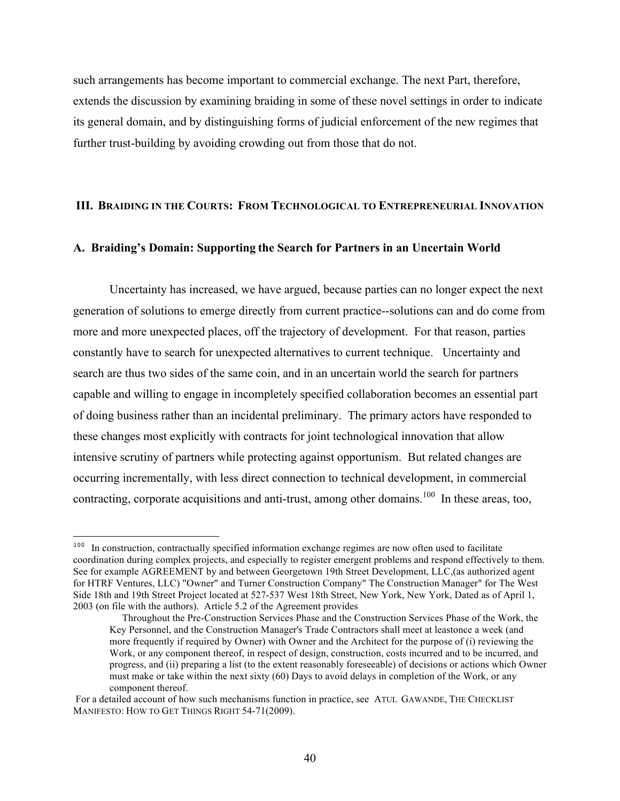such arrangements has become important to commercial exchange. The next Part, therefore, extends the discussion by examining braiding in some of these novel settings in order to indicate its general domain, and by distinguishing forms of judicial enforcement of the new regimes that further trust-building by avoiding crowding out from those that do not.

### **III. BRAIDING IN THE COURTS: FROM TECHNOLOGICAL TO ENTREPRENEURIAL INNOVATION**

### **A. Braiding's Domain: Supporting the Search for Partners in an Uncertain World**

Uncertainty has increased, we have argued, because parties can no longer expect the next generation of solutions to emerge directly from current practice--solutions can and do come from more and more unexpected places, off the trajectory of development. For that reason, parties constantly have to search for unexpected alternatives to current technique. Uncertainty and search are thus two sides of the same coin, and in an uncertain world the search for partners capable and willing to engage in incompletely specified collaboration becomes an essential part of doing business rather than an incidental preliminary. The primary actors have responded to these changes most explicitly with contracts for joint technological innovation that allow intensive scrutiny of partners while protecting against opportunism. But related changes are occurring incrementally, with less direct connection to technical development, in commercial contracting, corporate acquisitions and anti-trust, among other domains.<sup>100</sup> In these areas, too,

1

<sup>&</sup>lt;sup>100</sup> In construction, contractually specified information exchange regimes are now often used to facilitate coordination during complex projects, and especially to register emergent problems and respond effectively to them. See for example AGREEMENT by and between Georgetown 19th Street Development, LLC,(as authorized agent for HTRF Ventures, LLC) "Owner" and Turner Construction Company" The Construction Manager" for The West Side 18th and 19th Street Project located at 527-537 West 18th Street, New York, New York, Dated as of April 1, 2003 (on file with the authors). Article 5.2 of the Agreement provides

Throughout the Pre-Construction Services Phase and the Construction Services Phase of the Work, the Key Personnel, and the Construction Manager's Trade Contractors shall meet at leastonce a week (and more frequently if required by Owner) with Owner and the Architect for the purpose of (i) reviewing the Work, or any component thereof, in respect of design, construction, costs incurred and to be incurred, and progress, and (ii) preparing a list (to the extent reasonably foreseeable) of decisions or actions which Owner must make or take within the next sixty (60) Days to avoid delays in completion of the Work, or any component thereof.

For a detailed account of how such mechanisms function in practice, see ATUL GAWANDE, THE CHECKLIST MANIFESTO: HOW TO GET THINGS RIGHT 54-71(2009).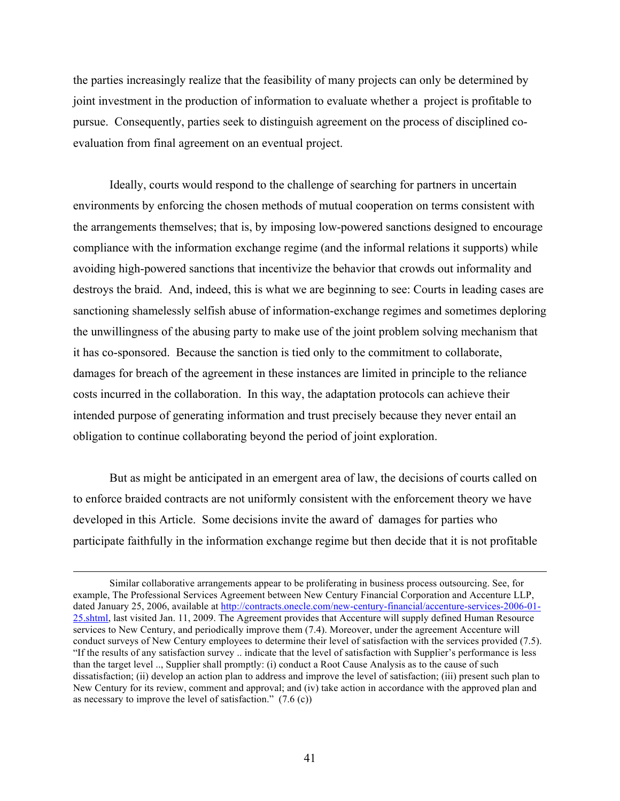the parties increasingly realize that the feasibility of many projects can only be determined by joint investment in the production of information to evaluate whether a project is profitable to pursue. Consequently, parties seek to distinguish agreement on the process of disciplined coevaluation from final agreement on an eventual project.

Ideally, courts would respond to the challenge of searching for partners in uncertain environments by enforcing the chosen methods of mutual cooperation on terms consistent with the arrangements themselves; that is, by imposing low-powered sanctions designed to encourage compliance with the information exchange regime (and the informal relations it supports) while avoiding high-powered sanctions that incentivize the behavior that crowds out informality and destroys the braid. And, indeed, this is what we are beginning to see: Courts in leading cases are sanctioning shamelessly selfish abuse of information-exchange regimes and sometimes deploring the unwillingness of the abusing party to make use of the joint problem solving mechanism that it has co-sponsored. Because the sanction is tied only to the commitment to collaborate, damages for breach of the agreement in these instances are limited in principle to the reliance costs incurred in the collaboration. In this way, the adaptation protocols can achieve their intended purpose of generating information and trust precisely because they never entail an obligation to continue collaborating beyond the period of joint exploration.

But as might be anticipated in an emergent area of law, the decisions of courts called on to enforce braided contracts are not uniformly consistent with the enforcement theory we have developed in this Article. Some decisions invite the award of damages for parties who participate faithfully in the information exchange regime but then decide that it is not profitable

1

Similar collaborative arrangements appear to be proliferating in business process outsourcing. See, for example, The Professional Services Agreement between New Century Financial Corporation and Accenture LLP, dated January 25, 2006, available at http://contracts.onecle.com/new-century-financial/accenture-services-2006-01- 25.shtml, last visited Jan. 11, 2009. The Agreement provides that Accenture will supply defined Human Resource services to New Century, and periodically improve them (7.4). Moreover, under the agreement Accenture will conduct surveys of New Century employees to determine their level of satisfaction with the services provided (7.5). "If the results of any satisfaction survey .. indicate that the level of satisfaction with Supplier's performance is less than the target level .., Supplier shall promptly: (i) conduct a Root Cause Analysis as to the cause of such dissatisfaction; (ii) develop an action plan to address and improve the level of satisfaction; (iii) present such plan to New Century for its review, comment and approval; and (iv) take action in accordance with the approved plan and as necessary to improve the level of satisfaction." (7.6 (c))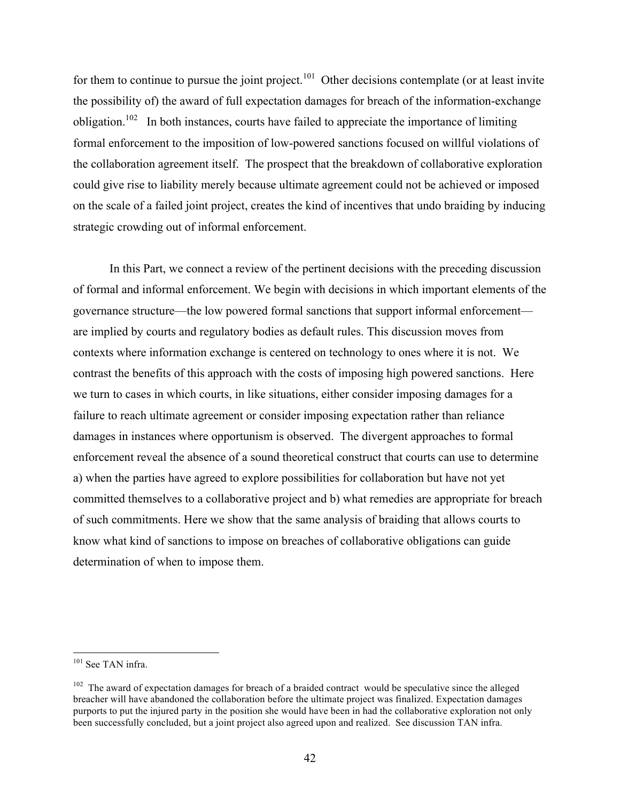for them to continue to pursue the joint project.<sup>101</sup> Other decisions contemplate (or at least invite the possibility of) the award of full expectation damages for breach of the information-exchange obligation.<sup>102</sup> In both instances, courts have failed to appreciate the importance of limiting formal enforcement to the imposition of low-powered sanctions focused on willful violations of the collaboration agreement itself. The prospect that the breakdown of collaborative exploration could give rise to liability merely because ultimate agreement could not be achieved or imposed on the scale of a failed joint project, creates the kind of incentives that undo braiding by inducing strategic crowding out of informal enforcement.

In this Part, we connect a review of the pertinent decisions with the preceding discussion of formal and informal enforcement. We begin with decisions in which important elements of the governance structure—the low powered formal sanctions that support informal enforcement are implied by courts and regulatory bodies as default rules. This discussion moves from contexts where information exchange is centered on technology to ones where it is not. We contrast the benefits of this approach with the costs of imposing high powered sanctions. Here we turn to cases in which courts, in like situations, either consider imposing damages for a failure to reach ultimate agreement or consider imposing expectation rather than reliance damages in instances where opportunism is observed. The divergent approaches to formal enforcement reveal the absence of a sound theoretical construct that courts can use to determine a) when the parties have agreed to explore possibilities for collaboration but have not yet committed themselves to a collaborative project and b) what remedies are appropriate for breach of such commitments. Here we show that the same analysis of braiding that allows courts to know what kind of sanctions to impose on breaches of collaborative obligations can guide determination of when to impose them.

<sup>&</sup>lt;sup>101</sup> See TAN infra.

<sup>&</sup>lt;sup>102</sup> The award of expectation damages for breach of a braided contract would be speculative since the alleged breacher will have abandoned the collaboration before the ultimate project was finalized. Expectation damages purports to put the injured party in the position she would have been in had the collaborative exploration not only been successfully concluded, but a joint project also agreed upon and realized. See discussion TAN infra.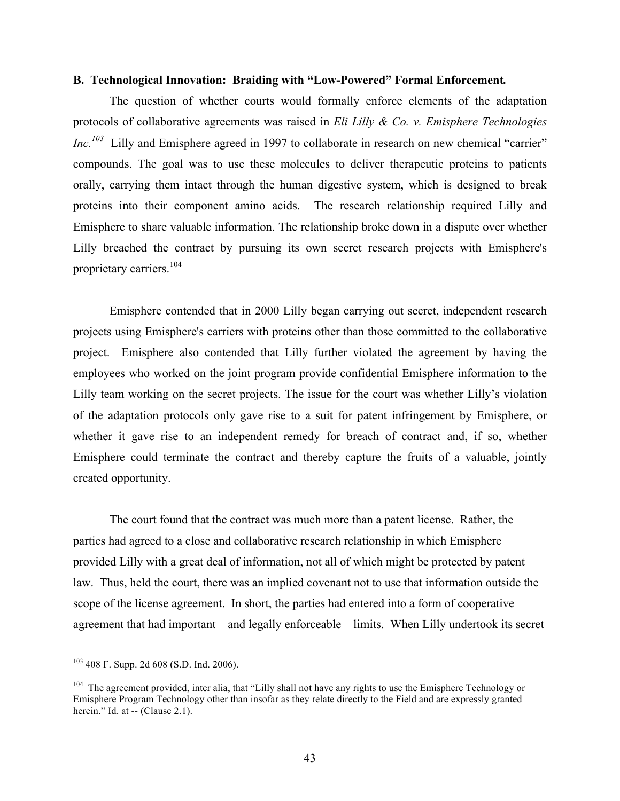#### **B. Technological Innovation: Braiding with "Low-Powered" Formal Enforcement***.*

The question of whether courts would formally enforce elements of the adaptation protocols of collaborative agreements was raised in *Eli Lilly & Co. v. Emisphere Technologies Inc.*<sup>103</sup> Lilly and Emisphere agreed in 1997 to collaborate in research on new chemical "carrier" compounds. The goal was to use these molecules to deliver therapeutic proteins to patients orally, carrying them intact through the human digestive system, which is designed to break proteins into their component amino acids. The research relationship required Lilly and Emisphere to share valuable information. The relationship broke down in a dispute over whether Lilly breached the contract by pursuing its own secret research projects with Emisphere's proprietary carriers. 104

Emisphere contended that in 2000 Lilly began carrying out secret, independent research projects using Emisphere's carriers with proteins other than those committed to the collaborative project. Emisphere also contended that Lilly further violated the agreement by having the employees who worked on the joint program provide confidential Emisphere information to the Lilly team working on the secret projects. The issue for the court was whether Lilly's violation of the adaptation protocols only gave rise to a suit for patent infringement by Emisphere, or whether it gave rise to an independent remedy for breach of contract and, if so, whether Emisphere could terminate the contract and thereby capture the fruits of a valuable, jointly created opportunity.

The court found that the contract was much more than a patent license. Rather, the parties had agreed to a close and collaborative research relationship in which Emisphere provided Lilly with a great deal of information, not all of which might be protected by patent law. Thus, held the court, there was an implied covenant not to use that information outside the scope of the license agreement. In short, the parties had entered into a form of cooperative agreement that had important—and legally enforceable—limits. When Lilly undertook its secret

 <sup>103 408</sup> F. Supp. 2d 608 (S.D. Ind. 2006).

<sup>&</sup>lt;sup>104</sup> The agreement provided, inter alia, that "Lilly shall not have any rights to use the Emisphere Technology or Emisphere Program Technology other than insofar as they relate directly to the Field and are expressly granted herein." Id. at -- (Clause 2.1).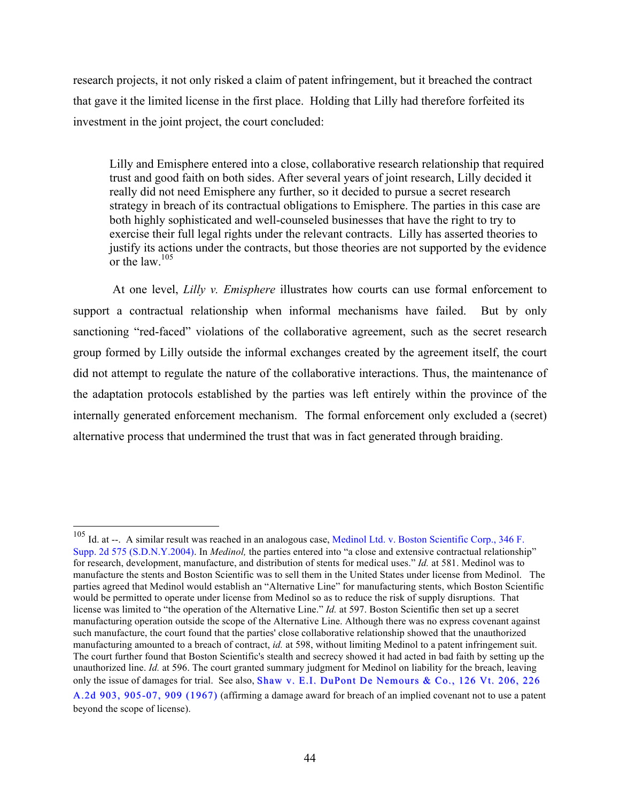research projects, it not only risked a claim of patent infringement, but it breached the contract that gave it the limited license in the first place. Holding that Lilly had therefore forfeited its investment in the joint project, the court concluded:

Lilly and Emisphere entered into a close, collaborative research relationship that required trust and good faith on both sides. After several years of joint research, Lilly decided it really did not need Emisphere any further, so it decided to pursue a secret research strategy in breach of its contractual obligations to Emisphere. The parties in this case are both highly sophisticated and well-counseled businesses that have the right to try to exercise their full legal rights under the relevant contracts. Lilly has asserted theories to justify its actions under the contracts, but those theories are not supported by the evidence or the law. 105

 At one level, *Lilly v. Emisphere* illustrates how courts can use formal enforcement to support a contractual relationship when informal mechanisms have failed. But by only sanctioning "red-faced" violations of the collaborative agreement, such as the secret research group formed by Lilly outside the informal exchanges created by the agreement itself, the court did not attempt to regulate the nature of the collaborative interactions. Thus, the maintenance of the adaptation protocols established by the parties was left entirely within the province of the internally generated enforcement mechanism. The formal enforcement only excluded a (secret) alternative process that undermined the trust that was in fact generated through braiding.

<sup>&</sup>lt;sup>105</sup> Id. at --. A similar result was reached in an analogous case, Medinol Ltd. v. Boston Scientific Corp., 346 F. Supp. 2d 575 (S.D.N.Y.2004). In *Medinol,* the parties entered into "a close and extensive contractual relationship" for research, development, manufacture, and distribution of stents for medical uses." *Id.* at 581. Medinol was to manufacture the stents and Boston Scientific was to sell them in the United States under license from Medinol. The parties agreed that Medinol would establish an "Alternative Line" for manufacturing stents, which Boston Scientific would be permitted to operate under license from Medinol so as to reduce the risk of supply disruptions. That license was limited to "the operation of the Alternative Line." *Id.* at 597. Boston Scientific then set up a secret manufacturing operation outside the scope of the Alternative Line. Although there was no express covenant against such manufacture, the court found that the parties' close collaborative relationship showed that the unauthorized manufacturing amounted to a breach of contract, *id.* at 598, without limiting Medinol to a patent infringement suit. The court further found that Boston Scientific's stealth and secrecy showed it had acted in bad faith by setting up the unauthorized line. *Id.* at 596. The court granted summary judgment for Medinol on liability for the breach, leaving only the issue of damages for trial. See also, Shaw v. E.I. DuPont De Nemours & Co., 126 Vt. 206, 226 A.2d 903, 905-07, 909 (1967) (affirming a damage award for breach of an implied covenant not to use a patent beyond the scope of license).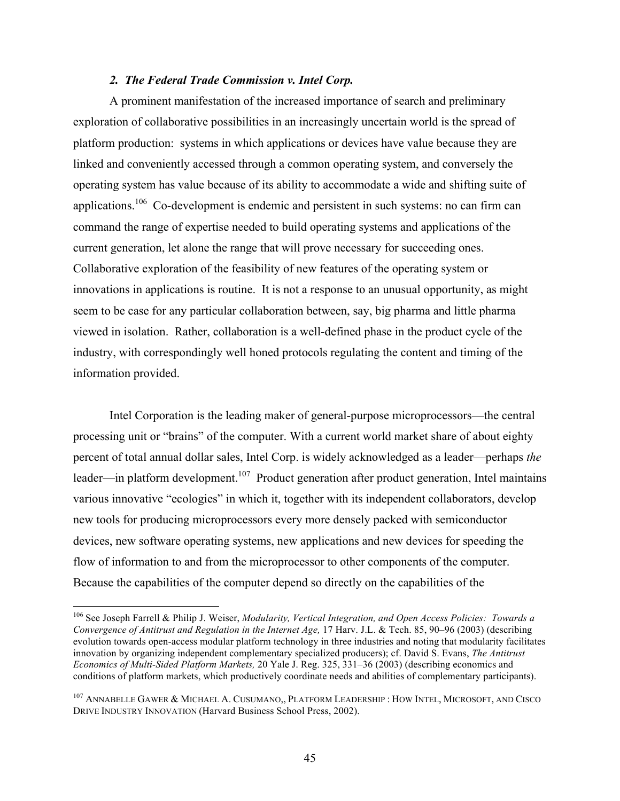# *2. The Federal Trade Commission v. Intel Corp.*

A prominent manifestation of the increased importance of search and preliminary exploration of collaborative possibilities in an increasingly uncertain world is the spread of platform production: systems in which applications or devices have value because they are linked and conveniently accessed through a common operating system, and conversely the operating system has value because of its ability to accommodate a wide and shifting suite of applications.<sup>106</sup> Co-development is endemic and persistent in such systems: no can firm can command the range of expertise needed to build operating systems and applications of the current generation, let alone the range that will prove necessary for succeeding ones. Collaborative exploration of the feasibility of new features of the operating system or innovations in applications is routine. It is not a response to an unusual opportunity, as might seem to be case for any particular collaboration between, say, big pharma and little pharma viewed in isolation. Rather, collaboration is a well-defined phase in the product cycle of the industry, with correspondingly well honed protocols regulating the content and timing of the information provided.

Intel Corporation is the leading maker of general-purpose microprocessors—the central processing unit or "brains" of the computer. With a current world market share of about eighty percent of total annual dollar sales, Intel Corp. is widely acknowledged as a leader—perhaps *the* leader—in platform development.<sup>107</sup> Product generation after product generation, Intel maintains various innovative "ecologies" in which it, together with its independent collaborators, develop new tools for producing microprocessors every more densely packed with semiconductor devices, new software operating systems, new applications and new devices for speeding the flow of information to and from the microprocessor to other components of the computer. Because the capabilities of the computer depend so directly on the capabilities of the

 <sup>106</sup> See Joseph Farrell & Philip J. Weiser, *Modularity, Vertical Integration, and Open Access Policies: Towards a Convergence of Antitrust and Regulation in the Internet Age,* 17 Harv. J.L. & Tech. 85, 90–96 (2003) (describing evolution towards open-access modular platform technology in three industries and noting that modularity facilitates innovation by organizing independent complementary specialized producers); cf. David S. Evans, *The Antitrust Economics of Multi-Sided Platform Markets,* 20 Yale J. Reg. 325, 331–36 (2003) (describing economics and conditions of platform markets, which productively coordinate needs and abilities of complementary participants).

<sup>&</sup>lt;sup>107</sup> ANNABELLE GAWER & MICHAEL A. CUSUMANO., PLATFORM LEADERSHIP : HOW INTEL, MICROSOFT, AND CISCO DRIVE INDUSTRY INNOVATION (Harvard Business School Press, 2002).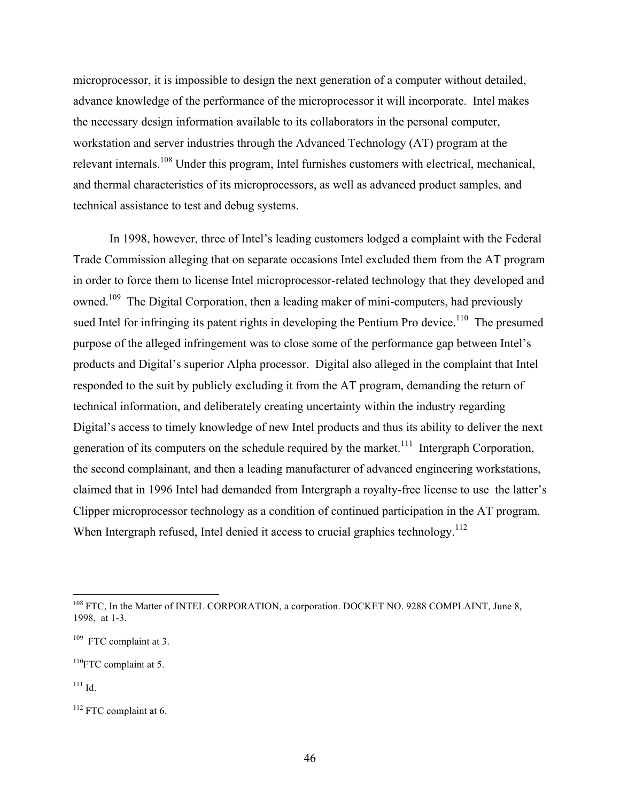microprocessor, it is impossible to design the next generation of a computer without detailed, advance knowledge of the performance of the microprocessor it will incorporate. Intel makes the necessary design information available to its collaborators in the personal computer, workstation and server industries through the Advanced Technology (AT) program at the relevant internals.<sup>108</sup> Under this program, Intel furnishes customers with electrical, mechanical, and thermal characteristics of its microprocessors, as well as advanced product samples, and technical assistance to test and debug systems.

In 1998, however, three of Intel's leading customers lodged a complaint with the Federal Trade Commission alleging that on separate occasions Intel excluded them from the AT program in order to force them to license Intel microprocessor-related technology that they developed and owned.<sup>109</sup> The Digital Corporation, then a leading maker of mini-computers, had previously sued Intel for infringing its patent rights in developing the Pentium Pro device.<sup>110</sup> The presumed purpose of the alleged infringement was to close some of the performance gap between Intel's products and Digital's superior Alpha processor. Digital also alleged in the complaint that Intel responded to the suit by publicly excluding it from the AT program, demanding the return of technical information, and deliberately creating uncertainty within the industry regarding Digital's access to timely knowledge of new Intel products and thus its ability to deliver the next generation of its computers on the schedule required by the market.<sup>111</sup> Intergraph Corporation, the second complainant, and then a leading manufacturer of advanced engineering workstations, claimed that in 1996 Intel had demanded from Intergraph a royalty-free license to use the latter's Clipper microprocessor technology as a condition of continued participation in the AT program. When Intergraph refused, Intel denied it access to crucial graphics technology.<sup>112</sup>

 $108$  FTC, In the Matter of INTEL CORPORATION, a corporation. DOCKET NO. 9288 COMPLAINT, June 8, 1998, at 1-3.

<sup>&</sup>lt;sup>109</sup> FTC complaint at 3.

<sup>&</sup>lt;sup>110</sup>FTC complaint at 5.

 $111$  Id.

 $112$  FTC complaint at 6.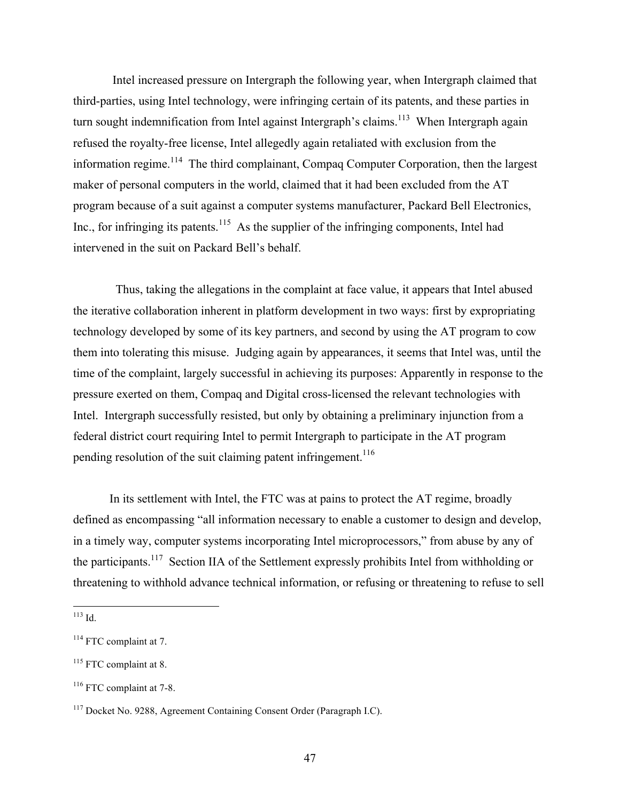Intel increased pressure on Intergraph the following year, when Intergraph claimed that third-parties, using Intel technology, were infringing certain of its patents, and these parties in turn sought indemnification from Intel against Intergraph's claims.<sup>113</sup> When Intergraph again refused the royalty-free license, Intel allegedly again retaliated with exclusion from the information regime.114 The third complainant, Compaq Computer Corporation, then the largest maker of personal computers in the world, claimed that it had been excluded from the AT program because of a suit against a computer systems manufacturer, Packard Bell Electronics, Inc., for infringing its patents.<sup>115</sup> As the supplier of the infringing components, Intel had intervened in the suit on Packard Bell's behalf.

 Thus, taking the allegations in the complaint at face value, it appears that Intel abused the iterative collaboration inherent in platform development in two ways: first by expropriating technology developed by some of its key partners, and second by using the AT program to cow them into tolerating this misuse. Judging again by appearances, it seems that Intel was, until the time of the complaint, largely successful in achieving its purposes: Apparently in response to the pressure exerted on them, Compaq and Digital cross-licensed the relevant technologies with Intel. Intergraph successfully resisted, but only by obtaining a preliminary injunction from a federal district court requiring Intel to permit Intergraph to participate in the AT program pending resolution of the suit claiming patent infringement. 116

In its settlement with Intel, the FTC was at pains to protect the AT regime, broadly defined as encompassing "all information necessary to enable a customer to design and develop, in a timely way, computer systems incorporating Intel microprocessors," from abuse by any of the participants.<sup>117</sup> Section IIA of the Settlement expressly prohibits Intel from withholding or threatening to withhold advance technical information, or refusing or threatening to refuse to sell

 $113$  Id.

<sup>&</sup>lt;sup>114</sup> FTC complaint at 7.

<sup>&</sup>lt;sup>115</sup> FTC complaint at 8.

<sup>&</sup>lt;sup>116</sup> FTC complaint at 7-8.

<sup>117</sup> Docket No. 9288, Agreement Containing Consent Order (Paragraph I.C).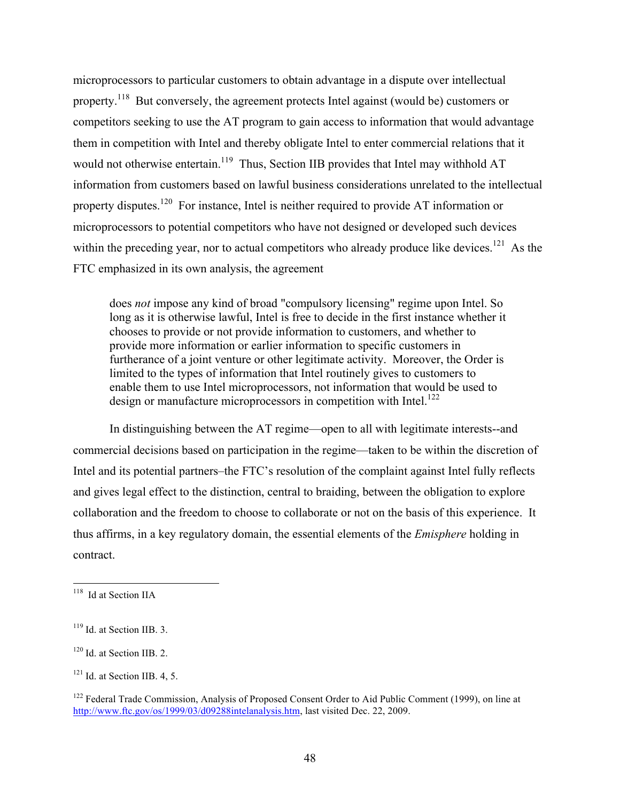microprocessors to particular customers to obtain advantage in a dispute over intellectual property.<sup>118</sup> But conversely, the agreement protects Intel against (would be) customers or competitors seeking to use the AT program to gain access to information that would advantage them in competition with Intel and thereby obligate Intel to enter commercial relations that it would not otherwise entertain.<sup>119</sup> Thus, Section IIB provides that Intel may withhold AT information from customers based on lawful business considerations unrelated to the intellectual property disputes.<sup>120</sup> For instance, Intel is neither required to provide AT information or microprocessors to potential competitors who have not designed or developed such devices within the preceding year, nor to actual competitors who already produce like devices.<sup>121</sup> As the FTC emphasized in its own analysis, the agreement

does *not* impose any kind of broad "compulsory licensing" regime upon Intel. So long as it is otherwise lawful, Intel is free to decide in the first instance whether it chooses to provide or not provide information to customers, and whether to provide more information or earlier information to specific customers in furtherance of a joint venture or other legitimate activity. Moreover, the Order is limited to the types of information that Intel routinely gives to customers to enable them to use Intel microprocessors, not information that would be used to design or manufacture microprocessors in competition with Intel.<sup>122</sup>

In distinguishing between the AT regime—open to all with legitimate interests--and commercial decisions based on participation in the regime—taken to be within the discretion of Intel and its potential partners–the FTC's resolution of the complaint against Intel fully reflects and gives legal effect to the distinction, central to braiding, between the obligation to explore collaboration and the freedom to choose to collaborate or not on the basis of this experience. It thus affirms, in a key regulatory domain, the essential elements of the *Emisphere* holding in contract.

<sup>&</sup>lt;sup>118</sup> Id at Section IIA

<sup>119</sup> Id. at Section IIB. 3.

 $120$  Id. at Section IIB. 2.

 $121$  Id. at Section IIB. 4, 5.

 $122$  Federal Trade Commission, Analysis of Proposed Consent Order to Aid Public Comment (1999), on line at http://www.ftc.gov/os/1999/03/d09288intelanalysis.htm, last visited Dec. 22, 2009.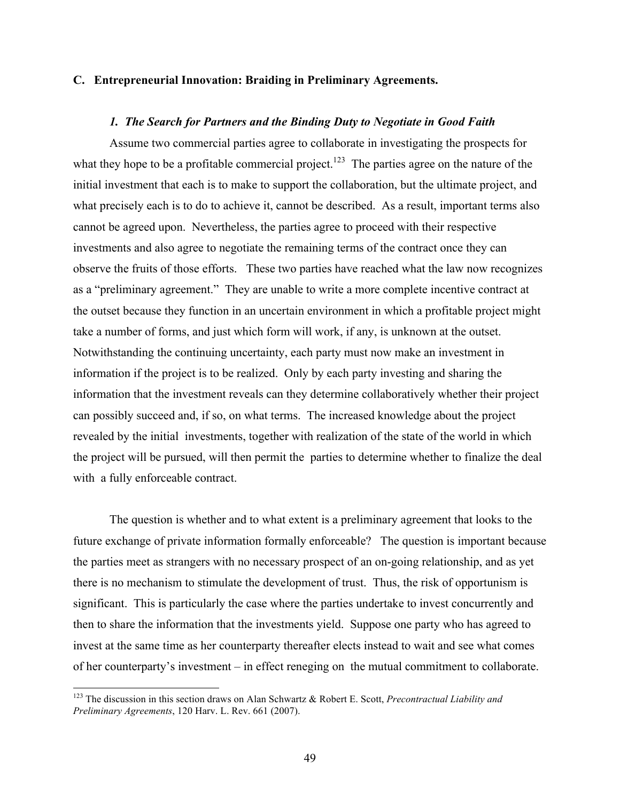# **C. Entrepreneurial Innovation: Braiding in Preliminary Agreements.**

#### *1. The Search for Partners and the Binding Duty to Negotiate in Good Faith*

Assume two commercial parties agree to collaborate in investigating the prospects for what they hope to be a profitable commercial project.<sup>123</sup> The parties agree on the nature of the initial investment that each is to make to support the collaboration, but the ultimate project, and what precisely each is to do to achieve it, cannot be described. As a result, important terms also cannot be agreed upon. Nevertheless, the parties agree to proceed with their respective investments and also agree to negotiate the remaining terms of the contract once they can observe the fruits of those efforts. These two parties have reached what the law now recognizes as a "preliminary agreement." They are unable to write a more complete incentive contract at the outset because they function in an uncertain environment in which a profitable project might take a number of forms, and just which form will work, if any, is unknown at the outset. Notwithstanding the continuing uncertainty, each party must now make an investment in information if the project is to be realized. Only by each party investing and sharing the information that the investment reveals can they determine collaboratively whether their project can possibly succeed and, if so, on what terms. The increased knowledge about the project revealed by the initial investments, together with realization of the state of the world in which the project will be pursued, will then permit the parties to determine whether to finalize the deal with a fully enforceable contract.

The question is whether and to what extent is a preliminary agreement that looks to the future exchange of private information formally enforceable? The question is important because the parties meet as strangers with no necessary prospect of an on-going relationship, and as yet there is no mechanism to stimulate the development of trust. Thus, the risk of opportunism is significant. This is particularly the case where the parties undertake to invest concurrently and then to share the information that the investments yield. Suppose one party who has agreed to invest at the same time as her counterparty thereafter elects instead to wait and see what comes of her counterparty's investment – in effect reneging on the mutual commitment to collaborate.

 <sup>123</sup> The discussion in this section draws on Alan Schwartz & Robert E. Scott, *Precontractual Liability and Preliminary Agreements*, 120 Harv. L. Rev. 661 (2007).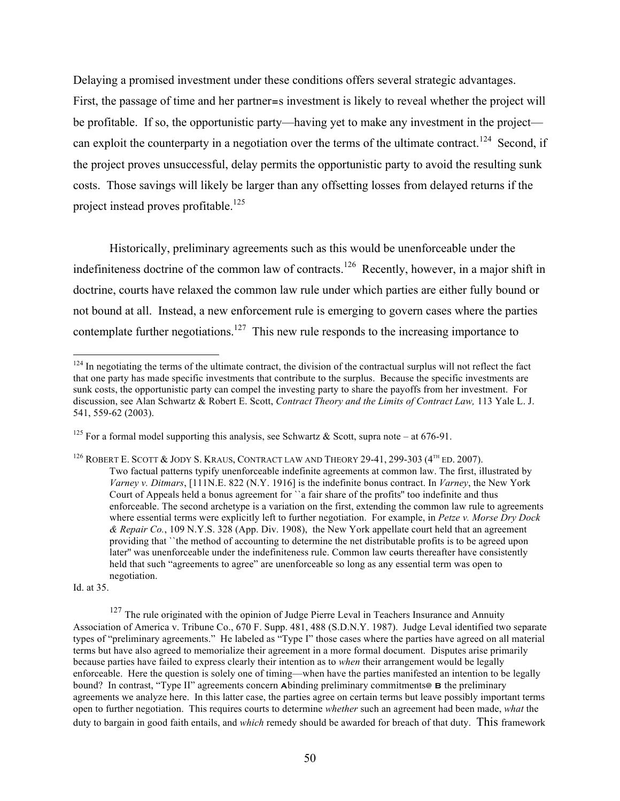Delaying a promised investment under these conditions offers several strategic advantages. First, the passage of time and her partner=s investment is likely to reveal whether the project will be profitable. If so, the opportunistic party—having yet to make any investment in the project can exploit the counterparty in a negotiation over the terms of the ultimate contract.<sup>124</sup> Second, if the project proves unsuccessful, delay permits the opportunistic party to avoid the resulting sunk costs. Those savings will likely be larger than any offsetting losses from delayed returns if the project instead proves profitable. 125

Historically, preliminary agreements such as this would be unenforceable under the indefiniteness doctrine of the common law of contracts.<sup>126</sup> Recently, however, in a major shift in doctrine, courts have relaxed the common law rule under which parties are either fully bound or not bound at all. Instead, a new enforcement rule is emerging to govern cases where the parties contemplate further negotiations.<sup>127</sup> This new rule responds to the increasing importance to

Id. at 35.

 $124$  In negotiating the terms of the ultimate contract, the division of the contractual surplus will not reflect the fact that one party has made specific investments that contribute to the surplus. Because the specific investments are sunk costs, the opportunistic party can compel the investing party to share the payoffs from her investment. For discussion, see Alan Schwartz & Robert E. Scott, *Contract Theory and the Limits of Contract Law,* 113 Yale L. J. 541, 559-62 (2003).

<sup>&</sup>lt;sup>125</sup> For a formal model supporting this analysis, see Schwartz & Scott, supra note – at 676-91.

 $126$  ROBERT E. SCOTT & JODY S. KRAUS, CONTRACT LAW AND THEORY 29-41, 299-303 ( $4$ <sup>TH</sup> ED. 2007). Two factual patterns typify unenforceable indefinite agreements at common law. The first, illustrated by *Varney v. Ditmars*, [111N.E. 822 (N.Y. 1916] is the indefinite bonus contract. In *Varney*, the New York Court of Appeals held a bonus agreement for ``a fair share of the profits'' too indefinite and thus enforceable. The second archetype is a variation on the first, extending the common law rule to agreements where essential terms were explicitly left to further negotiation. For example, in *Petze v. Morse Dry Dock & Repair Co.*, 109 N.Y.S. 328 (App. Div. 1908), the New York appellate court held that an agreement providing that ``the method of accounting to determine the net distributable profits is to be agreed upon later'' was unenforceable under the indefiniteness rule. Common law courts thereafter have consistently held that such "agreements to agree" are unenforceable so long as any essential term was open to negotiation.

 $127$  The rule originated with the opinion of Judge Pierre Leval in Teachers Insurance and Annuity Association of America v. Tribune Co., 670 F. Supp. 481, 488 (S.D.N.Y. 1987). Judge Leval identified two separate types of "preliminary agreements." He labeled as "Type I" those cases where the parties have agreed on all material terms but have also agreed to memorialize their agreement in a more formal document. Disputes arise primarily because parties have failed to express clearly their intention as to *when* their arrangement would be legally enforceable. Here the question is solely one of timing—when have the parties manifested an intention to be legally bound? In contrast, "Type II" agreements concern Abinding preliminary commitments@ **B** the preliminary agreements we analyze here. In this latter case, the parties agree on certain terms but leave possibly important terms open to further negotiation. This requires courts to determine *whether* such an agreement had been made, *what* the duty to bargain in good faith entails, and *which* remedy should be awarded for breach of that duty. This framework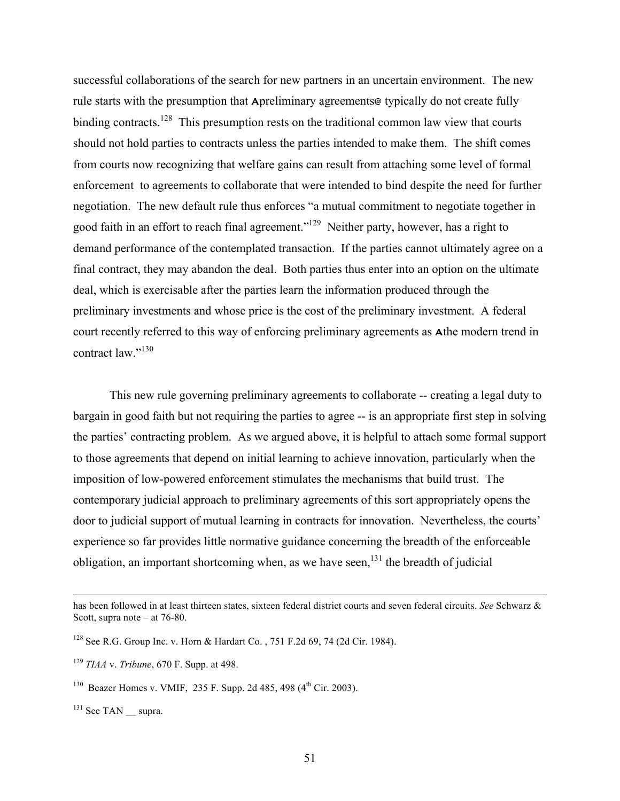successful collaborations of the search for new partners in an uncertain environment. The new rule starts with the presumption that Apreliminary agreements@ typically do not create fully binding contracts.<sup>128</sup> This presumption rests on the traditional common law view that courts should not hold parties to contracts unless the parties intended to make them. The shift comes from courts now recognizing that welfare gains can result from attaching some level of formal enforcement to agreements to collaborate that were intended to bind despite the need for further negotiation. The new default rule thus enforces "a mutual commitment to negotiate together in good faith in an effort to reach final agreement."<sup>129</sup> Neither party, however, has a right to demand performance of the contemplated transaction. If the parties cannot ultimately agree on a final contract, they may abandon the deal. Both parties thus enter into an option on the ultimate deal, which is exercisable after the parties learn the information produced through the preliminary investments and whose price is the cost of the preliminary investment. A federal court recently referred to this way of enforcing preliminary agreements as Athe modern trend in contract law." 130

This new rule governing preliminary agreements to collaborate -- creating a legal duty to bargain in good faith but not requiring the parties to agree -- is an appropriate first step in solving the parties' contracting problem. As we argued above, it is helpful to attach some formal support to those agreements that depend on initial learning to achieve innovation, particularly when the imposition of low-powered enforcement stimulates the mechanisms that build trust. The contemporary judicial approach to preliminary agreements of this sort appropriately opens the door to judicial support of mutual learning in contracts for innovation. Nevertheless, the courts' experience so far provides little normative guidance concerning the breadth of the enforceable obligation, an important shortcoming when, as we have seen,  $131$  the breadth of judicial

1

has been followed in at least thirteen states, sixteen federal district courts and seven federal circuits. *See* Schwarz & Scott, supra note – at 76-80.

<sup>&</sup>lt;sup>128</sup> See R.G. Group Inc. v. Horn & Hardart Co., 751 F.2d 69, 74 (2d Cir. 1984).

<sup>129</sup> *TIAA* v. *Tribune*, 670 F. Supp. at 498.

<sup>&</sup>lt;sup>130</sup> Beazer Homes v. VMIF, 235 F. Supp. 2d 485, 498 ( $4^{th}$  Cir. 2003).

 $131$  See TAN supra.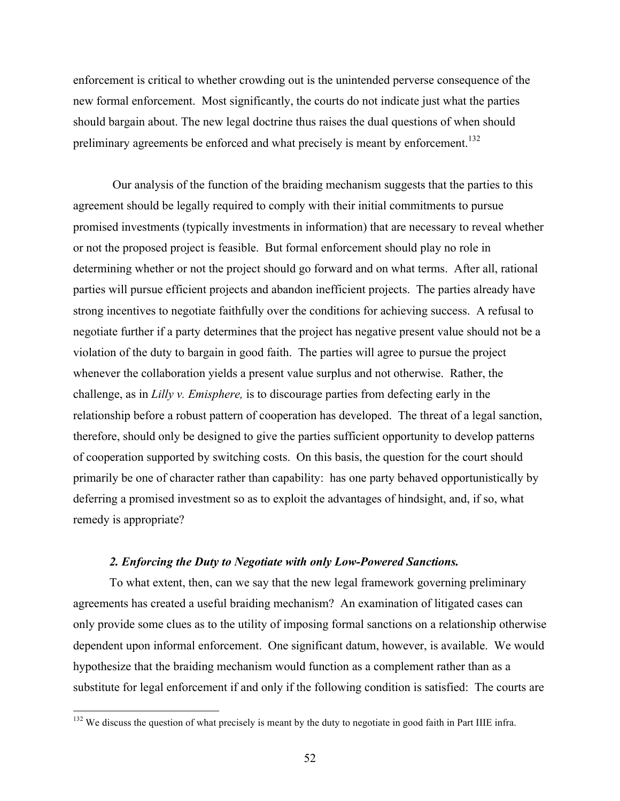enforcement is critical to whether crowding out is the unintended perverse consequence of the new formal enforcement. Most significantly, the courts do not indicate just what the parties should bargain about. The new legal doctrine thus raises the dual questions of when should preliminary agreements be enforced and what precisely is meant by enforcement.<sup>132</sup>

 Our analysis of the function of the braiding mechanism suggests that the parties to this agreement should be legally required to comply with their initial commitments to pursue promised investments (typically investments in information) that are necessary to reveal whether or not the proposed project is feasible. But formal enforcement should play no role in determining whether or not the project should go forward and on what terms. After all, rational parties will pursue efficient projects and abandon inefficient projects. The parties already have strong incentives to negotiate faithfully over the conditions for achieving success. A refusal to negotiate further if a party determines that the project has negative present value should not be a violation of the duty to bargain in good faith. The parties will agree to pursue the project whenever the collaboration yields a present value surplus and not otherwise. Rather, the challenge, as in *Lilly v. Emisphere,* is to discourage parties from defecting early in the relationship before a robust pattern of cooperation has developed. The threat of a legal sanction, therefore, should only be designed to give the parties sufficient opportunity to develop patterns of cooperation supported by switching costs. On this basis, the question for the court should primarily be one of character rather than capability: has one party behaved opportunistically by deferring a promised investment so as to exploit the advantages of hindsight, and, if so, what remedy is appropriate?

# *2. Enforcing the Duty to Negotiate with only Low-Powered Sanctions.*

To what extent, then, can we say that the new legal framework governing preliminary agreements has created a useful braiding mechanism? An examination of litigated cases can only provide some clues as to the utility of imposing formal sanctions on a relationship otherwise dependent upon informal enforcement. One significant datum, however, is available. We would hypothesize that the braiding mechanism would function as a complement rather than as a substitute for legal enforcement if and only if the following condition is satisfied: The courts are

<sup>&</sup>lt;sup>132</sup> We discuss the question of what precisely is meant by the duty to negotiate in good faith in Part IIIE infra.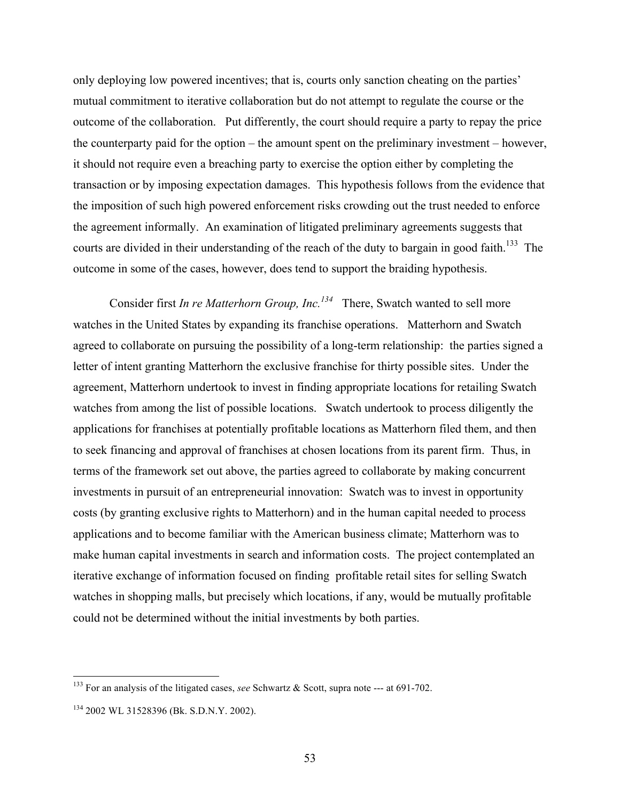only deploying low powered incentives; that is, courts only sanction cheating on the parties' mutual commitment to iterative collaboration but do not attempt to regulate the course or the outcome of the collaboration. Put differently, the court should require a party to repay the price the counterparty paid for the option – the amount spent on the preliminary investment – however, it should not require even a breaching party to exercise the option either by completing the transaction or by imposing expectation damages. This hypothesis follows from the evidence that the imposition of such high powered enforcement risks crowding out the trust needed to enforce the agreement informally. An examination of litigated preliminary agreements suggests that courts are divided in their understanding of the reach of the duty to bargain in good faith.<sup>133</sup> The outcome in some of the cases, however, does tend to support the braiding hypothesis.

Consider first *In re Matterhorn Group, Inc.*<sup>134</sup> There, Swatch wanted to sell more watches in the United States by expanding its franchise operations. Matterhorn and Swatch agreed to collaborate on pursuing the possibility of a long-term relationship: the parties signed a letter of intent granting Matterhorn the exclusive franchise for thirty possible sites. Under the agreement, Matterhorn undertook to invest in finding appropriate locations for retailing Swatch watches from among the list of possible locations. Swatch undertook to process diligently the applications for franchises at potentially profitable locations as Matterhorn filed them, and then to seek financing and approval of franchises at chosen locations from its parent firm. Thus, in terms of the framework set out above, the parties agreed to collaborate by making concurrent investments in pursuit of an entrepreneurial innovation: Swatch was to invest in opportunity costs (by granting exclusive rights to Matterhorn) and in the human capital needed to process applications and to become familiar with the American business climate; Matterhorn was to make human capital investments in search and information costs. The project contemplated an iterative exchange of information focused on finding profitable retail sites for selling Swatch watches in shopping malls, but precisely which locations, if any, would be mutually profitable could not be determined without the initial investments by both parties.

 <sup>133</sup> For an analysis of the litigated cases, *see* Schwartz & Scott, supra note --- at 691-702.

<sup>134</sup> 2002 WL 31528396 (Bk. S.D.N.Y. 2002).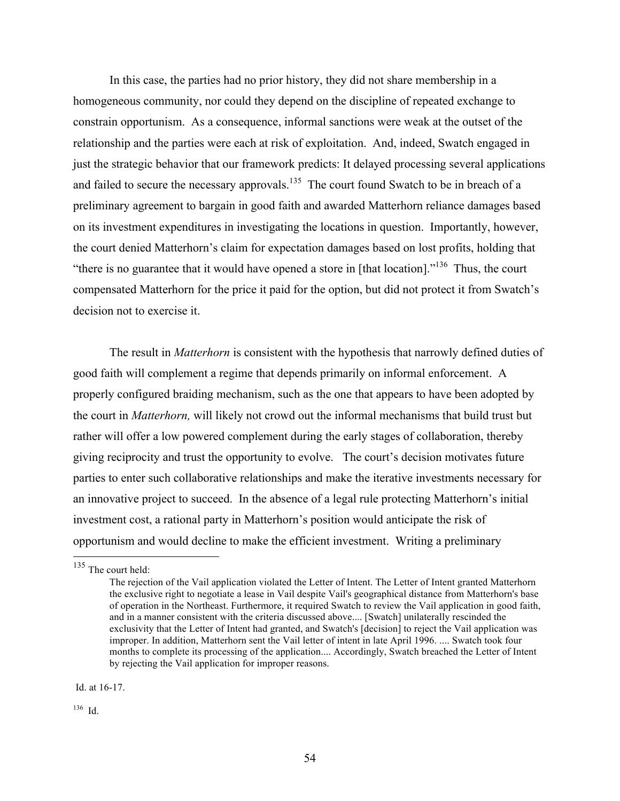In this case, the parties had no prior history, they did not share membership in a homogeneous community, nor could they depend on the discipline of repeated exchange to constrain opportunism. As a consequence, informal sanctions were weak at the outset of the relationship and the parties were each at risk of exploitation. And, indeed, Swatch engaged in just the strategic behavior that our framework predicts: It delayed processing several applications and failed to secure the necessary approvals.<sup>135</sup> The court found Swatch to be in breach of a preliminary agreement to bargain in good faith and awarded Matterhorn reliance damages based on its investment expenditures in investigating the locations in question. Importantly, however, the court denied Matterhorn's claim for expectation damages based on lost profits, holding that "there is no guarantee that it would have opened a store in  $[$ that location $]$ ."<sup>136</sup> Thus, the court compensated Matterhorn for the price it paid for the option, but did not protect it from Swatch's decision not to exercise it.

The result in *Matterhorn* is consistent with the hypothesis that narrowly defined duties of good faith will complement a regime that depends primarily on informal enforcement. A properly configured braiding mechanism, such as the one that appears to have been adopted by the court in *Matterhorn,* will likely not crowd out the informal mechanisms that build trust but rather will offer a low powered complement during the early stages of collaboration, thereby giving reciprocity and trust the opportunity to evolve. The court's decision motivates future parties to enter such collaborative relationships and make the iterative investments necessary for an innovative project to succeed. In the absence of a legal rule protecting Matterhorn's initial investment cost, a rational party in Matterhorn's position would anticipate the risk of opportunism and would decline to make the efficient investment. Writing a preliminary

Id. at 16-17.

136 Id.

 <sup>135</sup> The court held:

The rejection of the Vail application violated the Letter of Intent. The Letter of Intent granted Matterhorn the exclusive right to negotiate a lease in Vail despite Vail's geographical distance from Matterhorn's base of operation in the Northeast. Furthermore, it required Swatch to review the Vail application in good faith, and in a manner consistent with the criteria discussed above.... [Swatch] unilaterally rescinded the exclusivity that the Letter of Intent had granted, and Swatch's [decision] to reject the Vail application was improper. In addition, Matterhorn sent the Vail letter of intent in late April 1996. .... Swatch took four months to complete its processing of the application.... Accordingly, Swatch breached the Letter of Intent by rejecting the Vail application for improper reasons.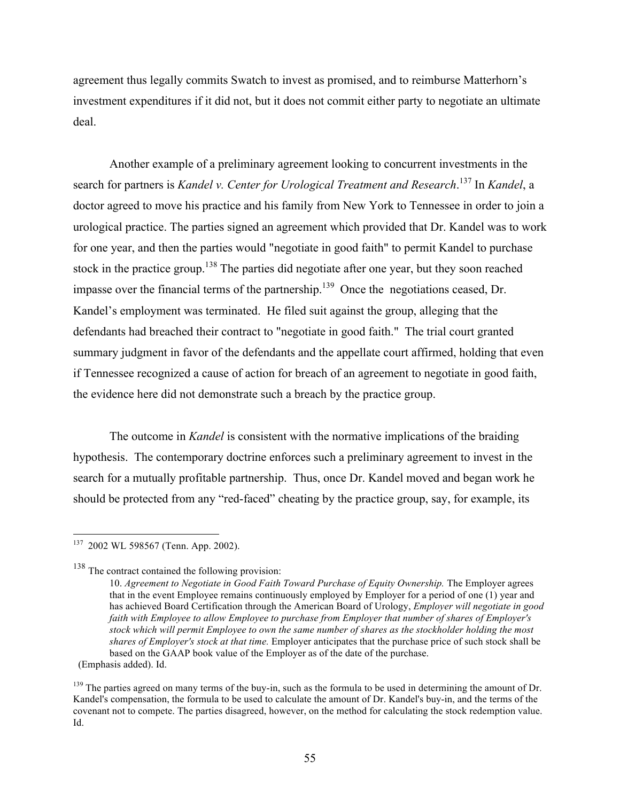agreement thus legally commits Swatch to invest as promised, and to reimburse Matterhorn's investment expenditures if it did not, but it does not commit either party to negotiate an ultimate deal.

Another example of a preliminary agreement looking to concurrent investments in the search for partners is *Kandel v. Center for Urological Treatment and Research*. 137 In *Kandel*, a doctor agreed to move his practice and his family from New York to Tennessee in order to join a urological practice. The parties signed an agreement which provided that Dr. Kandel was to work for one year, and then the parties would "negotiate in good faith" to permit Kandel to purchase stock in the practice group.<sup>138</sup> The parties did negotiate after one year, but they soon reached impasse over the financial terms of the partnership.<sup>139</sup> Once the negotiations ceased, Dr. Kandel's employment was terminated. He filed suit against the group, alleging that the defendants had breached their contract to "negotiate in good faith." The trial court granted summary judgment in favor of the defendants and the appellate court affirmed, holding that even if Tennessee recognized a cause of action for breach of an agreement to negotiate in good faith, the evidence here did not demonstrate such a breach by the practice group.

The outcome in *Kandel* is consistent with the normative implications of the braiding hypothesis.The contemporary doctrine enforces such a preliminary agreement to invest in the search for a mutually profitable partnership. Thus, once Dr. Kandel moved and began work he should be protected from any "red-faced" cheating by the practice group, say, for example, its

 <sup>137 2002</sup> WL 598567 (Tenn. App. 2002).

<sup>138</sup> The contract contained the following provision:

<sup>10.</sup> *Agreement to Negotiate in Good Faith Toward Purchase of Equity Ownership.* The Employer agrees that in the event Employee remains continuously employed by Employer for a period of one (1) year and has achieved Board Certification through the American Board of Urology, *Employer will negotiate in good faith with Employee to allow Employee to purchase from Employer that number of shares of Employer's stock which will permit Employee to own the same number of shares as the stockholder holding the most shares of Employer's stock at that time.* Employer anticipates that the purchase price of such stock shall be based on the GAAP book value of the Employer as of the date of the purchase.

 <sup>(</sup>Emphasis added). Id.

 $139$  The parties agreed on many terms of the buy-in, such as the formula to be used in determining the amount of Dr. Kandel's compensation, the formula to be used to calculate the amount of Dr. Kandel's buy-in, and the terms of the covenant not to compete. The parties disagreed, however, on the method for calculating the stock redemption value. Id.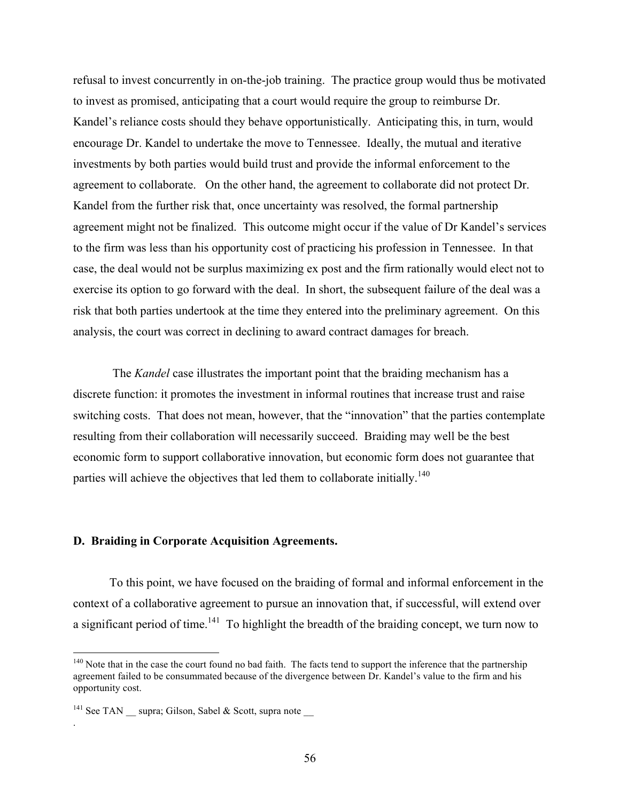refusal to invest concurrently in on-the-job training. The practice group would thus be motivated to invest as promised, anticipating that a court would require the group to reimburse Dr. Kandel's reliance costs should they behave opportunistically. Anticipating this, in turn, would encourage Dr. Kandel to undertake the move to Tennessee. Ideally, the mutual and iterative investments by both parties would build trust and provide the informal enforcement to the agreement to collaborate. On the other hand, the agreement to collaborate did not protect Dr. Kandel from the further risk that, once uncertainty was resolved, the formal partnership agreement might not be finalized. This outcome might occur if the value of Dr Kandel's services to the firm was less than his opportunity cost of practicing his profession in Tennessee. In that case, the deal would not be surplus maximizing ex post and the firm rationally would elect not to exercise its option to go forward with the deal. In short, the subsequent failure of the deal was a risk that both parties undertook at the time they entered into the preliminary agreement. On this analysis, the court was correct in declining to award contract damages for breach.

 The *Kandel* case illustrates the important point that the braiding mechanism has a discrete function: it promotes the investment in informal routines that increase trust and raise switching costs. That does not mean, however, that the "innovation" that the parties contemplate resulting from their collaboration will necessarily succeed. Braiding may well be the best economic form to support collaborative innovation, but economic form does not guarantee that parties will achieve the objectives that led them to collaborate initially.<sup>140</sup>

### **D. Braiding in Corporate Acquisition Agreements.**

To this point, we have focused on the braiding of formal and informal enforcement in the context of a collaborative agreement to pursue an innovation that, if successful, will extend over a significant period of time.<sup>141</sup> To highlight the breadth of the braiding concept, we turn now to

.

<sup>&</sup>lt;sup>140</sup> Note that in the case the court found no bad faith. The facts tend to support the inference that the partnership agreement failed to be consummated because of the divergence between Dr. Kandel's value to the firm and his opportunity cost.

<sup>&</sup>lt;sup>141</sup> See TAN supra; Gilson, Sabel & Scott, supra note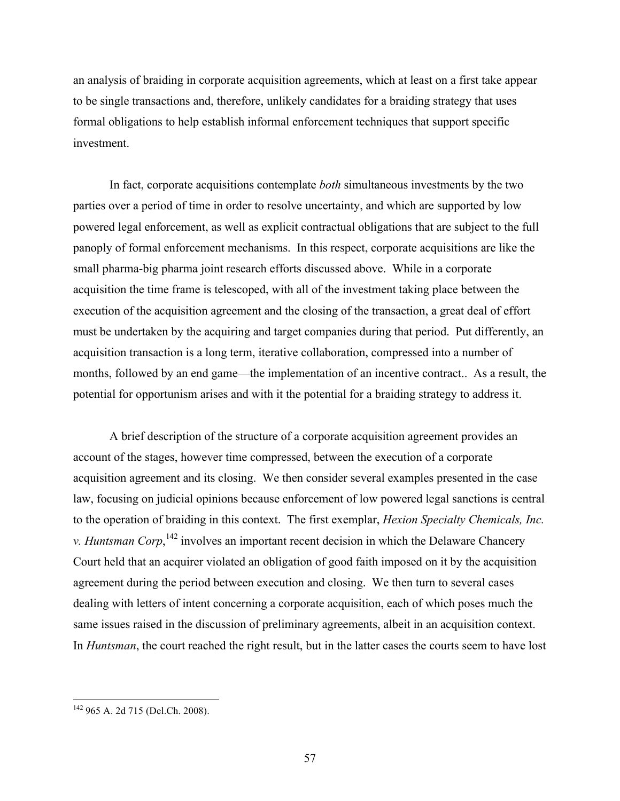an analysis of braiding in corporate acquisition agreements, which at least on a first take appear to be single transactions and, therefore, unlikely candidates for a braiding strategy that uses formal obligations to help establish informal enforcement techniques that support specific investment.

In fact, corporate acquisitions contemplate *both* simultaneous investments by the two parties over a period of time in order to resolve uncertainty, and which are supported by low powered legal enforcement, as well as explicit contractual obligations that are subject to the full panoply of formal enforcement mechanisms. In this respect, corporate acquisitions are like the small pharma-big pharma joint research efforts discussed above. While in a corporate acquisition the time frame is telescoped, with all of the investment taking place between the execution of the acquisition agreement and the closing of the transaction, a great deal of effort must be undertaken by the acquiring and target companies during that period. Put differently, an acquisition transaction is a long term, iterative collaboration, compressed into a number of months, followed by an end game—the implementation of an incentive contract.. As a result, the potential for opportunism arises and with it the potential for a braiding strategy to address it.

A brief description of the structure of a corporate acquisition agreement provides an account of the stages, however time compressed, between the execution of a corporate acquisition agreement and its closing. We then consider several examples presented in the case law, focusing on judicial opinions because enforcement of low powered legal sanctions is central to the operation of braiding in this context. The first exemplar, *Hexion Specialty Chemicals, Inc. v. Huntsman Corp*, 142 involves an important recent decision in which the Delaware Chancery Court held that an acquirer violated an obligation of good faith imposed on it by the acquisition agreement during the period between execution and closing. We then turn to several cases dealing with letters of intent concerning a corporate acquisition, each of which poses much the same issues raised in the discussion of preliminary agreements, albeit in an acquisition context. In *Huntsman*, the court reached the right result, but in the latter cases the courts seem to have lost

 <sup>142 965</sup> A. 2d 715 (Del.Ch. 2008).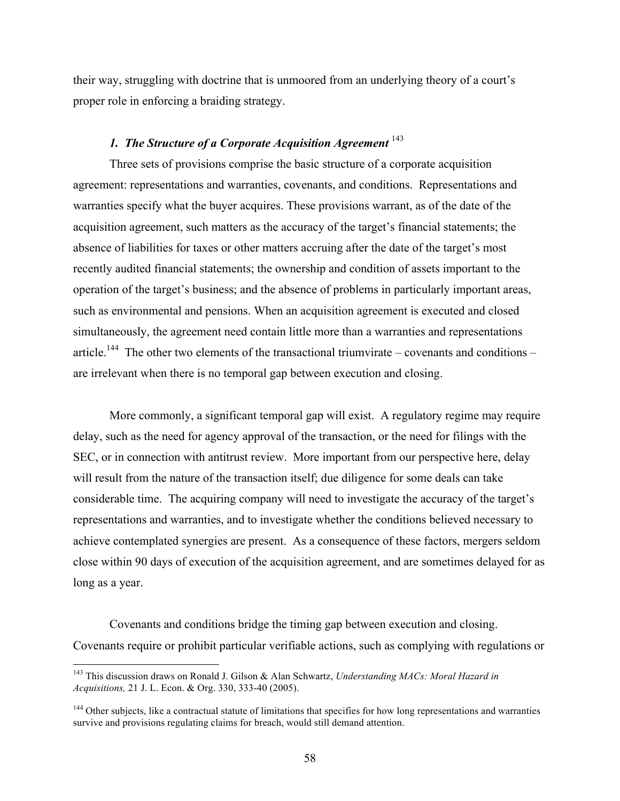their way, struggling with doctrine that is unmoored from an underlying theory of a court's proper role in enforcing a braiding strategy.

# *1. The Structure of a Corporate Acquisition Agreement* <sup>143</sup>

Three sets of provisions comprise the basic structure of a corporate acquisition agreement: representations and warranties, covenants, and conditions. Representations and warranties specify what the buyer acquires. These provisions warrant, as of the date of the acquisition agreement, such matters as the accuracy of the target's financial statements; the absence of liabilities for taxes or other matters accruing after the date of the target's most recently audited financial statements; the ownership and condition of assets important to the operation of the target's business; and the absence of problems in particularly important areas, such as environmental and pensions. When an acquisition agreement is executed and closed simultaneously, the agreement need contain little more than a warranties and representations article.<sup>144</sup> The other two elements of the transactional triumvirate – covenants and conditions – are irrelevant when there is no temporal gap between execution and closing.

More commonly, a significant temporal gap will exist. A regulatory regime may require delay, such as the need for agency approval of the transaction, or the need for filings with the SEC, or in connection with antitrust review. More important from our perspective here, delay will result from the nature of the transaction itself; due diligence for some deals can take considerable time. The acquiring company will need to investigate the accuracy of the target's representations and warranties, and to investigate whether the conditions believed necessary to achieve contemplated synergies are present. As a consequence of these factors, mergers seldom close within 90 days of execution of the acquisition agreement, and are sometimes delayed for as long as a year.

Covenants and conditions bridge the timing gap between execution and closing. Covenants require or prohibit particular verifiable actions, such as complying with regulations or

 <sup>143</sup> This discussion draws on Ronald J. Gilson & Alan Schwartz, *Understanding MACs: Moral Hazard in Acquisitions,* 21 J. L. Econ. & Org. 330, 333-40 (2005).

<sup>&</sup>lt;sup>144</sup> Other subjects, like a contractual statute of limitations that specifies for how long representations and warranties survive and provisions regulating claims for breach, would still demand attention.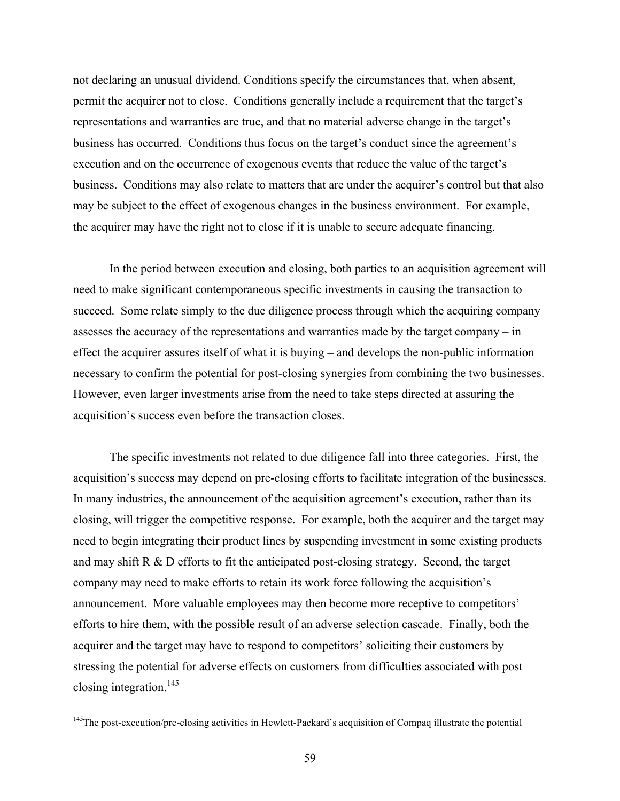not declaring an unusual dividend. Conditions specify the circumstances that, when absent, permit the acquirer not to close. Conditions generally include a requirement that the target's representations and warranties are true, and that no material adverse change in the target's business has occurred. Conditions thus focus on the target's conduct since the agreement's execution and on the occurrence of exogenous events that reduce the value of the target's business. Conditions may also relate to matters that are under the acquirer's control but that also may be subject to the effect of exogenous changes in the business environment. For example, the acquirer may have the right not to close if it is unable to secure adequate financing.

In the period between execution and closing, both parties to an acquisition agreement will need to make significant contemporaneous specific investments in causing the transaction to succeed. Some relate simply to the due diligence process through which the acquiring company assesses the accuracy of the representations and warranties made by the target company – in effect the acquirer assures itself of what it is buying – and develops the non-public information necessary to confirm the potential for post-closing synergies from combining the two businesses. However, even larger investments arise from the need to take steps directed at assuring the acquisition's success even before the transaction closes.

The specific investments not related to due diligence fall into three categories. First, the acquisition's success may depend on pre-closing efforts to facilitate integration of the businesses. In many industries, the announcement of the acquisition agreement's execution, rather than its closing, will trigger the competitive response. For example, both the acquirer and the target may need to begin integrating their product lines by suspending investment in some existing products and may shift R & D efforts to fit the anticipated post-closing strategy. Second, the target company may need to make efforts to retain its work force following the acquisition's announcement. More valuable employees may then become more receptive to competitors' efforts to hire them, with the possible result of an adverse selection cascade. Finally, both the acquirer and the target may have to respond to competitors' soliciting their customers by stressing the potential for adverse effects on customers from difficulties associated with post closing integration. 145

<sup>&</sup>lt;sup>145</sup>The post-execution/pre-closing activities in Hewlett-Packard's acquisition of Compaq illustrate the potential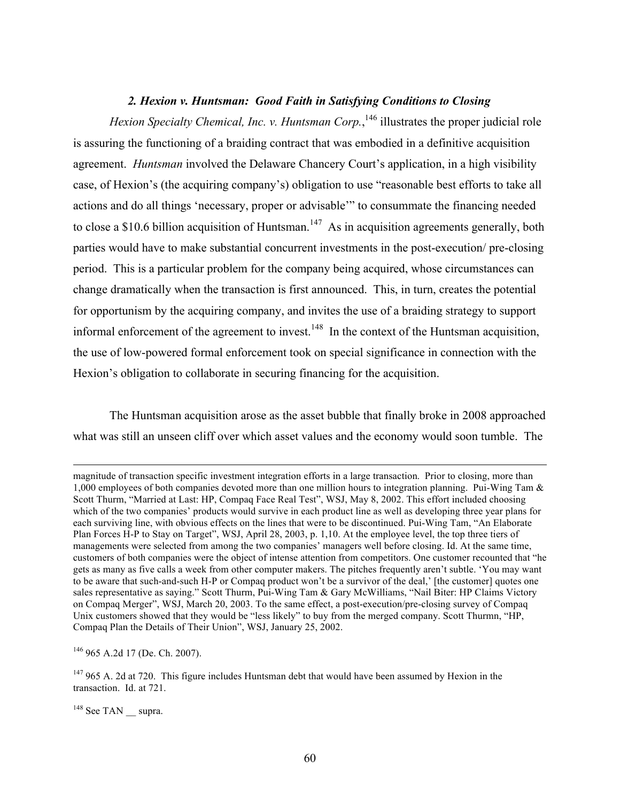# *2. Hexion v. Huntsman: Good Faith in Satisfying Conditions to Closing*

*Hexion Specialty Chemical, Inc. v. Huntsman Corp.*, 146 illustrates the proper judicial role is assuring the functioning of a braiding contract that was embodied in a definitive acquisition agreement. *Huntsman* involved the Delaware Chancery Court's application, in a high visibility case, of Hexion's (the acquiring company's) obligation to use "reasonable best efforts to take all actions and do all things 'necessary, proper or advisable'" to consummate the financing needed to close a \$10.6 billion acquisition of Huntsman.<sup>147</sup> As in acquisition agreements generally, both parties would have to make substantial concurrent investments in the post-execution/ pre-closing period. This is a particular problem for the company being acquired, whose circumstances can change dramatically when the transaction is first announced. This, in turn, creates the potential for opportunism by the acquiring company, and invites the use of a braiding strategy to support informal enforcement of the agreement to invest.<sup>148</sup> In the context of the Huntsman acquisition, the use of low-powered formal enforcement took on special significance in connection with the Hexion's obligation to collaborate in securing financing for the acquisition.

The Huntsman acquisition arose as the asset bubble that finally broke in 2008 approached what was still an unseen cliff over which asset values and the economy would soon tumble. The

 $146$  965 A.2d 17 (De. Ch. 2007).

 $148$  See TAN supra.

magnitude of transaction specific investment integration efforts in a large transaction. Prior to closing, more than 1,000 employees of both companies devoted more than one million hours to integration planning. Pui-Wing Tam & Scott Thurm, "Married at Last: HP, Compaq Face Real Test", WSJ, May 8, 2002. This effort included choosing which of the two companies' products would survive in each product line as well as developing three year plans for each surviving line, with obvious effects on the lines that were to be discontinued. Pui-Wing Tam, "An Elaborate Plan Forces H-P to Stay on Target", WSJ, April 28, 2003, p. 1,10. At the employee level, the top three tiers of managements were selected from among the two companies' managers well before closing. Id. At the same time, customers of both companies were the object of intense attention from competitors. One customer recounted that "he gets as many as five calls a week from other computer makers. The pitches frequently aren't subtle. 'You may want to be aware that such-and-such H-P or Compaq product won't be a survivor of the deal,' [the customer] quotes one sales representative as saying." Scott Thurm, Pui-Wing Tam & Gary McWilliams, "Nail Biter: HP Claims Victory on Compaq Merger", WSJ, March 20, 2003. To the same effect, a post-execution/pre-closing survey of Compaq Unix customers showed that they would be "less likely" to buy from the merged company. Scott Thurmn, "HP, Compaq Plan the Details of Their Union", WSJ, January 25, 2002.

<sup>&</sup>lt;sup>147</sup> 965 A. 2d at 720. This figure includes Huntsman debt that would have been assumed by Hexion in the transaction. Id. at 721.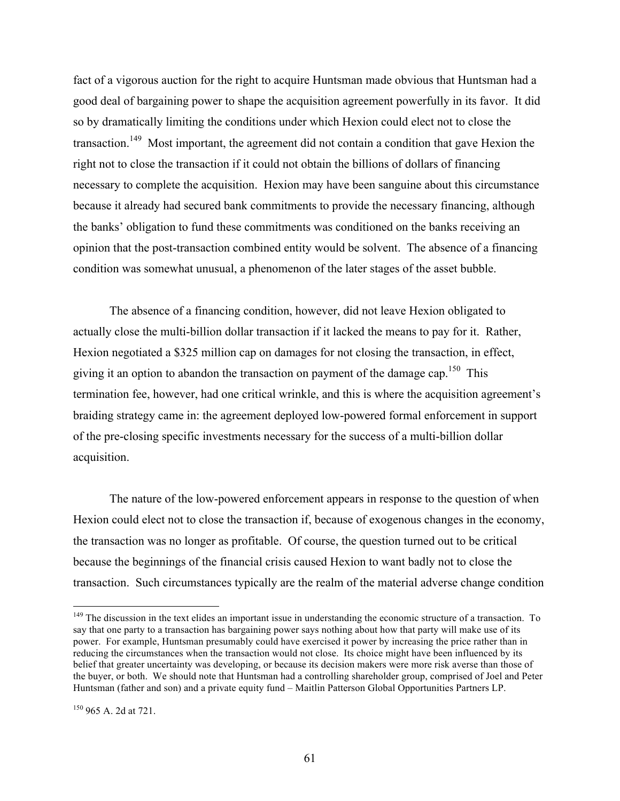fact of a vigorous auction for the right to acquire Huntsman made obvious that Huntsman had a good deal of bargaining power to shape the acquisition agreement powerfully in its favor. It did so by dramatically limiting the conditions under which Hexion could elect not to close the transaction.<sup>149</sup> Most important, the agreement did not contain a condition that gave Hexion the right not to close the transaction if it could not obtain the billions of dollars of financing necessary to complete the acquisition. Hexion may have been sanguine about this circumstance because it already had secured bank commitments to provide the necessary financing, although the banks' obligation to fund these commitments was conditioned on the banks receiving an opinion that the post-transaction combined entity would be solvent. The absence of a financing condition was somewhat unusual, a phenomenon of the later stages of the asset bubble.

The absence of a financing condition, however, did not leave Hexion obligated to actually close the multi-billion dollar transaction if it lacked the means to pay for it. Rather, Hexion negotiated a \$325 million cap on damages for not closing the transaction, in effect, giving it an option to abandon the transaction on payment of the damage cap.<sup>150</sup> This termination fee, however, had one critical wrinkle, and this is where the acquisition agreement's braiding strategy came in: the agreement deployed low-powered formal enforcement in support of the pre-closing specific investments necessary for the success of a multi-billion dollar acquisition.

The nature of the low-powered enforcement appears in response to the question of when Hexion could elect not to close the transaction if, because of exogenous changes in the economy, the transaction was no longer as profitable. Of course, the question turned out to be critical because the beginnings of the financial crisis caused Hexion to want badly not to close the transaction. Such circumstances typically are the realm of the material adverse change condition

<sup>&</sup>lt;sup>149</sup> The discussion in the text elides an important issue in understanding the economic structure of a transaction. To say that one party to a transaction has bargaining power says nothing about how that party will make use of its power. For example, Huntsman presumably could have exercised it power by increasing the price rather than in reducing the circumstances when the transaction would not close. Its choice might have been influenced by its belief that greater uncertainty was developing, or because its decision makers were more risk averse than those of the buyer, or both. We should note that Huntsman had a controlling shareholder group, comprised of Joel and Peter Huntsman (father and son) and a private equity fund – Maitlin Patterson Global Opportunities Partners LP.

<sup>150 965</sup> A. 2d at 721.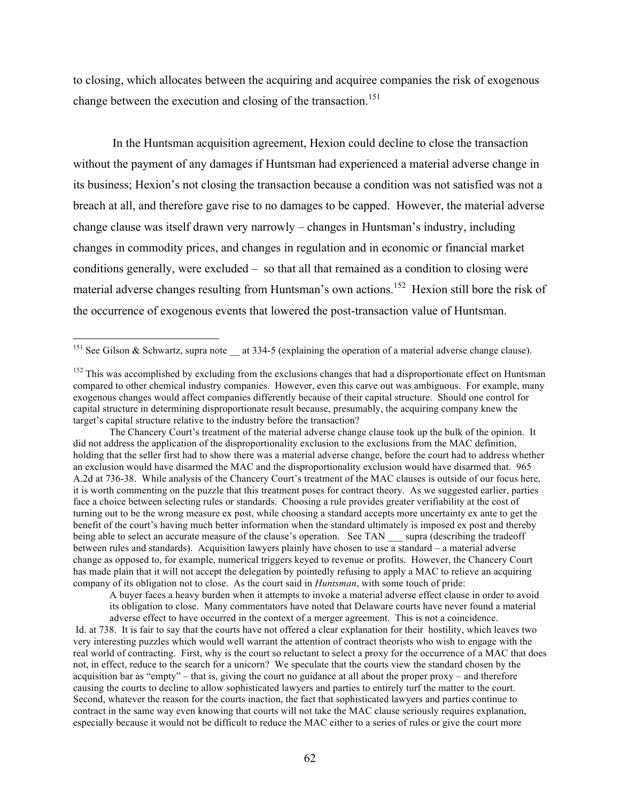to closing, which allocates between the acquiring and acquiree companies the risk of exogenous change between the execution and closing of the transaction.<sup>151</sup>

 In the Huntsman acquisition agreement, Hexion could decline to close the transaction without the payment of any damages if Huntsman had experienced a material adverse change in its business; Hexion's not closing the transaction because a condition was not satisfied was not a breach at all, and therefore gave rise to no damages to be capped. However, the material adverse change clause was itself drawn very narrowly – changes in Huntsman's industry, including changes in commodity prices, and changes in regulation and in economic or financial market conditions generally, were excluded – so that all that remained as a condition to closing were material adverse changes resulting from Huntsman's own actions.<sup>152</sup> Hexion still bore the risk of the occurrence of exogenous events that lowered the post-transaction value of Huntsman.

A buyer faces a heavy burden when it attempts to invoke a material adverse effect clause in order to avoid its obligation to close. Many commentators have noted that Delaware courts have never found a material adverse effect to have occurred in the context of a merger agreement. This is not a coincidence.

<sup>&</sup>lt;sup>151</sup> See Gilson & Schwartz, supra note  $\_\$ at 334-5 (explaining the operation of a material adverse change clause).

 $152$  This was accomplished by excluding from the exclusions changes that had a disproportionate effect on Huntsman compared to other chemical industry companies. However, even this carve out was ambiguous. For example, many exogenous changes would affect companies differently because of their capital structure. Should one control for capital structure in determining disproportionate result because, presumably, the acquiring company knew the target's capital structure relative to the industry before the transaction?

The Chancery Court's treatment of the material adverse change clause took up the bulk of the opinion. It did not address the application of the disproportionality exclusion to the exclusions from the MAC definition, holding that the seller first had to show there was a material adverse change, before the court had to address whether an exclusion would have disarmed the MAC and the disproportionality exclusion would have disarmed that. 965 A.2d at 736-38. While analysis of the Chancery Court's treatment of the MAC clauses is outside of our focus here, it is worth commenting on the puzzle that this treatment poses for contract theory. As we suggested earlier, parties face a choice between selecting rules or standards. Choosing a rule provides greater verifiability at the cost of turning out to be the wrong measure ex post, while choosing a standard accepts more uncertainty ex ante to get the benefit of the court's having much better information when the standard ultimately is imposed ex post and thereby being able to select an accurate measure of the clause's operation. See TAN \_\_\_ supra (describing the tradeoff between rules and standards). Acquisition lawyers plainly have chosen to use a standard – a material adverse change as opposed to, for example, numerical triggers keyed to revenue or profits. However, the Chancery Court has made plain that it will not accept the delegation by pointedly refusing to apply a MAC to relieve an acquiring company of its obligation not to close. As the court said in *Huntsman*, with some touch of pride:

Id. at 738. It is fair to say that the courts have not offered a clear explanation for their hostility, which leaves two very interesting puzzles which would well warrant the attention of contract theorists who wish to engage with the real world of contracting. First, why is the court so reluctant to select a proxy for the occurrence of a MAC that does not, in effect, reduce to the search for a unicorn? We speculate that the courts view the standard chosen by the acquisition bar as "empty" – that is, giving the court no guidance at all about the proper proxy – and therefore causing the courts to decline to allow sophisticated lawyers and parties to entirely turf the matter to the court. Second, whatever the reason for the courts inaction, the fact that sophisticated lawyers and parties continue to contract in the same way even knowing that courts will not take the MAC clause seriously requires explanation, especially because it would not be difficult to reduce the MAC either to a series of rules or give the court more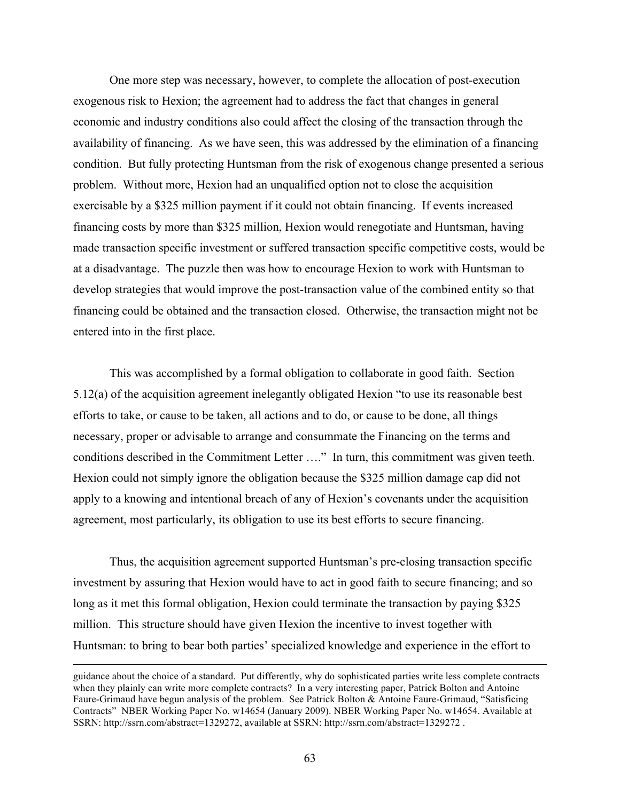One more step was necessary, however, to complete the allocation of post-execution exogenous risk to Hexion; the agreement had to address the fact that changes in general economic and industry conditions also could affect the closing of the transaction through the availability of financing. As we have seen, this was addressed by the elimination of a financing condition. But fully protecting Huntsman from the risk of exogenous change presented a serious problem. Without more, Hexion had an unqualified option not to close the acquisition exercisable by a \$325 million payment if it could not obtain financing. If events increased financing costs by more than \$325 million, Hexion would renegotiate and Huntsman, having made transaction specific investment or suffered transaction specific competitive costs, would be at a disadvantage. The puzzle then was how to encourage Hexion to work with Huntsman to develop strategies that would improve the post-transaction value of the combined entity so that financing could be obtained and the transaction closed. Otherwise, the transaction might not be entered into in the first place.

This was accomplished by a formal obligation to collaborate in good faith. Section 5.12(a) of the acquisition agreement inelegantly obligated Hexion "to use its reasonable best efforts to take, or cause to be taken, all actions and to do, or cause to be done, all things necessary, proper or advisable to arrange and consummate the Financing on the terms and conditions described in the Commitment Letter …." In turn, this commitment was given teeth. Hexion could not simply ignore the obligation because the \$325 million damage cap did not apply to a knowing and intentional breach of any of Hexion's covenants under the acquisition agreement, most particularly, its obligation to use its best efforts to secure financing.

Thus, the acquisition agreement supported Huntsman's pre-closing transaction specific investment by assuring that Hexion would have to act in good faith to secure financing; and so long as it met this formal obligation, Hexion could terminate the transaction by paying \$325 million. This structure should have given Hexion the incentive to invest together with Huntsman: to bring to bear both parties' specialized knowledge and experience in the effort to

guidance about the choice of a standard. Put differently, why do sophisticated parties write less complete contracts when they plainly can write more complete contracts? In a very interesting paper, Patrick Bolton and Antoine Faure-Grimaud have begun analysis of the problem. See Patrick Bolton & Antoine Faure-Grimaud, "Satisficing Contracts" NBER Working Paper No. w14654 (January 2009). NBER Working Paper No. w14654. Available at SSRN: http://ssrn.com/abstract=1329272, available at SSRN: http://ssrn.com/abstract=1329272 .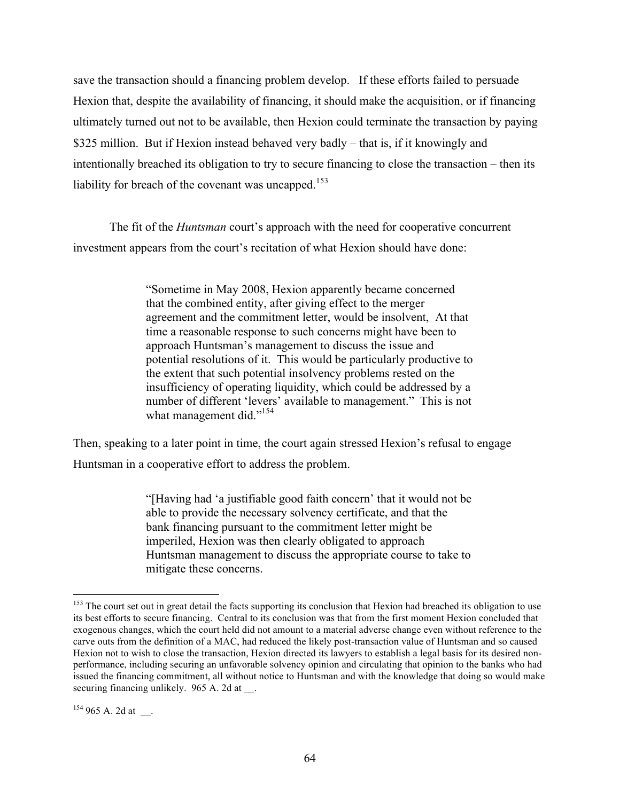save the transaction should a financing problem develop. If these efforts failed to persuade Hexion that, despite the availability of financing, it should make the acquisition, or if financing ultimately turned out not to be available, then Hexion could terminate the transaction by paying \$325 million. But if Hexion instead behaved very badly – that is, if it knowingly and intentionally breached its obligation to try to secure financing to close the transaction – then its liability for breach of the covenant was uncapped.<sup>153</sup>

The fit of the *Huntsman* court's approach with the need for cooperative concurrent investment appears from the court's recitation of what Hexion should have done:

> "Sometime in May 2008, Hexion apparently became concerned that the combined entity, after giving effect to the merger agreement and the commitment letter, would be insolvent, At that time a reasonable response to such concerns might have been to approach Huntsman's management to discuss the issue and potential resolutions of it. This would be particularly productive to the extent that such potential insolvency problems rested on the insufficiency of operating liquidity, which could be addressed by a number of different 'levers' available to management." This is not what management did."<sup>154</sup>

Then, speaking to a later point in time, the court again stressed Hexion's refusal to engage Huntsman in a cooperative effort to address the problem.

> "[Having had 'a justifiable good faith concern' that it would not be able to provide the necessary solvency certificate, and that the bank financing pursuant to the commitment letter might be imperiled, Hexion was then clearly obligated to approach Huntsman management to discuss the appropriate course to take to mitigate these concerns.

<sup>&</sup>lt;sup>153</sup> The court set out in great detail the facts supporting its conclusion that Hexion had breached its obligation to use its best efforts to secure financing. Central to its conclusion was that from the first moment Hexion concluded that exogenous changes, which the court held did not amount to a material adverse change even without reference to the carve outs from the definition of a MAC, had reduced the likely post-transaction value of Huntsman and so caused Hexion not to wish to close the transaction, Hexion directed its lawyers to establish a legal basis for its desired nonperformance, including securing an unfavorable solvency opinion and circulating that opinion to the banks who had issued the financing commitment, all without notice to Huntsman and with the knowledge that doing so would make securing financing unlikely. 965 A. 2d at  $\qquad$ .

 $154$  965 A. 2d at \_\_.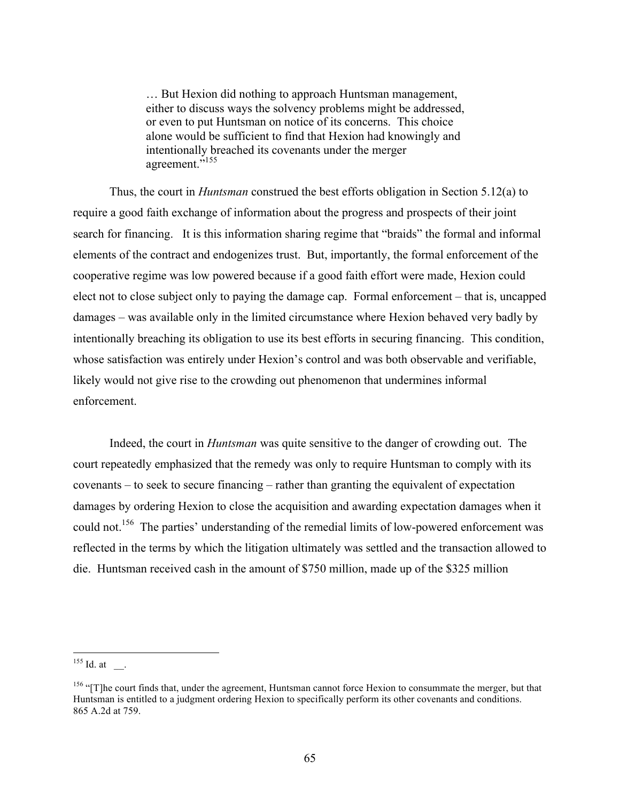… But Hexion did nothing to approach Huntsman management, either to discuss ways the solvency problems might be addressed, or even to put Huntsman on notice of its concerns. This choice alone would be sufficient to find that Hexion had knowingly and intentionally breached its covenants under the merger agreement."<sup>155</sup>

Thus, the court in *Huntsman* construed the best efforts obligation in Section 5.12(a) to require a good faith exchange of information about the progress and prospects of their joint search for financing. It is this information sharing regime that "braids" the formal and informal elements of the contract and endogenizes trust. But, importantly, the formal enforcement of the cooperative regime was low powered because if a good faith effort were made, Hexion could elect not to close subject only to paying the damage cap. Formal enforcement – that is, uncapped damages – was available only in the limited circumstance where Hexion behaved very badly by intentionally breaching its obligation to use its best efforts in securing financing. This condition, whose satisfaction was entirely under Hexion's control and was both observable and verifiable, likely would not give rise to the crowding out phenomenon that undermines informal enforcement.

Indeed, the court in *Huntsman* was quite sensitive to the danger of crowding out. The court repeatedly emphasized that the remedy was only to require Huntsman to comply with its covenants – to seek to secure financing – rather than granting the equivalent of expectation damages by ordering Hexion to close the acquisition and awarding expectation damages when it could not.<sup>156</sup> The parties' understanding of the remedial limits of low-powered enforcement was reflected in the terms by which the litigation ultimately was settled and the transaction allowed to die. Huntsman received cash in the amount of \$750 million, made up of the \$325 million

 $^{155}$  Id. at \_\_.

<sup>&</sup>lt;sup>156</sup> "[T]he court finds that, under the agreement, Huntsman cannot force Hexion to consummate the merger, but that Huntsman is entitled to a judgment ordering Hexion to specifically perform its other covenants and conditions. 865 A.2d at 759.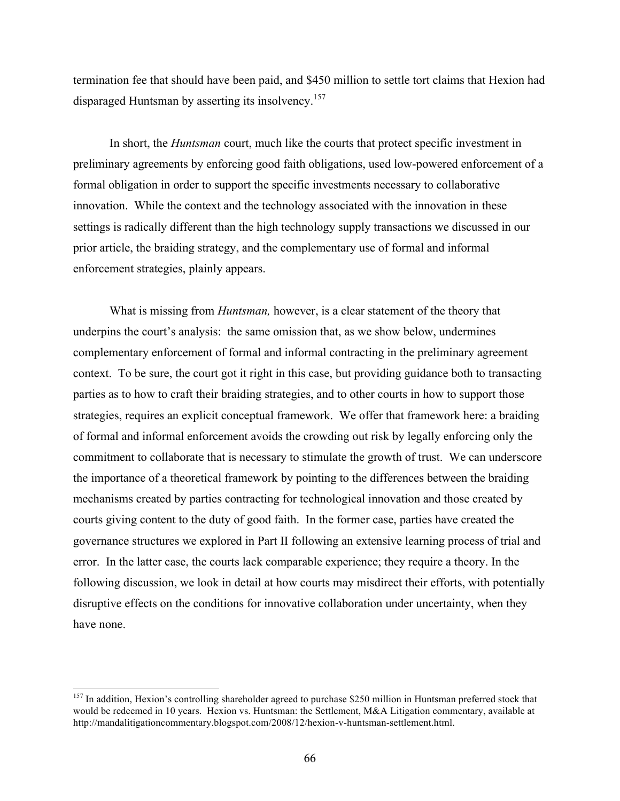termination fee that should have been paid, and \$450 million to settle tort claims that Hexion had disparaged Huntsman by asserting its insolvency.<sup>157</sup>

In short, the *Huntsman* court, much like the courts that protect specific investment in preliminary agreements by enforcing good faith obligations, used low-powered enforcement of a formal obligation in order to support the specific investments necessary to collaborative innovation. While the context and the technology associated with the innovation in these settings is radically different than the high technology supply transactions we discussed in our prior article, the braiding strategy, and the complementary use of formal and informal enforcement strategies, plainly appears.

What is missing from *Huntsman,* however, is a clear statement of the theory that underpins the court's analysis: the same omission that, as we show below, undermines complementary enforcement of formal and informal contracting in the preliminary agreement context. To be sure, the court got it right in this case, but providing guidance both to transacting parties as to how to craft their braiding strategies, and to other courts in how to support those strategies, requires an explicit conceptual framework. We offer that framework here: a braiding of formal and informal enforcement avoids the crowding out risk by legally enforcing only the commitment to collaborate that is necessary to stimulate the growth of trust. We can underscore the importance of a theoretical framework by pointing to the differences between the braiding mechanisms created by parties contracting for technological innovation and those created by courts giving content to the duty of good faith. In the former case, parties have created the governance structures we explored in Part II following an extensive learning process of trial and error. In the latter case, the courts lack comparable experience; they require a theory. In the following discussion, we look in detail at how courts may misdirect their efforts, with potentially disruptive effects on the conditions for innovative collaboration under uncertainty, when they have none.

<sup>&</sup>lt;sup>157</sup> In addition, Hexion's controlling shareholder agreed to purchase \$250 million in Huntsman preferred stock that would be redeemed in 10 years. Hexion vs. Huntsman: the Settlement, M&A Litigation commentary, available at http://mandalitigationcommentary.blogspot.com/2008/12/hexion-v-huntsman-settlement.html.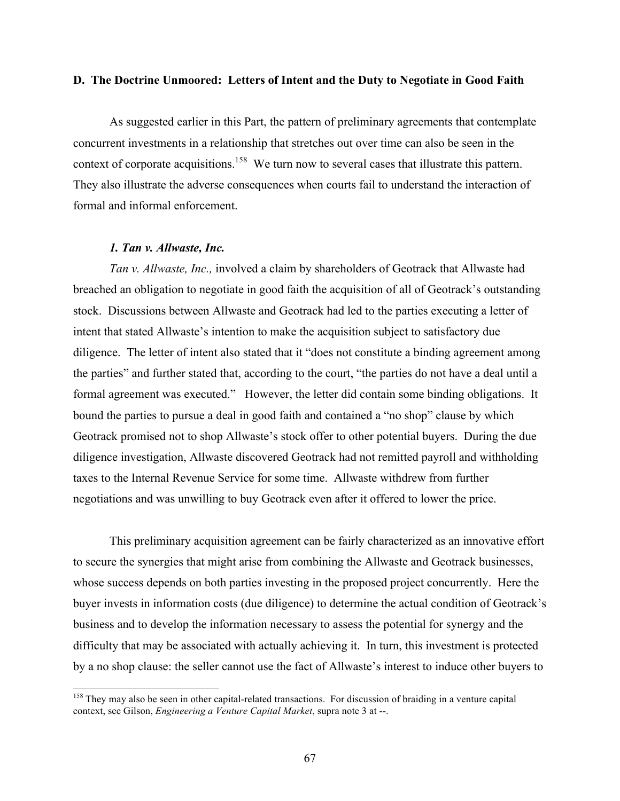## **D. The Doctrine Unmoored: Letters of Intent and the Duty to Negotiate in Good Faith**

As suggested earlier in this Part, the pattern of preliminary agreements that contemplate concurrent investments in a relationship that stretches out over time can also be seen in the context of corporate acquisitions.<sup>158</sup> We turn now to several cases that illustrate this pattern. They also illustrate the adverse consequences when courts fail to understand the interaction of formal and informal enforcement.

### *1. Tan v. Allwaste, Inc.*

*Tan v. Allwaste, Inc.,* involved a claim by shareholders of Geotrack that Allwaste had breached an obligation to negotiate in good faith the acquisition of all of Geotrack's outstanding stock. Discussions between Allwaste and Geotrack had led to the parties executing a letter of intent that stated Allwaste's intention to make the acquisition subject to satisfactory due diligence. The letter of intent also stated that it "does not constitute a binding agreement among the parties" and further stated that, according to the court, "the parties do not have a deal until a formal agreement was executed." However, the letter did contain some binding obligations. It bound the parties to pursue a deal in good faith and contained a "no shop" clause by which Geotrack promised not to shop Allwaste's stock offer to other potential buyers. During the due diligence investigation, Allwaste discovered Geotrack had not remitted payroll and withholding taxes to the Internal Revenue Service for some time. Allwaste withdrew from further negotiations and was unwilling to buy Geotrack even after it offered to lower the price.

This preliminary acquisition agreement can be fairly characterized as an innovative effort to secure the synergies that might arise from combining the Allwaste and Geotrack businesses, whose success depends on both parties investing in the proposed project concurrently. Here the buyer invests in information costs (due diligence) to determine the actual condition of Geotrack's business and to develop the information necessary to assess the potential for synergy and the difficulty that may be associated with actually achieving it. In turn, this investment is protected by a no shop clause: the seller cannot use the fact of Allwaste's interest to induce other buyers to

<sup>&</sup>lt;sup>158</sup> They may also be seen in other capital-related transactions. For discussion of braiding in a venture capital context, see Gilson, *Engineering a Venture Capital Market*, supra note 3 at --.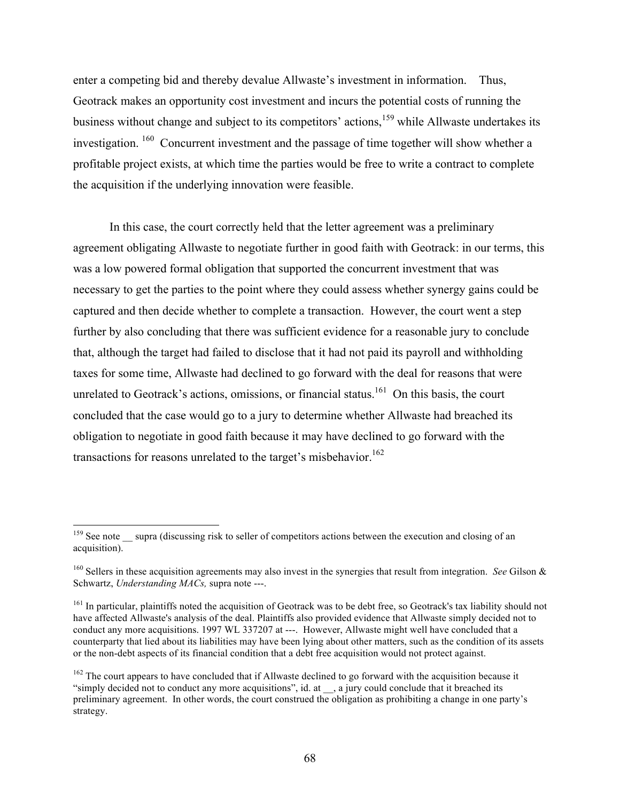enter a competing bid and thereby devalue Allwaste's investment in information. Thus, Geotrack makes an opportunity cost investment and incurs the potential costs of running the business without change and subject to its competitors' actions, <sup>159</sup> while Allwaste undertakes its investigation. <sup>160</sup> Concurrent investment and the passage of time together will show whether a profitable project exists, at which time the parties would be free to write a contract to complete the acquisition if the underlying innovation were feasible.

In this case, the court correctly held that the letter agreement was a preliminary agreement obligating Allwaste to negotiate further in good faith with Geotrack: in our terms, this was a low powered formal obligation that supported the concurrent investment that was necessary to get the parties to the point where they could assess whether synergy gains could be captured and then decide whether to complete a transaction. However, the court went a step further by also concluding that there was sufficient evidence for a reasonable jury to conclude that, although the target had failed to disclose that it had not paid its payroll and withholding taxes for some time, Allwaste had declined to go forward with the deal for reasons that were unrelated to Geotrack's actions, omissions, or financial status.<sup>161</sup> On this basis, the court concluded that the case would go to a jury to determine whether Allwaste had breached its obligation to negotiate in good faith because it may have declined to go forward with the transactions for reasons unrelated to the target's misbehavior.<sup>162</sup>

<sup>&</sup>lt;sup>159</sup> See note supra (discussing risk to seller of competitors actions between the execution and closing of an acquisition).

<sup>160</sup> Sellers in these acquisition agreements may also invest in the synergies that result from integration. *See* Gilson & Schwartz, *Understanding MACs,* supra note ---.

<sup>&</sup>lt;sup>161</sup> In particular, plaintiffs noted the acquisition of Geotrack was to be debt free, so Geotrack's tax liability should not have affected Allwaste's analysis of the deal. Plaintiffs also provided evidence that Allwaste simply decided not to conduct any more acquisitions. 1997 WL 337207 at ---. However, Allwaste might well have concluded that a counterparty that lied about its liabilities may have been lying about other matters, such as the condition of its assets or the non-debt aspects of its financial condition that a debt free acquisition would not protect against.

<sup>&</sup>lt;sup>162</sup> The court appears to have concluded that if Allwaste declined to go forward with the acquisition because it "simply decided not to conduct any more acquisitions", id. at \_\_, a jury could conclude that it breached its preliminary agreement. In other words, the court construed the obligation as prohibiting a change in one party's strategy.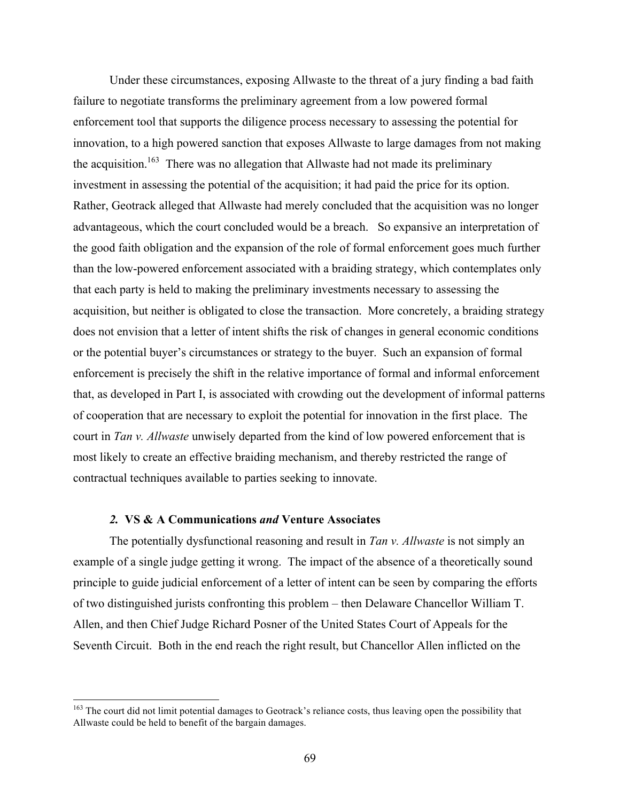Under these circumstances, exposing Allwaste to the threat of a jury finding a bad faith failure to negotiate transforms the preliminary agreement from a low powered formal enforcement tool that supports the diligence process necessary to assessing the potential for innovation, to a high powered sanction that exposes Allwaste to large damages from not making the acquisition.<sup>163</sup> There was no allegation that Allwaste had not made its preliminary investment in assessing the potential of the acquisition; it had paid the price for its option. Rather, Geotrack alleged that Allwaste had merely concluded that the acquisition was no longer advantageous, which the court concluded would be a breach. So expansive an interpretation of the good faith obligation and the expansion of the role of formal enforcement goes much further than the low-powered enforcement associated with a braiding strategy, which contemplates only that each party is held to making the preliminary investments necessary to assessing the acquisition, but neither is obligated to close the transaction. More concretely, a braiding strategy does not envision that a letter of intent shifts the risk of changes in general economic conditions or the potential buyer's circumstances or strategy to the buyer. Such an expansion of formal enforcement is precisely the shift in the relative importance of formal and informal enforcement that, as developed in Part I, is associated with crowding out the development of informal patterns of cooperation that are necessary to exploit the potential for innovation in the first place. The court in *Tan v. Allwaste* unwisely departed from the kind of low powered enforcement that is most likely to create an effective braiding mechanism, and thereby restricted the range of contractual techniques available to parties seeking to innovate.

# *2.* **VS & A Communications** *and* **Venture Associates**

The potentially dysfunctional reasoning and result in *Tan v. Allwaste* is not simply an example of a single judge getting it wrong. The impact of the absence of a theoretically sound principle to guide judicial enforcement of a letter of intent can be seen by comparing the efforts of two distinguished jurists confronting this problem – then Delaware Chancellor William T. Allen, and then Chief Judge Richard Posner of the United States Court of Appeals for the Seventh Circuit. Both in the end reach the right result, but Chancellor Allen inflicted on the

<sup>&</sup>lt;sup>163</sup> The court did not limit potential damages to Geotrack's reliance costs, thus leaving open the possibility that Allwaste could be held to benefit of the bargain damages.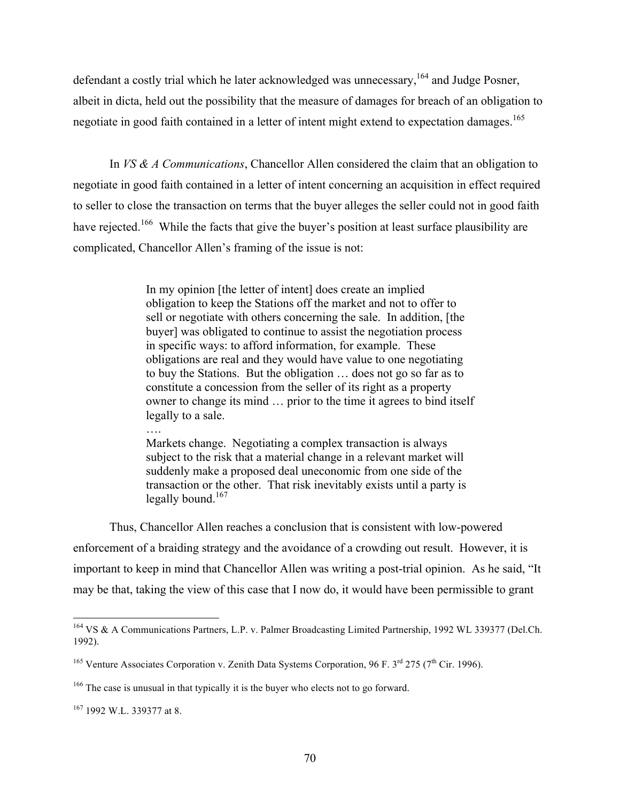defendant a costly trial which he later acknowledged was unnecessary, <sup>164</sup> and Judge Posner, albeit in dicta, held out the possibility that the measure of damages for breach of an obligation to negotiate in good faith contained in a letter of intent might extend to expectation damages. 165

In *VS & A Communications*, Chancellor Allen considered the claim that an obligation to negotiate in good faith contained in a letter of intent concerning an acquisition in effect required to seller to close the transaction on terms that the buyer alleges the seller could not in good faith have rejected.<sup>166</sup> While the facts that give the buyer's position at least surface plausibility are complicated, Chancellor Allen's framing of the issue is not:

> In my opinion [the letter of intent] does create an implied obligation to keep the Stations off the market and not to offer to sell or negotiate with others concerning the sale. In addition, [the buyer] was obligated to continue to assist the negotiation process in specific ways: to afford information, for example. These obligations are real and they would have value to one negotiating to buy the Stations. But the obligation … does not go so far as to constitute a concession from the seller of its right as a property owner to change its mind … prior to the time it agrees to bind itself legally to a sale.

Markets change. Negotiating a complex transaction is always subject to the risk that a material change in a relevant market will suddenly make a proposed deal uneconomic from one side of the transaction or the other. That risk inevitably exists until a party is legally bound.<sup>167</sup>

Thus, Chancellor Allen reaches a conclusion that is consistent with low-powered enforcement of a braiding strategy and the avoidance of a crowding out result. However, it is important to keep in mind that Chancellor Allen was writing a post-trial opinion. As he said, "It may be that, taking the view of this case that I now do, it would have been permissible to grant

….

 <sup>164</sup> VS & A Communications Partners, L.P. v. Palmer Broadcasting Limited Partnership, 1992 WL 339377 (Del.Ch. 1992).

<sup>&</sup>lt;sup>165</sup> Venture Associates Corporation v. Zenith Data Systems Corporation, 96 F.  $3^{rd}$  275 (7<sup>th</sup> Cir. 1996).

<sup>&</sup>lt;sup>166</sup> The case is unusual in that typically it is the buyer who elects not to go forward.

 $167$  1992 W.L. 339377 at 8.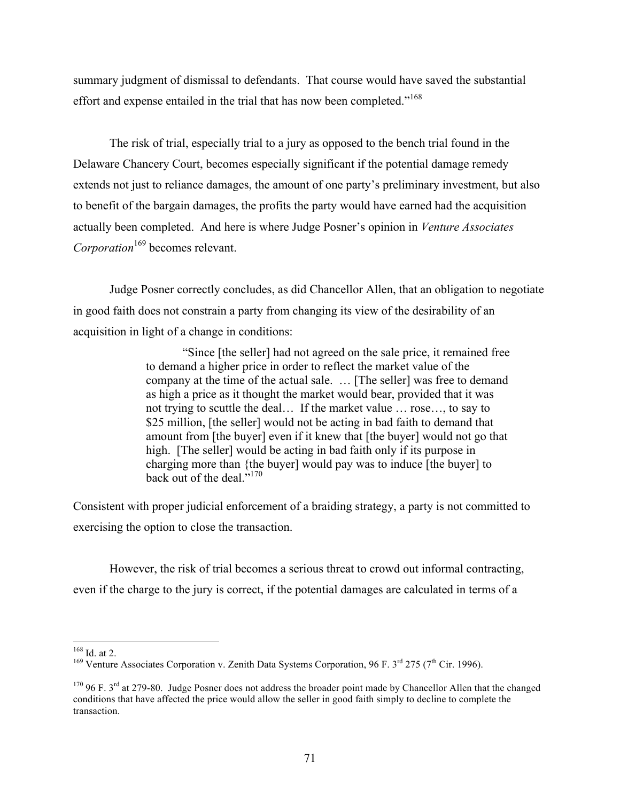summary judgment of dismissal to defendants. That course would have saved the substantial effort and expense entailed in the trial that has now been completed."<sup>168</sup>

The risk of trial, especially trial to a jury as opposed to the bench trial found in the Delaware Chancery Court, becomes especially significant if the potential damage remedy extends not just to reliance damages, the amount of one party's preliminary investment, but also to benefit of the bargain damages, the profits the party would have earned had the acquisition actually been completed. And here is where Judge Posner's opinion in *Venture Associates Corporation* 169 becomes relevant.

Judge Posner correctly concludes, as did Chancellor Allen, that an obligation to negotiate in good faith does not constrain a party from changing its view of the desirability of an acquisition in light of a change in conditions:

> "Since [the seller] had not agreed on the sale price, it remained free to demand a higher price in order to reflect the market value of the company at the time of the actual sale. … [The seller] was free to demand as high a price as it thought the market would bear, provided that it was not trying to scuttle the deal… If the market value … rose…, to say to \$25 million, [the seller] would not be acting in bad faith to demand that amount from [the buyer] even if it knew that [the buyer] would not go that high. [The seller] would be acting in bad faith only if its purpose in charging more than {the buyer] would pay was to induce [the buyer] to back out of the deal."<sup>170</sup>

Consistent with proper judicial enforcement of a braiding strategy, a party is not committed to exercising the option to close the transaction.

However, the risk of trial becomes a serious threat to crowd out informal contracting, even if the charge to the jury is correct, if the potential damages are calculated in terms of a

<sup>&</sup>lt;sup>168</sup> Id. at 2.<br><sup>169</sup> Venture Associates Corporation v. Zenith Data Systems Corporation, 96 F. 3<sup>rd</sup> 275 (7<sup>th</sup> Cir. 1996).

 $170$  96 F. 3<sup>rd</sup> at 279-80. Judge Posner does not address the broader point made by Chancellor Allen that the changed conditions that have affected the price would allow the seller in good faith simply to decline to complete the transaction.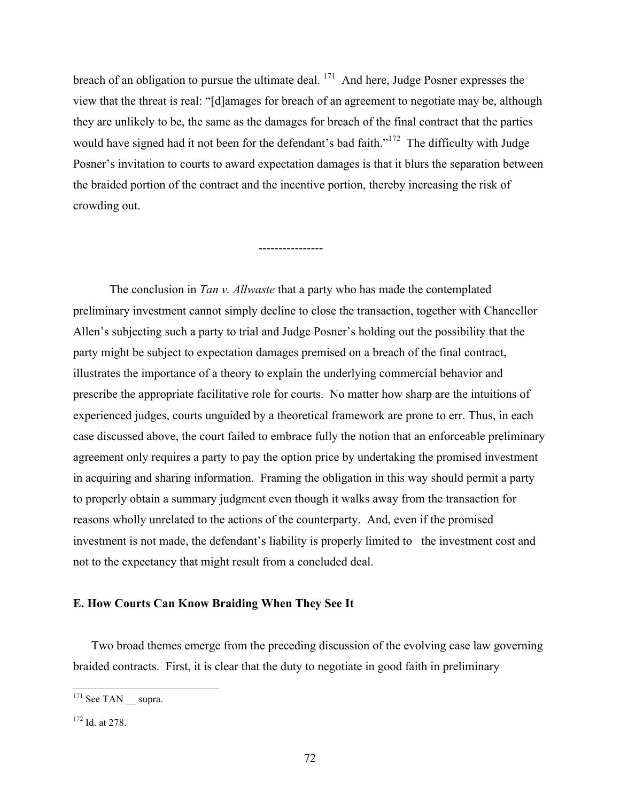breach of an obligation to pursue the ultimate deal.  $171$  And here, Judge Posner expresses the view that the threat is real: "[d]amages for breach of an agreement to negotiate may be, although they are unlikely to be, the same as the damages for breach of the final contract that the parties would have signed had it not been for the defendant's bad faith."<sup>172</sup> The difficulty with Judge Posner's invitation to courts to award expectation damages is that it blurs the separation between the braided portion of the contract and the incentive portion, thereby increasing the risk of crowding out.

----------------

The conclusion in *Tan v. Allwaste* that a party who has made the contemplated preliminary investment cannot simply decline to close the transaction, together with Chancellor Allen's subjecting such a party to trial and Judge Posner's holding out the possibility that the party might be subject to expectation damages premised on a breach of the final contract, illustrates the importance of a theory to explain the underlying commercial behavior and prescribe the appropriate facilitative role for courts. No matter how sharp are the intuitions of experienced judges, courts unguided by a theoretical framework are prone to err. Thus, in each case discussed above, the court failed to embrace fully the notion that an enforceable preliminary agreement only requires a party to pay the option price by undertaking the promised investment in acquiring and sharing information. Framing the obligation in this way should permit a party to properly obtain a summary judgment even though it walks away from the transaction for reasons wholly unrelated to the actions of the counterparty. And, even if the promised investment is not made, the defendant's liability is properly limited to the investment cost and not to the expectancy that might result from a concluded deal.

## **E. How Courts Can Know Braiding When They See It**

Two broad themes emerge from the preceding discussion of the evolving case law governing braided contracts. First, it is clear that the duty to negotiate in good faith in preliminary

 $171$  See TAN supra.

<sup>172</sup> Id. at 278.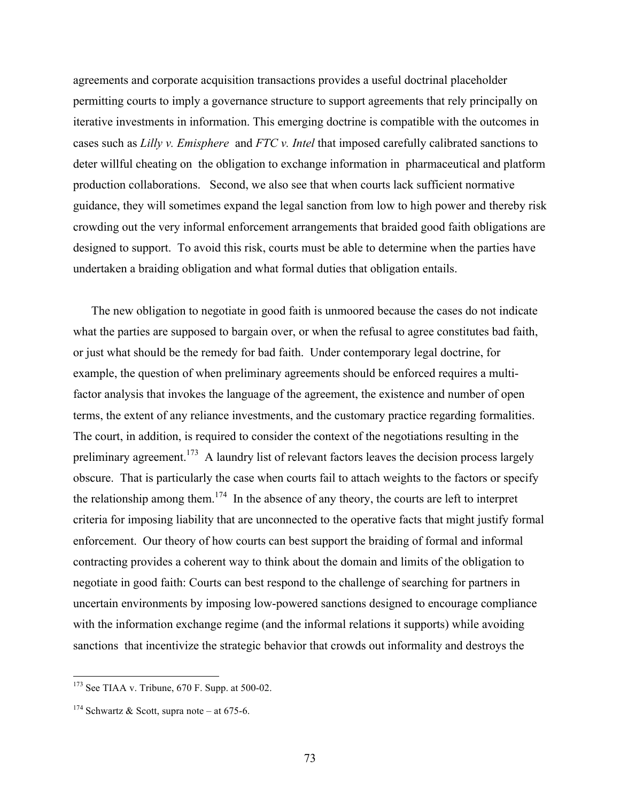agreements and corporate acquisition transactions provides a useful doctrinal placeholder permitting courts to imply a governance structure to support agreements that rely principally on iterative investments in information. This emerging doctrine is compatible with the outcomes in cases such as *Lilly v. Emisphere* and *FTC v. Intel* that imposed carefully calibrated sanctions to deter willful cheating on the obligation to exchange information in pharmaceutical and platform production collaborations. Second, we also see that when courts lack sufficient normative guidance, they will sometimes expand the legal sanction from low to high power and thereby risk crowding out the very informal enforcement arrangements that braided good faith obligations are designed to support. To avoid this risk, courts must be able to determine when the parties have undertaken a braiding obligation and what formal duties that obligation entails.

The new obligation to negotiate in good faith is unmoored because the cases do not indicate what the parties are supposed to bargain over, or when the refusal to agree constitutes bad faith, or just what should be the remedy for bad faith. Under contemporary legal doctrine, for example, the question of when preliminary agreements should be enforced requires a multifactor analysis that invokes the language of the agreement, the existence and number of open terms, the extent of any reliance investments, and the customary practice regarding formalities. The court, in addition, is required to consider the context of the negotiations resulting in the preliminary agreement.<sup>173</sup> A laundry list of relevant factors leaves the decision process largely obscure. That is particularly the case when courts fail to attach weights to the factors or specify the relationship among them.<sup>174</sup> In the absence of any theory, the courts are left to interpret criteria for imposing liability that are unconnected to the operative facts that might justify formal enforcement. Our theory of how courts can best support the braiding of formal and informal contracting provides a coherent way to think about the domain and limits of the obligation to negotiate in good faith: Courts can best respond to the challenge of searching for partners in uncertain environments by imposing low-powered sanctions designed to encourage compliance with the information exchange regime (and the informal relations it supports) while avoiding sanctions that incentivize the strategic behavior that crowds out informality and destroys the

 $173$  See TIAA v. Tribune, 670 F. Supp. at 500-02.

<sup>&</sup>lt;sup>174</sup> Schwartz & Scott, supra note – at 675-6.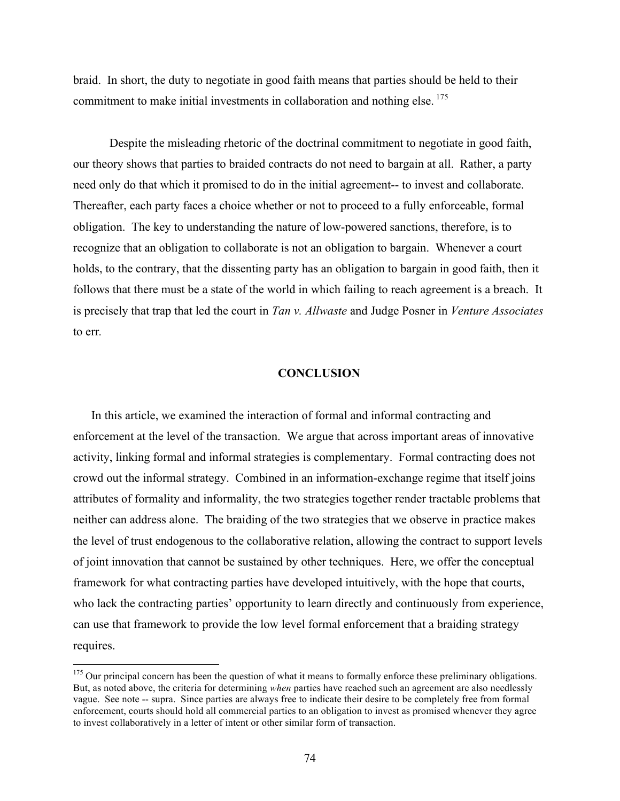braid. In short, the duty to negotiate in good faith means that parties should be held to their commitment to make initial investments in collaboration and nothing else.<sup>175</sup>

Despite the misleading rhetoric of the doctrinal commitment to negotiate in good faith, our theory shows that parties to braided contracts do not need to bargain at all. Rather, a party need only do that which it promised to do in the initial agreement-- to invest and collaborate. Thereafter, each party faces a choice whether or not to proceed to a fully enforceable, formal obligation. The key to understanding the nature of low-powered sanctions, therefore, is to recognize that an obligation to collaborate is not an obligation to bargain. Whenever a court holds, to the contrary, that the dissenting party has an obligation to bargain in good faith, then it follows that there must be a state of the world in which failing to reach agreement is a breach. It is precisely that trap that led the court in *Tan v. Allwaste* and Judge Posner in *Venture Associates*  to err*.* 

## **CONCLUSION**

In this article, we examined the interaction of formal and informal contracting and enforcement at the level of the transaction. We argue that across important areas of innovative activity, linking formal and informal strategies is complementary. Formal contracting does not crowd out the informal strategy. Combined in an information-exchange regime that itself joins attributes of formality and informality, the two strategies together render tractable problems that neither can address alone. The braiding of the two strategies that we observe in practice makes the level of trust endogenous to the collaborative relation, allowing the contract to support levels of joint innovation that cannot be sustained by other techniques. Here, we offer the conceptual framework for what contracting parties have developed intuitively, with the hope that courts, who lack the contracting parties' opportunity to learn directly and continuously from experience, can use that framework to provide the low level formal enforcement that a braiding strategy requires.

 $175$  Our principal concern has been the question of what it means to formally enforce these preliminary obligations. But, as noted above, the criteria for determining *when* parties have reached such an agreement are also needlessly vague. See note -- supra. Since parties are always free to indicate their desire to be completely free from formal enforcement, courts should hold all commercial parties to an obligation to invest as promised whenever they agree to invest collaboratively in a letter of intent or other similar form of transaction.